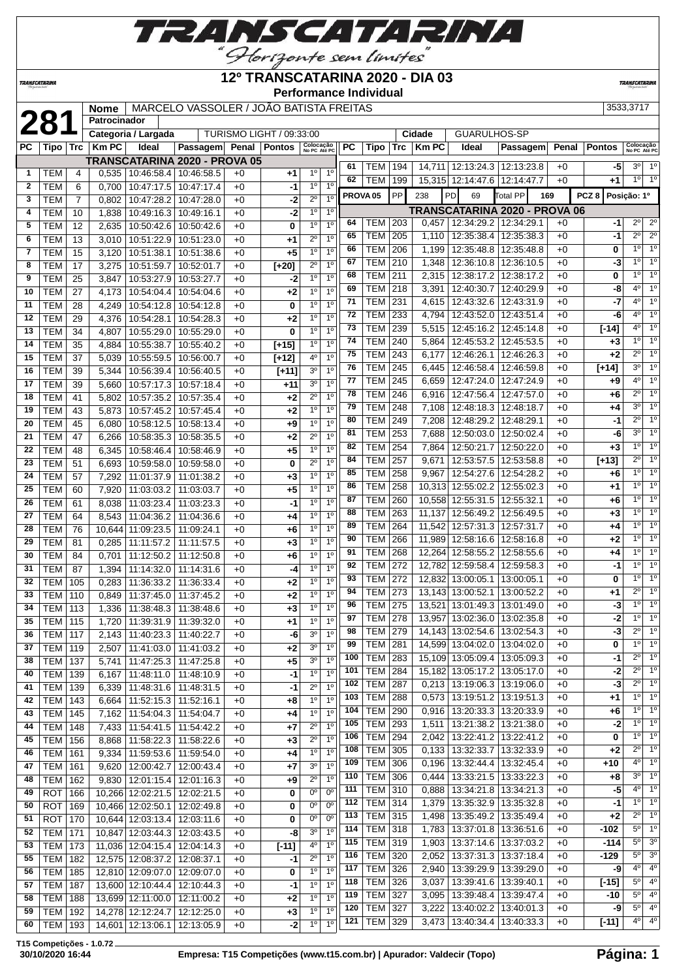

#### **12º TRANSCATARINA 2020 - DIA 03**

**Performance Individual**

**TRANSCATARI** 

**281 Nome** MARCELO VASSOLER / JOAO BATISTA FREITAS 3533,3717<br> **281 Categoria / Largada** TURISMO LIGHT / 09:33:00 **Cidade** GUARULHOS-SP **Patrocinador Categoria / Largada** TURISMO LIGHT / 09:33:00 **Cidade** GUARULHOS-SP

**TRANSCATARINA** 

|                |                |                |                       | Galegoria / Largada               |                                                           |      |         |                           |                  |          |                              |            | <b>Cludue</b>  | ษษหญ <i>ี</i> ยน พระวั                                                 |                          |              |                  |                                                 |
|----------------|----------------|----------------|-----------------------|-----------------------------------|-----------------------------------------------------------|------|---------|---------------------------|------------------|----------|------------------------------|------------|----------------|------------------------------------------------------------------------|--------------------------|--------------|------------------|-------------------------------------------------|
| PС             |                |                | $ Tipo $ Trc $ Km$ PC | Ideal                             | Passagem Penal Pontos                                     |      |         | Colocação<br>No PC Até PC |                  | PC       | Tipo                         | Trc        | Km PC          | Ideal                                                                  | Passagem                 |              | Penal Pontos     | Colocação<br>No PC Até PO                       |
|                |                |                |                       |                                   | <b>TRANSCATARINA 2020 - PROVA 05</b>                      |      |         |                           |                  | 61       |                              |            |                |                                                                        |                          |              |                  | $3^{\circ}$<br>1 <sup>0</sup>                   |
| $\mathbf{1}$   | TEM            | 4              | 0,535                 | $10:46:58.4$ 10:46:58.5           |                                                           | $+0$ | +1      | $1^{\circ}$               | 1 <sup>0</sup>   | 62       | <b>TEM 194</b><br><b>TEM</b> | 199        |                | 14,711 12:13:24.3 12:13:23.8<br>15,315 12:14:47.6 12:14:47.7           |                          | $+0$<br>$+0$ | -5<br>$+1$       | 10<br>1 <sup>c</sup>                            |
| $\overline{2}$ | <b>TEM</b>     | 6              | 0,700                 | $10:47:17.5$ 10:47:17.4           |                                                           | $+0$ | -1      | 1 <sup>0</sup>            | 10               |          |                              |            |                |                                                                        |                          |              |                  |                                                 |
| 3              | <b>TEM</b>     | $\overline{7}$ | 0,802                 | 10:47:28.2 10:47:28.0             |                                                           | $+0$ | $-2$    | $2^{\circ}$               | 1 <sup>0</sup>   |          | PROVA <sub>05</sub>          | PP         | 238            | PD<br>69                                                               | Total PP                 | 169          | PCZ <sub>8</sub> | Posição: 1º                                     |
| 4              | <b>TEM</b>     | 10             | 1,838                 | 10:49:16.3 10:49:16.1             |                                                           | $+0$ | $-2$    | 1 <sup>0</sup>            | 1 <sup>0</sup>   |          |                              |            |                | TRANSCATARINA 2020 - PROVA 06                                          |                          |              |                  |                                                 |
| 5              | <b>TEM</b>     | 12             | 2,635                 | 10:50:42.6   10:50:42.6           |                                                           | $+0$ | 0       | 1 <sup>0</sup>            | 1 <sup>0</sup>   | 64       | <b>TEM 203</b>               |            |                | 0,457   12:34:29.2   12:34:29.1                                        |                          | $+0$         | -1               | 2 <sup>o</sup><br>$2^{\circ}$<br>$2^{\circ}$    |
| 6              | <b>TEM</b>     | 13             |                       | 3,010   10:51:22.9   10:51:23.0   |                                                           | $+0$ | +1      | $\overline{2^0}$          | 10               | 65       | <b>TEM   205</b>             |            |                | 1,110   12:35:38.4   12:35:38.3                                        |                          | $+0$         | -1               | 2 <sup>o</sup><br>$1^{\circ}$<br>1 <sup>°</sup> |
| $\overline{7}$ | <b>TEM</b>     | 15             | 3,120                 | 10:51:38.1   10:51:38.6           |                                                           | $+0$ | $+5$    | 1 <sup>0</sup>            | 1 <sup>0</sup>   | 66       | TEM                          | 206        |                | 1,199   12:35:48.8   12:35:48.8                                        |                          | $+0$         | 0                | 1 <sup>c</sup><br>$1^{\circ}$                   |
| 8              | <b>TEM</b>     | 17             | 3,275                 | 10:51:59.7                        | 10:52:01.7                                                | $+0$ | $[+20]$ | $2^{\circ}$               | 1 <sup>0</sup>   | 67       | <b>TEM 210</b>               |            |                | 1,348 12:36:10.8 12:36:10.5                                            |                          | $+0$         | -3               | 1 <sup>0</sup><br>1 <sup>0</sup>                |
| 9              | <b>TEM</b>     | 25             | 3,847                 | 10:53:27.9                        | 10:53:27.7                                                | $+0$ | -2      | 1 <sup>0</sup>            | 1 <sup>0</sup>   | 68<br>69 | <b>TEM</b><br><b>TEM 218</b> | 211        |                | 2,315   12:38:17.2                                                     | 12:38:17.2               | $+0$         | 0                | $4^{\circ}$<br>1 <sup>c</sup>                   |
| 10             | <b>TEM</b>     | 27             | 4,173                 | 10:54:04.4 10:54:04.6             |                                                           | $+0$ | $+2$    | 1 <sup>0</sup>            | 1 <sup>0</sup>   | 71       | <b>TEM 231</b>               |            |                | 3,391   12:40:30.7                                                     | 12:40:29.9<br>12:43:31.9 | $+0$         | -8<br>$-7$       | 4 <sup>0</sup><br>1 <sup>c</sup>                |
| 11             | TEM            | 28             | 4,249                 | 10:54:12.8 10:54:12.8             |                                                           | $+0$ | 0       | 1 <sup>0</sup>            | 1 <sup>0</sup>   | 72       | <b>TEM 233</b>               |            |                | 4,615   12:43:32.6<br>4,794   12:43:52.0                               |                          | $+0$         | -6               | $4^{\circ}$<br>1 <sup>0</sup>                   |
| 12             | <b>TEM</b>     | 29             | 4,376                 | 10:54:28.1                        | 10:54:28.3                                                | $+0$ | $+2$    | 1 <sup>0</sup>            | 1 <sup>0</sup>   |          |                              |            |                |                                                                        | 12:43:51.4               | $+0$         |                  | 1 <sup>c</sup><br>$4^{\circ}$                   |
| 13             | <b>TEM</b>     | 34             | 4,807                 | 10:55:29.0   10:55:29.0           |                                                           | $+0$ | 0       | 1 <sup>0</sup>            | 1 <sup>0</sup>   | 73<br>74 | <b>TEM 239</b>               |            |                | 5,515   12:45:16.2   12:45:14.8                                        |                          | $+0$         | $[-14]$          | 1 <sup>c</sup><br>$1^{\circ}$                   |
| 14             | <b>TEM</b>     | 35             | 4,884                 | 10:55:38.7                        | 10:55:40.2                                                | $+0$ | $[+15]$ | 1 <sup>0</sup>            | $\overline{1^0}$ | 75       | <b>TEM 240</b><br>TEM        |            |                | 5,864   12:45:53.2                                                     | 12:45:53.5               | $+0$         | $+3$<br>$+2$     | $2^{\circ}$<br>1 <sup>c</sup>                   |
| 15             | <b>TEM</b>     | 37             | 5,039                 | 10:55:59.5                        | 10:56:00.7                                                | $+0$ | $[+12]$ | 4 <sup>0</sup>            | 10               | 76       |                              | 243        |                | $6,177$   12:46:26.1                                                   | 12:46:26.3<br>12:46:59.8 | $+0$         |                  | 3 <sup>o</sup><br>1 <sup>c</sup>                |
| 16             | <b>TEM</b>     | 39             | 5,344                 | 10:56:39.4   10:56:40.5           |                                                           | $+0$ | $[+11]$ | 3 <sup>0</sup>            | 1 <sup>0</sup>   | 77       | TEM  <br><b>TEM</b>          | 245<br>245 |                | $6,445$   12:46:58.4  <br>$6,659$   12:47:24.0                         | 12:47:24.9               | $+0$<br>$+0$ | $[+14]$<br>$+9$  | 1 <sup>c</sup><br>$4^{\circ}$                   |
| 17             | <b>TEM</b>     | 39             | 5,660                 | 10:57:17.3                        | 10:57:18.4                                                | $+0$ | $+11$   | 3 <sup>o</sup>            | 1 <sup>0</sup>   | 78       | <b>TEM</b>                   | 246        |                | 6.916 12:47:56.4                                                       | 12:47:57.0               | $+0$         |                  | $2^{\circ}$<br>1 <sup>c</sup>                   |
| 18             | <b>TEM</b>     | 41             | 5,802                 | 10:57:35.2                        | 10:57:35.4                                                | $+0$ | $+2$    | $2^{\circ}$               | 1 <sup>0</sup>   | 79       | <b>TEM</b>                   |            |                |                                                                        |                          |              | $+6$             | 3 <sup>0</sup><br>1 <sup>0</sup>                |
| 19             | <b>TEM</b>     | 43             | 5,873                 | 10:57:45.2                        | 10:57:45.4                                                | $+0$ | $+2$    | 1 <sup>0</sup>            | 1 <sup>0</sup>   | 80       | <b>TEM 249</b>               | 248        |                | 7,108   12:48:18.3                                                     | 12:48:18.7               | +0           | $+4$             | $2^{\circ}$<br>1 <sup>c</sup>                   |
| 20             | <b>TEM</b>     | 45             | 6,080                 | 10:58:12.5                        | 10:58:13.4                                                | $+0$ | $+9$    | 1 <sup>0</sup>            | 1 <sup>0</sup>   | 81       | <b>TEM 253</b>               |            |                | 7,208   12:48:29.2                                                     | 12:48:29.1               | $+0$         | -1               | $3^{\circ}$<br>1 <sup>0</sup>                   |
| 21             | <b>TEM</b>     | 47             | 6,266                 | 10:58:35.3 10:58:35.5             |                                                           | $+0$ | $+2$    | $2^{\circ}$               | 1 <sup>0</sup>   | 82       | <b>TEM 254</b>               |            |                | 7,688   12:50:03.0  <br>7,864 12:50:21.7                               | 12:50:02.4<br>12:50:22.0 | $+0$<br>$+0$ | -6<br>$+3$       | 1 <sup>c</sup><br>$1^{\circ}$                   |
| 22             | <b>TEM</b>     | 48             | 6,345                 | 10:58:46.4                        | 10:58:46.9                                                | $+0$ | $+5$    | 1 <sup>0</sup>            | 1 <sup>0</sup>   | 84       | <b>TEM</b>                   |            |                |                                                                        |                          |              |                  | $2^{\circ}$<br>1 <sup>0</sup>                   |
| 23             | <b>TEM</b>     | 51             | 6,693                 | 10:59:58.0                        | 10:59:58.0                                                | $+0$ | 0       | $2^{\circ}$               | 1 <sup>0</sup>   | 85       | <b>TEM</b>                   | 257<br>258 | 9,671<br>9,967 | 12:53:57.5<br>12:54:27.6                                               | 12:53:58.8<br>12:54:28.2 | $+0$<br>$+0$ | $[+13]$<br>$+6$  | 1 <sup>0</sup><br>1 <sup>c</sup>                |
| 24             | <b>TEM</b>     | 57             | 7,292                 | 11:01:37.9                        | 11:01:38.2                                                | $+0$ | $+3$    | 1 <sup>0</sup>            | 1 <sup>0</sup>   | 86       | TEM                          | 258        |                | 10,313 12:55:02.2                                                      | 12:55:02.3               | $+0$         | $+1$             | $1^{\circ}$<br>1 <sup>c</sup>                   |
| 25             | <b>TEM</b>     | 60             | 7,920                 | 11:03:03.2                        | 11:03:03.7                                                | $+0$ | $+5$    | 1 <sup>0</sup>            | 1 <sup>0</sup>   | 87       | <b>TEM</b>                   | 260        |                | 10,558 12:55:31.5                                                      | 12:55:32.1               | $+0$         | +6               | 1 <sup>0</sup><br>1 <sup>c</sup>                |
| 26             | <b>TEM</b>     | 61             | 8,038                 | 11:03:23.4   11:03:23.3           |                                                           | $+0$ | $-1$    | 1 <sup>0</sup>            | 1 <sup>0</sup>   | 88       | <b>TEM</b>                   | 263        |                | 11,137 12:56:49.2                                                      | 12:56:49.5               | $+0$         | $+3$             | 1°<br>1 <sup>c</sup>                            |
| 27             | <b>TEM</b>     | 64             | 8,543                 | 11:04:36.2                        | 11:04:36.6                                                | $+0$ | $+4$    | 1 <sup>0</sup>            | 1 <sup>0</sup>   | 89       | <b>TEM</b>                   | 264        |                | 11,542 12:57:31.3                                                      | 12:57:31.7               | +0           | +4               | $1^{\circ}$<br>1 <sup>0</sup>                   |
| 28             | <b>TEM</b>     | 76             |                       | 10,644 11:09:23.5                 | 11:09:24.1                                                | $+0$ | $+6$    | 1 <sup>0</sup>            | 1 <sup>0</sup>   | 90       | <b>TEM</b>                   | 266        |                | 11,989 12:58:16.6                                                      | 12:58:16.8               | $+0$         | $+2$             | 1 <sup>0</sup><br>1 <sup>c</sup>                |
| 29             | <b>TEM</b>     | 81             | 0,285                 | 11:11:57.2                        | 11:11:57.5                                                | $+0$ | $+3$    | 1 <sup>0</sup>            | 1 <sup>0</sup>   | 91       | <b>TEM 268</b>               |            |                | 12,264 12:58:55.2                                                      | 12:58:55.6               | $+0$         | $+4$             | $1^{\circ}$<br>1 <sup>0</sup>                   |
| 30             | <b>TEM</b>     | 84             | 0,701                 | 11:12:50.2                        | 11:12:50.8                                                | $+0$ | $+6$    | 1 <sup>0</sup>            | 1 <sup>0</sup>   | 92       | <b>TEM 272</b>               |            |                | 12,782 12:59:58.4                                                      | 12:59:58.3               | $+0$         | -1               | 1 <sup>c</sup><br>$1^{\circ}$                   |
| 31             | TEM            | 87             | 1,394                 | 11:14:32.0                        | 11:14:31.6                                                | $+0$ | -4      | 1 <sup>0</sup>            | 1 <sup>0</sup>   | 93       | TEM                          | 272        |                | 12,832 13:00:05.1                                                      | 13:00:05.1               | $+0$         | 0                | 1 <sup>c</sup><br>$1^{\circ}$                   |
| 32             | <b>TEM</b>     | 105            | 0,283                 | 11:36:33.2                        | 11:36:33.4                                                | $+0$ | $+2$    | 1 <sup>0</sup>            | 1 <sup>0</sup>   | 94       | <b>TEM 273</b>               |            |                | 13,143 13:00:52.1                                                      | 13:00:52.2               | $+0$         | $+1$             | $2^{\circ}$<br>$\overline{1^{\circ}}$           |
| 33             | <b>TEM</b>     | 110            | 0,849                 | 11:37:45.0                        | 11:37:45.2                                                | $+0$ | $+2$    | 1 <sup>0</sup>            | 10               | 96       | <b>TEM   275</b>             |            |                | 13,521   13:01:49.3   13:01:49.0                                       |                          | $+0$         | -3               | 1 <sup>°</sup><br>1 <sup>c</sup>                |
| 34             | <b>TEM 113</b> |                | 1,336                 | 11:38:48.3                        | 11:38:48.6                                                | $+0$ | $+3$    | 1 <sup>0</sup>            | 1 <sup>0</sup>   | 97       | TEM                          | 278        |                | 13,957 13:02:36.0                                                      | 13:02:35.8               | $+0$         | -2               | 1 <sup>0</sup><br>1 <sup>c</sup>                |
| 35             | <b>TEM 115</b> |                | 1,720                 | 11:39:31.9                        | 11:39:32.0                                                | $+0$ | $+1$    | 1 <sup>0</sup>            | 1 <sup>0</sup>   | 98       | <b>TEM</b>                   | 279        |                | 14,143 13:02:54.6                                                      | 13:02:54.3               | $+0$         | $-3$             | $2^{\circ}$<br>1 <sup>c</sup>                   |
| 36             | TEM   117      |                | 2,143                 | 11:40:23.3                        | 11:40:22.7                                                | $+0$ | -6      | 3 <sup>o</sup>            | 1 <sup>0</sup>   | 99       | <b>TEM 281</b>               |            |                | 14,599 13:04:02.0                                                      | 13:04:02.0               | $+0$         | 0                | 1 <sup>0</sup><br>$\overline{1^{\circ}}$        |
| 37             | <b>TEM 119</b> |                | 2,507                 | 11:41:03.0 11:41:03.2             |                                                           | $+0$ | $+2$    | 3 <sup>0</sup>            | 1 <sup>0</sup>   |          |                              |            |                | 100 TEM 283 15,109 13:05:09.4 13:05:09.3                               |                          | $+0$         | $-1$             | $2^{\circ}$<br>$1^\circ$                        |
|                | 38   TEM   137 |                |                       | 5,741   11:47:25.3   11:47:25.8   |                                                           | $+0$ | +5      | 3 <sup>o</sup>            | $1^{\circ}$      |          | 101   TEM   284              |            |                | 15,182 13:05:17.2 13:05:17.0                                           |                          | $+0$         | -2               | 1 <sup>c</sup><br>$2^{\circ}$                   |
| 40             | TEM   139      |                |                       | 6,167   11:48:11.0   11:48:10.9   |                                                           | $+0$ | $-1$    | $1^{\circ}$               | 1 <sup>0</sup>   |          | 102 TEM 287                  |            |                | $0,213$   13:19:06.3   13:19:06.0                                      |                          | $+0$         | -3               | $2^{\circ}$<br>1 <sup>0</sup>                   |
| 41             | TEM   139      |                |                       | 6,339   11:48:31.6   11:48:31.5   |                                                           | $+0$ | $-1$    | $2^{\circ}$               | 1 <sup>0</sup>   |          | 103 TEM 288                  |            |                |                                                                        |                          |              |                  | 1 <sup>c</sup><br>$1^{\circ}$                   |
| 42             | TEM   143      |                |                       | $6,664$   11:52:15.3   11:52:16.1 |                                                           | $+0$ | +8      | $1^{\circ}$               | $1^{\circ}$      | 104      | <b>TEM 290</b>               |            |                | $0,573$   13:19:51.2   13:19:51.3<br>$0,916$   13:20:33.3   13:20:33.9 |                          | $+0$<br>$+0$ | +1<br>+6         | 1 <sup>c</sup><br>$1^{\circ}$                   |
| 43             | TEM   145      |                |                       | 7,162   11:54:04.3   11:54:04.7   |                                                           | $+0$ | +4      | 1 <sup>o</sup>            | 1 <sup>0</sup>   |          | 105   TEM   293              |            |                | 1,511   13:21:38.2   13:21:38.0                                        |                          | $+0$         | -2               | $1^{\circ}$<br>1 <sup>c</sup>                   |
| 44             | TEM   148      |                |                       | 7,433   11:54:41.5   11:54:42.2   |                                                           | $+0$ | $+7$    | $2^{\circ}$               | 1 <sup>0</sup>   |          | 106   TEM   294              |            |                | 2,042   13:22:41.2   13:22:41.2                                        |                          | $+0$         | 0                | $1^{\circ}$<br>1 <sup>0</sup>                   |
| 45             | TEM 156        |                |                       | 8,868   11:58:22.3   11:58:22.6   |                                                           | $+0$ | $+3$    | $2^{\circ}$               | $1^{\circ}$      |          | 108   TEM   305              |            |                | $0,133$   13:32:33.7   13:32:33.9                                      |                          | $+0$         | $+2$             | $2^{\circ}$ 1 <sup>°</sup>                      |
|                |                |                |                       |                                   | $46$ TEM $161$ $9334$ $11.59536$ $11.59540$ $\rightarrow$ |      | ا ⊿⊥    |                           | $10$ $10$        |          |                              |            |                |                                                                        |                          |              |                  |                                                 |

 TEM 161 9,334 11:59:53.6 11:59:54.0 +0 **+4** 1º 1º TEM 161 9,620 12:00:42.7 12:00:43.4 +0 **+7** 3º 1º TEM 162 9,830 12:01:15.4 12:01:16.3 +0 **+9** 2º 1º ROT 166 10,266 12:02:21.5 12:02:21.5 +0 **0** 0º 0º ROT 169 10,466 12:02:50.1 12:02:49.8 +0 **0** 0º 0º ROT 170 10,644 12:03:13.4 12:03:11.6 +0 **0** 0º 0º TEM 171 10,847 12:03:44.3 12:03:43.5 +0 **-8** 3º 1º TEM 173 11,036 12:04:15.4 12:04:14.3 +0 **[-11]** 4º 1º TEM 182 12,575 12:08:37.2 12:08:37.1 +0 **-1** 2º 1º TEM 185 12,810 12:09:07.0 12:09:07.0 +0 **0** 1º 1º TEM 187 13,600 12:10:44.4 12:10:44.3 +0 **-1** 1º 1º TEM 188 13,699 12:11:00.0 12:11:00.2 +0 **+2** 1º 1º TEM 192 14,278 12:12:24.7 12:12:25.0 +0 **+3** 1º 1º TEM 193 14,601 12:13:06.1 12:13:05.9 +0 **-2** 1º 1º

 TEM 306 0,196 13:32:44.4 13:32:45.4 +0 **+10** 4º 1º TEM 306 0,444 13:33:21.5 13:33:22.3 +0 **+8** 3º 1º TEM 310 0,888 13:34:21.8 13:34:21.3 +0 **-5** 4º 1º TEM 314 1,379 13:35:32.9 13:35:32.8 +0 **-1** 1º 1º TEM 315 1,498 13:35:49.2 13:35:49.4 +0 **+2** 2º 1º TEM 318 1,783 13:37:01.8 13:36:51.6 +0 **-102** 5º 1º TEM 319 1,903 13:37:14.6 13:37:03.2 +0 **-114** 5º 3º TEM 320 2,052 13:37:31.3 13:37:18.4 +0 **-129** 5º 3º TEM 326 2,940 13:39:29.9 13:39:29.0 +0 **-9** 4º 4º TEM 326 3,037 13:39:41.6 13:39:40.1 +0 **[-15]** 5º 4º TEM 327 3,095 13:39:48.4 13:39:47.4 +0 **-10** 5º 4º TEM 327 3,222 13:40:02.2 13:40:01.3 +0 **-9** 5º 4º TEM 329 3,473 13:40:34.4 13:40:33.3 +0 **[-11]** 4º 4º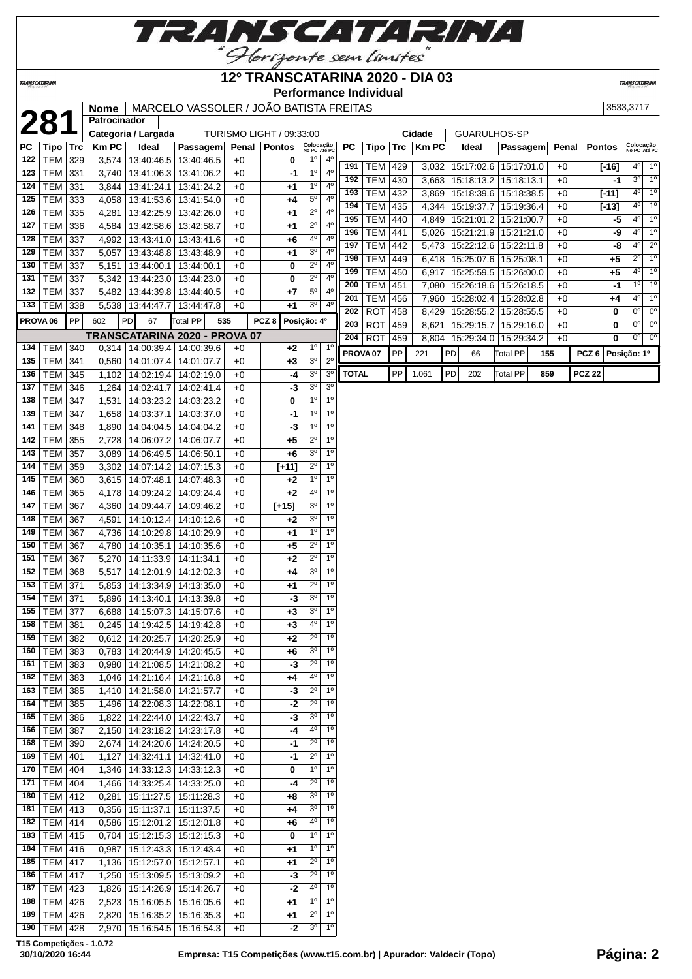

## **12º TRANSCATARINA 2020 - DIA 03**

**TRANSCATARIN** 

TRANSCATARINA

**Performance Individual**

| 7 |
|---|

|     |                     |            | <b>Nome</b>  |                                   | MARCELO VASSOLER / JOÃO BATISTA FREITAS |       |                          |                               |                            |                     |            |     |              |    |                         |            |     |       |                  |      | 3533,3717                        |
|-----|---------------------|------------|--------------|-----------------------------------|-----------------------------------------|-------|--------------------------|-------------------------------|----------------------------|---------------------|------------|-----|--------------|----|-------------------------|------------|-----|-------|------------------|------|----------------------------------|
|     | 281                 |            | Patrocinador |                                   |                                         |       |                          |                               |                            |                     |            |     |              |    |                         |            |     |       |                  |      |                                  |
|     |                     |            |              | Categoria / Largada               |                                         |       | TURISMO LIGHT / 09:33:00 |                               |                            |                     |            |     | Cidade       |    | GUARULHOS-SP            |            |     |       |                  |      |                                  |
| PC  | Tipo                | <b>Trc</b> | <b>KmPC</b>  | Ideal                             | Passagem                                | Penal | <b>Pontos</b>            | Colocação<br>No PC Até PC     |                            | <b>PC</b>           | Tipo       | Trc | <b>Km PC</b> |    | Ideal                   | Passagem   |     | Penal | <b>Pontos</b>    |      | Colocação<br>No PC Até PC        |
| 122 | <b>TEM</b>          | 329        | 3,574        |                                   | 13:40:46.5   13:40:46.5                 | $+0$  | 0                        | $1^{\circ}$                   | $4^{\circ}$                | 191                 |            |     |              |    |                         |            |     |       |                  |      | $4^{\circ}$ 1°                   |
| 123 | <b>TEM</b>          | 331        | 3,740        |                                   | 13:41:06.3   13:41:06.2                 | $+0$  | $-1$                     | 1 <sup>0</sup>                | $4^{\circ}$                | 192                 | <b>TEM</b> | 429 | 3,032        |    | 15:17:02.6   15:17:01.0 |            |     | $+0$  | $[-16]$          |      | $3^{\circ}$<br>$1^{\circ}$       |
| 124 | <b>TEM</b>          | 331        | 3,844        | 13:41:24.1                        | 13:41:24.2                              | $+0$  | $+1$                     | 1 <sup>°</sup>                | $4^{\circ}$                |                     | <b>TEM</b> | 430 | 3,663        |    | 15:18:13.2              | 15:18:13.1 |     | $+0$  |                  | $-1$ | 1 <sup>o</sup><br>$4^{\circ}$    |
| 125 | <b>TEM</b>          | 333        | 4,058        |                                   | 13:41:53.6   13:41:54.0                 | $+0$  | +4                       | $5^{\circ}$                   | 4 <sup>0</sup>             | 193                 | <b>TEM</b> | 432 | 3,869        |    | 15:18:39.6              | 15:18:38.5 |     | $+0$  | $[-11]$          |      | $4^{\circ}$<br>1 <sup>o</sup>    |
| 126 | <b>TEM</b>          | 335        | 4,281        |                                   | 13:42:25.9 13:42:26.0                   | $+0$  | $+1$                     | $2^{\circ}$                   | $4^{\circ}$                | 194                 | <b>TEM</b> | 435 | 4,344        |    | 15:19:37.7              | 15:19:36.4 |     | $+0$  | $[-13]$          |      |                                  |
| 127 | TEM                 | 336        | 4,584        |                                   | 13:42:58.6   13:42:58.7                 | $+0$  | $+1$                     | $2^{\circ}$                   | 4 <sup>0</sup>             | 195                 | <b>TEM</b> | 440 | 4,849        |    | 15:21:01.2 15:21:00.7   |            |     | $+0$  |                  | $-5$ | $4^{\circ}$<br>1 <sup>o</sup>    |
| 128 | <b>TEM</b>          | 337        | 4,992        |                                   | 13:43:41.0 13:43:41.6                   | $+0$  | +6                       | 4°                            | $4^{\circ}$                | 196                 | TEM        | 441 | 5,026        |    | 15:21:21.9 15:21:21.0   |            |     | $+0$  |                  | -9   | $4^{\circ}$<br>$1^{\circ}$       |
| 129 | TEM                 | 337        | 5,057        |                                   | 13:43:48.8 13:43:48.9                   | $+0$  | $+1$                     | 3 <sup>o</sup>                | 4 <sup>0</sup>             | 197                 | <b>TEM</b> | 442 | 5,473        |    | 15:22:12.6              | 15:22:11.8 |     | $+0$  |                  | -8   | $4^{\circ}$<br>$2^{\circ}$       |
| 130 | TEM                 | 337        | 5,151        |                                   | 13:44:00.1 13:44:00.1                   | $+0$  | 0                        | $2^{\circ}$                   | $4^{\circ}$                | 198                 | <b>TEM</b> | 449 | 6,418        |    | 15:25:07.6              | 15:25:08.1 |     | $+0$  |                  | $+5$ | $2^{\circ}$<br>$1^{\circ}$       |
| 131 | <b>TEM</b>          | 337        | 5,342        |                                   | 13:44:23.0   13:44:23.0                 | $+0$  | 0                        | $2^{\circ}$                   | 4 <sup>0</sup>             | 199                 | <b>TEM</b> | 450 | 6,917        |    | 15:25:59.5              | 15:26:00.0 |     | $+0$  |                  | $+5$ | $4^{\circ}$<br>1 <sup>o</sup>    |
| 132 | <b>TEM</b>          | 337        | 5,482        |                                   | 13:44:39.8   13:44:40.5                 | $+0$  | $+7$                     | $5^{\circ}$                   | $4^{\circ}$                | 200                 | <b>TEM</b> | 451 | 7,080        |    | 15:26:18.6              | 15:26:18.5 |     | $+0$  |                  | $-1$ | 1 <sup>o</sup><br>$1^{\circ}$    |
|     | 133   TEM $ $       | 338        | 5,538        | 13:44:47.7                        | 13:44:47.8                              | $+0$  | $+1$                     | 3 <sup>o</sup>                | $4^{\circ}$                | 201                 | <b>TEM</b> | 456 | 7,960        |    | 15:28:02.4              | 15:28:02.8 |     | $+0$  |                  | +4   | 1 <sup>o</sup><br>$4^{\circ}$    |
|     | PROVA <sub>06</sub> | PP         | 602          | PD<br>67                          | Total PP<br>535                         |       | PCZ <sub>8</sub>         | Posição: 4º                   |                            | 202                 | <b>ROT</b> | 458 | 8,429        |    | 15:28:55.2              | 15:28:55.5 |     | $+0$  |                  | 0    | 0 <sup>o</sup><br>0 <sup>o</sup> |
|     |                     |            |              |                                   |                                         |       |                          |                               |                            | 203                 | <b>ROT</b> | 459 | 8,621        |    | 15:29:15.7              | 15:29:16.0 |     | $+0$  |                  | 0    | 0 <sup>o</sup><br>$0^{\circ}$    |
|     |                     |            |              |                                   | TRANSCATARINA 2020 - PROVA 07           |       |                          |                               |                            | 204                 | <b>ROT</b> | 459 |              |    | 8,804   15:29:34.0      | 15:29:34.2 |     | $+0$  |                  | 0    | $0o$ 0 <sup>o</sup>              |
| 134 | <b>TEM</b>          | 340        |              | $0,314$   14:00:39.4   14:00:39.6 |                                         | $+0$  | $+2$                     | $1^{\circ}$<br>3 <sup>o</sup> | $1^{\circ}$<br>$2^{\circ}$ | PROVA <sub>07</sub> |            | PP  | 221          | PD | 66                      | Total PP   | 155 |       | PCZ <sub>6</sub> |      | Posição: 1º                      |
| 135 | <b>TEM</b>          | 341        | 0,560        |                                   | 14:01:07.4 14:01:07.7                   | $+0$  | $+3$                     | 3 <sup>o</sup>                |                            | <b>TOTAL</b>        |            | PP  |              | PD |                         | Total PP   |     |       |                  |      |                                  |
| 136 | <b>TEM</b>          | 345        | 1,102        |                                   | 14:02:19.4 14:02:19.0                   | $+0$  | -4                       |                               | 3 <sup>o</sup>             |                     |            |     | 1.061        |    | 202                     |            | 859 |       | <b>PCZ 22</b>    |      |                                  |
| 137 | <b>TEM</b>          | 346        | 1,264        |                                   | 14:02:41.7   14:02:41.4                 | $+0$  | $-3$                     | 3 <sup>o</sup>                | 3 <sup>o</sup>             |                     |            |     |              |    |                         |            |     |       |                  |      |                                  |
| 138 | TEM                 | 347        | 1,531        |                                   | 14:03:23.2 14:03:23.2                   | $+0$  | 0                        | 1 <sup>0</sup>                | 10                         |                     |            |     |              |    |                         |            |     |       |                  |      |                                  |
| 139 | TEM                 | 347        | 1,658        |                                   | 14:03:37.1 14:03:37.0                   | $+0$  | $-1$                     | $1^{\circ}$                   | $1^{\circ}$                |                     |            |     |              |    |                         |            |     |       |                  |      |                                  |
| 141 | <b>TEM</b>          | 348        | 1,890        |                                   | 14:04:04.5   14:04:04.2                 | $+0$  | $-3$                     | 1 <sup>o</sup>                | 1 <sup>0</sup>             |                     |            |     |              |    |                         |            |     |       |                  |      |                                  |
| 142 | <b>TEM</b>          | 355        | 2,728        |                                   | 14:06:07.2 14:06:07.7                   | $+0$  | $+5$                     | $2^{\circ}$                   | 1 <sup>0</sup>             |                     |            |     |              |    |                         |            |     |       |                  |      |                                  |
| 143 | <b>TEM</b>          | 357        | 3,089        | 14:06:49.5   14:06:50.1           |                                         | $+0$  | +6                       | 3 <sup>o</sup>                | 1 <sup>0</sup>             |                     |            |     |              |    |                         |            |     |       |                  |      |                                  |
| 144 | <b>TEM</b>          | 359        | 3,302        |                                   | 14:07:14.2 14:07:15.3                   | $+0$  | $[+11]$                  | $\overline{2^0}$              | 1 <sup>0</sup>             |                     |            |     |              |    |                         |            |     |       |                  |      |                                  |
| 145 | <b>TEM</b>          | 360        | 3,615        |                                   | 14:07:48.1   14:07:48.3                 | $+0$  | $+2$                     | $1^{\circ}$                   | 1 <sup>0</sup>             |                     |            |     |              |    |                         |            |     |       |                  |      |                                  |
| 146 | <b>TEM</b>          | 365        | 4,178        | 14:09:24.2                        | 14:09:24.4                              | $+0$  | $+2$                     | 4°                            | 1 <sup>0</sup>             |                     |            |     |              |    |                         |            |     |       |                  |      |                                  |
| 147 | <b>TEM</b>          | 367        | 4,360        |                                   | 14:09:44.7   14:09:46.2                 | $+0$  | $[+15]$                  | 30                            | 1 <sup>0</sup>             |                     |            |     |              |    |                         |            |     |       |                  |      |                                  |
| 148 | TEM                 | 367        | 4,591        |                                   | 14:10:12.4 14:10:12.6                   | $+0$  | $+2$                     | 3 <sup>o</sup>                | 1 <sup>0</sup>             |                     |            |     |              |    |                         |            |     |       |                  |      |                                  |
| 149 | <b>TEM</b>          | 367        | 4,736        |                                   | 14:10:29.8 14:10:29.9                   | $+0$  | $+1$                     | 1 <sup>°</sup>                | $1^{\circ}$                |                     |            |     |              |    |                         |            |     |       |                  |      |                                  |
| 150 | <b>TEM</b>          | 367        | 4,780        |                                   | 14:10:35.1   14:10:35.6                 | $+0$  | $+5$                     | $2^{\circ}$                   | 1 <sup>0</sup>             |                     |            |     |              |    |                         |            |     |       |                  |      |                                  |
| 151 | <b>TEM</b>          | 367        | 5,270        | 14:11:33.9 14:11:34.1             |                                         | $+0$  | $+2$                     | $2^{\circ}$                   | 1 <sup>0</sup>             |                     |            |     |              |    |                         |            |     |       |                  |      |                                  |
| 152 | <b>TEM</b>          | 368        | 5,517        |                                   | 14:12:01.9 14:12:02.3                   | $+0$  | +4                       | 3 <sup>o</sup>                | 1 <sup>0</sup>             |                     |            |     |              |    |                         |            |     |       |                  |      |                                  |
| 153 | <b>TEM</b>          | 371        | 5,853        |                                   | 14:13:34.9 14:13:35.0                   | $+0$  | $+1$                     | $\overline{2^{\circ}}$        | 1 <sup>0</sup>             |                     |            |     |              |    |                         |            |     |       |                  |      |                                  |
| 154 | <b>TEM</b>          | 371        | 5,896        |                                   | 14:13:40.1 14:13:39.8                   | $+0$  | $-3$                     | 3 <sup>o</sup>                | 1 <sup>0</sup>             |                     |            |     |              |    |                         |            |     |       |                  |      |                                  |
| 155 | TEM                 | 377        | 6,688        |                                   | 14:15:07.3 14:15:07.6                   | $+0$  | $+3$                     | 3 <sup>o</sup>                | 1 <sup>0</sup>             |                     |            |     |              |    |                         |            |     |       |                  |      |                                  |
|     | 158 TEM 381         |            |              | 0,245 14:19:42.5 14:19:42.8       |                                         | $+0$  | $+3$                     |                               | $4^{\circ}$ 1 <sup>°</sup> |                     |            |     |              |    |                         |            |     |       |                  |      |                                  |
|     | 159   TEM   382     |            |              | 0,612   14:20:25.7   14:20:25.9   |                                         | $+0$  | $+2$                     | $\overline{2^{\circ}}$        | 1 <sup>0</sup>             |                     |            |     |              |    |                         |            |     |       |                  |      |                                  |
|     | 160   TEM   383     |            |              | 0,783   14:20:44.9   14:20:45.5   |                                         | $+0$  | +6                       | 3 <sup>o</sup>                | 1 <sup>0</sup>             |                     |            |     |              |    |                         |            |     |       |                  |      |                                  |
|     | 161   TEM   383     |            |              | $0,980$   14:21:08.5   14:21:08.2 |                                         | $+0$  | $-3$                     | $2^{\circ}$                   | 1 <sup>0</sup>             |                     |            |     |              |    |                         |            |     |       |                  |      |                                  |
|     | 162   TEM   383     |            |              |                                   | 1,046   14:21:16.4   14:21:16.8         | $+0$  | +4                       | 4 <sup>0</sup>                | 1 <sup>0</sup>             |                     |            |     |              |    |                         |            |     |       |                  |      |                                  |
| 163 | <b>TEM 385</b>      |            | 1,410        |                                   | 14:21:58.0 14:21:57.7                   | $+0$  | $-3$                     | $2^{\circ}$                   | $1^{\circ}$                |                     |            |     |              |    |                         |            |     |       |                  |      |                                  |
| 164 | TEM 385             |            |              | 1,496   14:22:08.3   14:22:08.1   |                                         | $+0$  | -2                       | $2^{\circ}$                   | 1 <sup>0</sup>             |                     |            |     |              |    |                         |            |     |       |                  |      |                                  |
| 165 | TEM                 | 386        |              | 1,822   14:22:44.0   14:22:43.7   |                                         | $+0$  | -3                       | 3 <sup>o</sup>                | 1 <sup>0</sup>             |                     |            |     |              |    |                         |            |     |       |                  |      |                                  |
|     | 166   TEM   387     |            |              |                                   | 2,150 14:23:18.2 14:23:17.8             | $+0$  | -4                       | $4^{\circ}$                   | 1 <sup>0</sup>             |                     |            |     |              |    |                         |            |     |       |                  |      |                                  |
| 168 | <b>TEM 390</b>      |            | 2,674        |                                   | 14:24:20.6 14:24:20.5                   | $+0$  | -1                       | $2^{\circ}$                   | 1 <sup>0</sup>             |                     |            |     |              |    |                         |            |     |       |                  |      |                                  |
|     | 169   TEM   401     |            |              |                                   | 1,127   14:32:41.1   14:32:41.0         | $+0$  | -1                       | $2^{\circ}$                   | 1 <sup>0</sup>             |                     |            |     |              |    |                         |            |     |       |                  |      |                                  |
|     | 170   TEM   404     |            |              |                                   | 1,346 14:33:12.3 14:33:12.3             | $+0$  | 0                        | 1 <sup>0</sup>                | 1 <sup>0</sup>             |                     |            |     |              |    |                         |            |     |       |                  |      |                                  |
| 171 | <b>TEM 404</b>      |            |              |                                   | 1,466   14:33:25.4   14:33:25.0         | $+0$  | -4                       | $2^{\circ}$                   | $1^{\circ}$                |                     |            |     |              |    |                         |            |     |       |                  |      |                                  |
| 180 | $TEM$ 412           |            |              | 0,281   15:11:27.5   15:11:28.3   |                                         | $+0$  | +8                       | 3 <sup>o</sup>                | $1^{\circ}$                |                     |            |     |              |    |                         |            |     |       |                  |      |                                  |
| 181 | <b>TEM 413</b>      |            |              | 0,356   15:11:37.1   15:11:37.5   |                                         | $+0$  | +4                       | 3 <sup>o</sup>                | 1 <sup>o</sup>             |                     |            |     |              |    |                         |            |     |       |                  |      |                                  |
| 182 | <b>TEM 414</b>      |            |              |                                   | $0,586$   15:12:01.2   15:12:01.8       | $+0$  | +6                       | $4^{\circ}$                   | 1 <sup>0</sup>             |                     |            |     |              |    |                         |            |     |       |                  |      |                                  |
|     | 183   TEM   415     |            |              |                                   | $0,704$   15:12:15.3   15:12:15.3       | $+0$  | 0                        | 1 <sup>0</sup>                | 1 <sup>0</sup>             |                     |            |     |              |    |                         |            |     |       |                  |      |                                  |
|     | 184   TEM   416     |            | 0,987        |                                   | 15:12:43.3 15:12:43.4                   | $+0$  | +1                       | $1^{\circ}$                   | 1 <sup>0</sup>             |                     |            |     |              |    |                         |            |     |       |                  |      |                                  |
|     | 185   TEM   417     |            |              | 1,136   15:12:57.0   15:12:57.1   |                                         | $+0$  | +1                       | $2^{\circ}$                   | 1 <sup>0</sup>             |                     |            |     |              |    |                         |            |     |       |                  |      |                                  |
|     | 186   TEM   417     |            |              | 1,250   15:13:09.5   15:13:09.2   |                                         | $+0$  | $-3$                     | $2^{\circ}$                   | 1 <sup>0</sup>             |                     |            |     |              |    |                         |            |     |       |                  |      |                                  |
|     | 187   TEM   423     |            | 1,826        |                                   | 15:14:26.9   15:14:26.7                 | $+0$  | $-2$                     | $4^{\circ}$                   | 1 <sup>0</sup>             |                     |            |     |              |    |                         |            |     |       |                  |      |                                  |
|     | 188   TEM   426     |            | 2,523        |                                   | 15:16:05.5   15:16:05.6                 | $+0$  | +1                       | $1^{\circ}$                   | $1^{\circ}$                |                     |            |     |              |    |                         |            |     |       |                  |      |                                  |
|     | 189   TEM   426     |            | 2,820        |                                   | 15:16:35.2   15:16:35.3                 | $+0$  | +1                       | $2^{\circ}$                   | 1 <sup>0</sup>             |                     |            |     |              |    |                         |            |     |       |                  |      |                                  |
|     | 190   TEM   428     |            |              |                                   | 2,970 15:16:54.5 15:16:54.3             | $+0$  | $-2$                     | $3^{\circ}$                   | 1 <sup>o</sup>             |                     |            |     |              |    |                         |            |     |       |                  |      |                                  |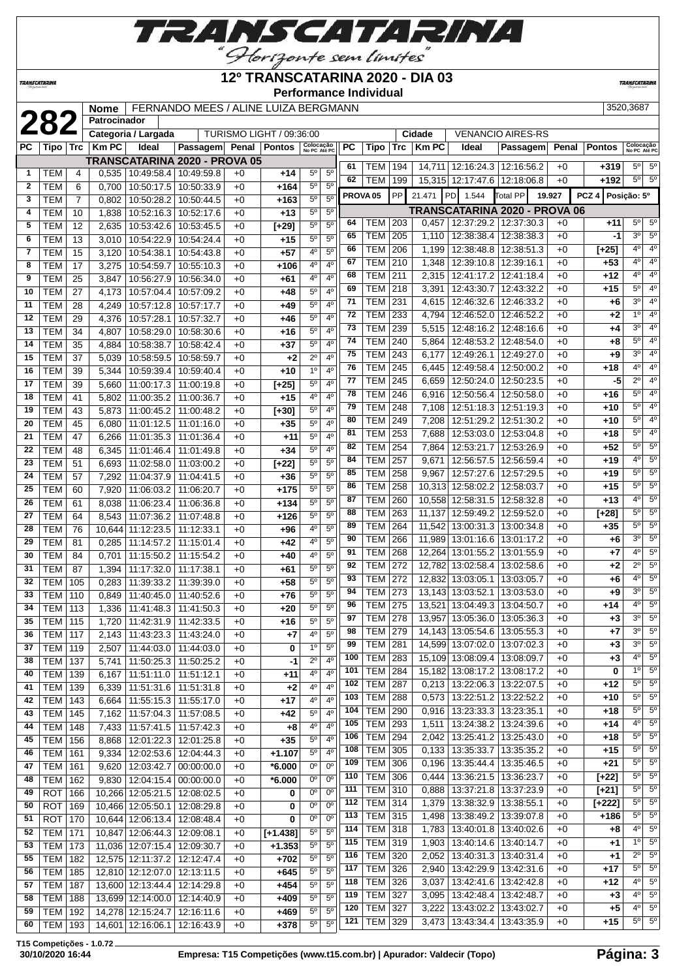

#### **12º TRANSCATARINA 2020 - DIA 03**

**TRANSCATAR** 

*TRANSCATARINA* **Performance Individual Nome** FERNANDO MEES / ALINE LUIZA BERGMANN 3520,3687<br> **282 Patrocinador Categoria / Largada** TURISMO LIGHT / 09:36:00 **Cidade** | VENANCIO AIRES-RS **Patrocinador Categoria / Largada** TURISMO LIGHT / 09:36:00 **Cidade** VENANCIO AIRES-RS **PC Tipo Trc Km PC Ideal Passagem Penal Pontos Colocação No PC Até PC PC Tipo Trc Km PC Ideal Passagem Penal Pontos Colocação No PC Até PC TRANSCATARINA 2020 - PROVA 05** TEM 194 14,711 12:16:24.3 12:16:56.2 +0 **+319** 5º 5º TEM 4 0,535 10:49:58.4 10:49:59.8 +0 **+14** 5º 5º TEM 199 15,315 12:17:47.6 12:18:06.8 +0 **+192** 5º 5º TEM 6 0,700 10:50:17.5 10:50:33.9 +0 **+164** 5º 5º **PROVA 05** PP 21.471 PD 1.544 Total PP **19.927 PCZ 4 Posição: 5º** TEM 7 0,802 10:50:28.2 10:50:44.5 +0 **+163** 5º 5º **TRANSCATARINA 2020 - PROVA 06** | **TEM** | 10 | 1,838 | 10:52:16.3 | 10:52:17.6 | +0 | +13 | 5<sup>°</sup> | 5<sup>°</sup> TEM 203 0,457 12:37:29.2 12:37:30.3 +0 **+11** 5º 5º | **TEM** | 12 | 2,635 | 10:53:42.6 | 10:53:45.5 | +0 | **[+29]** | 5<sup>°</sup> | 5<sup>°</sup> TEM 205 1,110 12:38:38.4 12:38:38.3 +0 **-1** 3º 5º TEM 13 3,010 10:54:22.9 10:54:24.4 +0 **+15** 5º 5º TEM 206 1,199 12:38:48.8 12:38:51.3 +0 **[+25]** 4º 4º TEM 15 3,120 10:54:38.1 10:54:43.8 +0 **+57** 4º 5º TEM 210 1,348 12:39:10.8 12:39:16.1 +0 **+53** 4º 4º TEM 17 3,275 10:54:59.7 10:55:10.3 +0 **+106** 4º 4º TEM 25 3,847 10:56:27.9 10:56:34.0 +0 **+61** 4º 4º TEM 211 2,315 12:41:17.2 12:41:18.4 +0 **+12** 4º 4º | TEM | 218 | 3,391 | 12:43:30.7 | 12:43:32.2 | +0 | +15 | 5<sup>o</sup> | 4<sup>o</sup> | TEM | 27 | 4,173 | 10:57:04.4 | 10:57:09.2 | +0 | +48 | 5<sup>°</sup> | 4<sup>°</sup> TEM 231 4,615 12:46:32.6 12:46:33.2 +0 **+6** 3º 4º | TEM | 28 | 4,249 | 10:57:12.8 | 10:57:17.7 | +0 | +49 | 5<sup>°</sup> | 4<sup>°</sup> TEM 233 4,794 12:46:52.0 12:46:52.2 +0 **+2** 1º 4º TEM 29 4,376 10:57:28.1 10:57:32.7 +0 **+46** 5º 4º TEM 239 5,515 12:48:16.2 12:48:16.6 +0 **+4** 3º 4º TEM 34 4,807 10:58:29.0 10:58:30.6 +0 **+16** 5º 4º TEM 240 5,864 12:48:53.2 12:48:54.0 +0 **+8** 5º 4º  $|TFM|$  35  $|$  4,884 10:58:38.7 10:58:42.4 +0  $+$  **+37**  $|$  5<sup>o</sup> 4<sup>o</sup> TEM 243 6,177 12:49:26.1 12:49:27.0 +0 **+9** 3º 4º TEM 37 5,039 10:58:59.5 10:58:59.7 +0 **+2** 2º 4º TEM 245 6,445 12:49:58.4 12:50:00.2 +0 +18  $\frac{4^{\circ}}{4^{\circ}}$  4<sup>o</sup> TEM 39 5,344 10:59:39.4 10:59:40.4 +0 **+10** 1º 4º TEM 245 6,659 12:50:24.0 12:50:23.5 +0 **-5** 2º 4º TEM 39 5,660 11:00:17.3 11:00:19.8 +0 **[+25]** 5º 4º TEM 246 6,916 12:50:56.4 12:50:58.0 +0 **+16** 5º 4º TEM 41 5,802 11:00:35.2 11:00:36.7 +0 **+15** 4º 4º TEM 248 7.108 12:51:18.3 12:51:19.3 +0 +10 5° 4 TEM 43 5,873 11:00:45.2 11:00:48.2 +0 **[+30]** 5º 4º TEM 249 7,208 12:51:29.2 12:51:30.2 +0 **+10** 5º 4º TEM 45 6,080 11:01:12.5 11:01:16.0 +0 **+35** 5º 4º TEM 253 7,688 12:53:03.0 12:53:04.8 +0 **+18** 5º 4º | TEM | 47 | 6,266 | 11:01:35.3 | 11:01:36.4 | +0 | +11 | 5<sup>°</sup> | 4<sup>°</sup> TEM 254 7,864 12:53:21.7 12:53:26.9 +0 **+52** 5º 5º TEM 48 6,345 11:01:46.4 11:01:49.8 +0 **+34** 5º 4º TEM 257 9,671 12:56:57.5 12:56:59.4 +0 **+19** 4º 5º TEM 51 6,693 11:02:58.0 11:03:00.2 +0 **[+22]** 5º 5º TEM 258 9,967 12:57:27.6 12:57:29.5 +0 **+19** 5º 5º TEM 57 7,292 11:04:37.9 11:04:41.5 +0 **+36** 5º 5º TEM 258 10,313 12:58:02.2 12:58:03.7 +0 **+15** 5º 5º TEM 60 7,920 11:06:03.2 11:06:20.7 +0 **+175** 5º 5º TEM 260 10,558 12:58:31.5 12:58:32.8 +0 **+13** 4º 5º TEM 61 8,038 11:06:23.4 11:06:36.8 +0 **+134** 5º 5º TEM 263 11,137 12:59:49.2 12:59:52.0 +0 **[+28]** 5º 5º TEM 64 8,543 11:07:36.2 11:07:48.8 +0 **+126** 5º 5º TEM 264 11,542 13:00:31.3 13:00:34.8 +0 **+35** 5º 5º TEM 76 10,644 11:12:23.5 11:12:33.1 +0 **+96** 4º 5º TEM 266 11,989 13:01:16.6 13:01:17.2 +0 **+6** 3º 5º TEM 81 0,285 11:14:57.2 11:15:01.4 +0 **+42** 4º 5º TEM 268 12,264 13:01:55.2 13:01:55.9 +0 **+7** 4º 5º TEM 84 0,701 11:15:50.2 11:15:54.2 +0 **+40** 4º 5º TEM 272 12,782 13:02:58.4 13:02:58.6 +0 **+2** 2º 5º TEM 87 1,394 11:17:32.0 11:17:38.1 +0 **+61** 5º 5º TEM 272 12,832 13:03:05.1 13:03:05.7 +0 **+6** 4º 5º TEM 105 0,283 11:39:33.2 11:39:39.0 +0 **+58** 5º 5º TEM 110 0,849 11:40:45.0 11:40:52.6 +0 **+76** 5º 5º | TEM | 273 | 13,143 | 13:03:52.1 | 13:03:53.0 | +0 | +9 | 3<sup>o</sup> | 5<sup>o</sup> TEM 113 1,336 11:41:48.3 11:41:50.3 +0 **+20** 5º 5º | TEM | 275 | 13,521 | 13:04:49.3 | 13:04:50.7 | +0 | +14 | 4<sup>o</sup> | 5<sup>o</sup> | TEM | 278 | 13,957 | 13:05:36.0 | 13:05:36.3 | +0 | +3 | 3<sup>o</sup> | 5<sup>o</sup> | TEM | 115 | 1,720 | 11:42:31.9 | 11:42:33.5 | +0 | +16 | 5<sup>o</sup> | 5<sup>o</sup> TEM 279 14,143 13:05:54.6 13:05:55.3 +0 **+7** 3º 5º | TEM | 117 | 2,143 | 11:43:23.3 | 11:43:24.0 | +0 | +7 | 4<sup>o</sup> | 5<sup>o</sup> TEM 281 14,599 13:07:02.0 13:07:02.3 +0 **+3** 3º 5º | TEM | 119 | 2,507 | 11:44:03.0 | 11:44:03.0 | +0 | **0** | 1<sup>0</sup> | 5<sup>0</sup> TEM 283 15,109 13:08:09.4 13:08:09.7 +0 **+3** 4º 5º TEM 137 5,741 11:50:25.3 11:50:25.2 +0 **-1** 2º 4º TEM 284 15,182 13:08:17.2 13:08:17.2 +0 **0** 1º 5º TEM 139 6,167 11:51:11.0 11:51:12.1 +0 **+11** 4º 4º TEM 287 0,213 13:22:06.3 13:22:07.5 +0 **+12** 5º 5º TEM 139 6,339 11:51:31.6 11:51:31.8 +0 **+2** 4º 4º TEM 288 0,573 13:22:51.2 13:22:52.2 +0 **+10** 5º 5º TEM 143 6,664 11:55:15.3 11:55:17.0 +0 **+17** 4º 4º TEM 290 0.916 13:23:33.3 13:23:35.1 +0 +18 5° 5 TEM 145 7,162 11:57:04.3 11:57:08.5 +0 **+42** 5º 4º TEM 293 1,511 13:24:38.2 13:24:39.6 +0 **+14** 4º 5º TEM 148 7,433 11:57:41.5 11:57:42.3 +0 **+8** 4º 4º TEM 294 2,042 13:25:41.2 13:25:43.0 +0 **+18** 5º 5º TEM 156 8,868 12:01:22.3 12:01:25.8 +0 **+35** 5º 4º TEM 305 0,133 13:35:33.7 13:35:35.2 +0 **+15** 5º 5º TEM 161 9,334 12:02:53.6 12:04:44.3 +0 **+1.107** 5º 4º TEM 306 0,196 13:35:44.4 13:35:46.5 +0 **+21** 5º 5º TEM 161 9,620 12:03:42.7 00:00:00.0 +0 **\*6.000** 0º 0º TEM 306 0,444 13:36:21.5 13:36:23.7 +0 **[+22]** 5º 5º TEM 162 9,830 12:04:15.4 00:00:00.0 +0 **\*6.000** 0º 0º TEM 310 0,888 13:37:21.8 13:37:23.9 +0 **[+21]** 5º 5º ROT 166 10,266 12:05:21.5 12:08:02.5 +0 **0** 0º 0º TEM 314 1,379 13:38:32.9 13:38:55.1 +0 **[+222]** 5º 5º ROT 169 10,466 12:05:50.1 12:08:29.8 +0 **0** 0º 0º TEM 315 1,498 13:38:49.2 13:39:07.8 +0 **+186** 5º 5º ROT 170 10,644 12:06:13.4 12:08:48.4 +0 **0** 0º 0º TEM 318 1,783 13:40:01.8 13:40:02.6 +0 **+8** 4º 5º TEM 171 10,847 12:06:44.3 12:09:08.1 +0 **[+1.438]** 5º 5º TEM 319 1,903 13:40:14.6 13:40:14.7 +0 **+1** 1º 5º TEM 173 11,036 12:07:15.4 12:09:30.7 +0 **+1.353** 5º 5º TEM 320 2,052 13:40:31.3 13:40:31.4 +0 **+1** 2º 5º TEM 182 12,575 12:11:37.2 12:12:47.4 +0 **+702** 5º 5º TEM 326 2,940 13:42:29.9 13:42:31.6 +0 **+17** 5º 5º TEM 185 12,810 12:12:07.0 12:13:11.5 +0 **+645** 5º 5º TEM 326 3,037 13:42:41.6 13:42:42.8 +0 **+12** 4º 5º TEM 187 13,600 12:13:44.4 12:14:29.8 +0 **+454** 5º 5º

**T15 Competições - 1.0.72**

 TEM 188 13,699 12:14:00.0 12:14:40.9 +0 **+409** 5º 5º TEM 192 14,278 12:15:24.7 12:16:11.6 +0 **+469** 5º 5º TEM 193 14,601 12:16:06.1 12:16:43.9 +0 **+378** 5º 5º

 TEM 327 3,095 13:42:48.4 13:42:48.7 +0 **+3** 4º 5º TEM 327 3,222 13:43:02.2 13:43:02.7 +0 **+5** 4º 5º TEM 329 3,473 13:43:34.4 13:43:35.9 +0 **+15** 5º 5º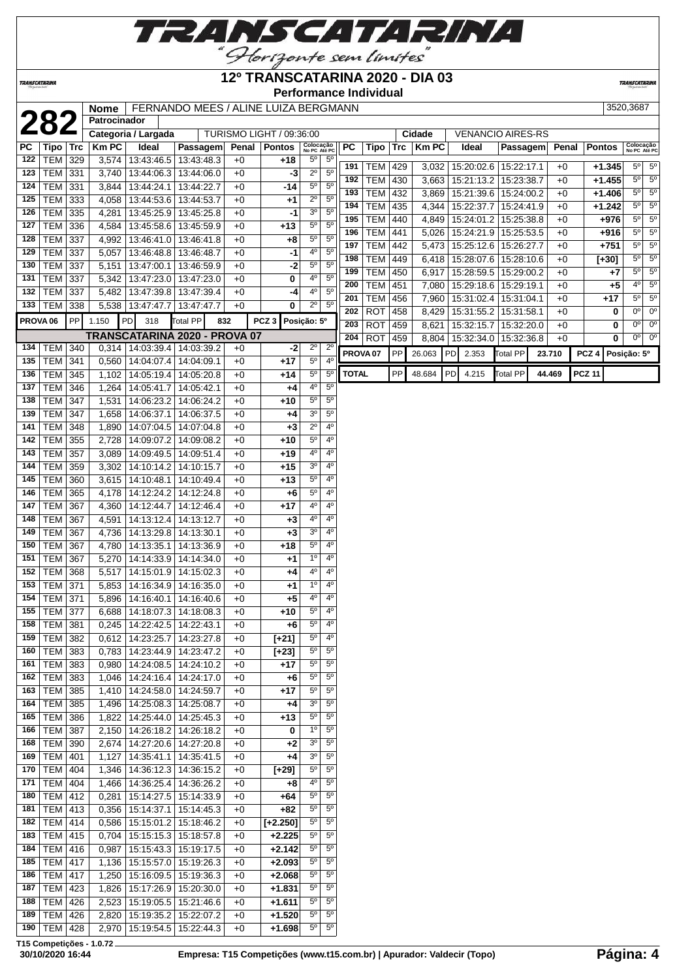

## **12º TRANSCATARINA 2020 - DIA 03**

**Performance Individual**

**TRANSCATARINA** 

|                     |                 |     | Nome                |                          | FERNANDO MEES / ALINE LUIZA BERGMANN          |              |                          |                                 |                |                     |                |     |              |    |                          |                 |        |       |                  | 3520,3687                       |
|---------------------|-----------------|-----|---------------------|--------------------------|-----------------------------------------------|--------------|--------------------------|---------------------------------|----------------|---------------------|----------------|-----|--------------|----|--------------------------|-----------------|--------|-------|------------------|---------------------------------|
|                     | 282             |     | <b>Patrocinador</b> |                          |                                               |              |                          |                                 |                |                     |                |     |              |    |                          |                 |        |       |                  |                                 |
|                     |                 |     |                     | Categoria / Largada      |                                               |              | TURISMO LIGHT / 09:36:00 |                                 |                |                     |                |     | Cidade       |    | <b>VENANCIO AIRES-RS</b> |                 |        |       |                  |                                 |
| РC                  | Tipo   Trc      |     | <b>Km PC</b>        | Ideal                    | Passagem                                      | Penal        | <b>Pontos</b>            | Colocação<br>No PC Até PC       |                | PC                  | Tipo           | Trc | <b>Km PC</b> |    | Ideal                    | Passagem        |        | Penal | <b>Pontos</b>    | Colocação<br>No PC Até PC       |
| 122                 | TEM 329         |     | 3,574               | 13:43:46.5               | 13:43:48.3                                    | +0           | +18                      | $5^{\circ}$                     | $5^{\circ}$    | 191                 | <b>TEM 429</b> |     | 3,032        |    | 15:20:02.6   15:22:17.1  |                 |        | $+0$  | $+1.345$         | $5^\circ$ 5°                    |
| 123                 | <b>TEM 331</b>  |     | 3,740               | 13:44:06.3               | 13:44:06.0                                    | $+0$         | -3                       | $2^{\circ}$                     | $5^{\circ}$    | 192                 | <b>TEM</b>     | 430 | 3,663        |    | 15:21:13.2               | 15:23:38.7      |        | $+0$  | $+1.455$         | $5^{\circ}$<br>$5^{\circ}$      |
| 124                 | <b>TEM 331</b>  |     | 3,844               | 13:44:24.1               | 13:44:22.7                                    | $+0$         | -14                      | $5^{\circ}$                     | $5^{\circ}$    | 193                 | TEM 432        |     | 3,869        |    | 15:21:39.6   15:24:00.2  |                 |        | $+0$  | $+1.406$         | $5^{\circ}$<br>$5^{\circ}$      |
| 125                 | TEM             | 333 | 4,058               | 13:44:53.6               | 13:44:53.7                                    | $+0$         | $^{+1}$                  | $2^{\circ}$                     | $5^{\circ}$    | 194                 | TEM 435        |     | 4,344        |    | 15:22:37.7               | 15:24:41.9      |        | $+0$  | $+1.242$         | $5^{\circ}$<br>$5^{\circ}$      |
| 126                 | TEM             | 335 | 4,281               | 13:45:25.9               | 13:45:25.8                                    | $+0$         | -1                       | 3 <sup>o</sup>                  | $5^{\circ}$    |                     |                |     |              |    |                          |                 |        |       |                  | $5^{\circ}$<br>$5^{\circ}$      |
| 127                 | <b>TEM 336</b>  |     | 4,584               | 13:45:58.6               | 13:45:59.9                                    | $+0$         | $+13$                    | $5^{\circ}$                     | $5^{\circ}$    | 195                 | <b>TEM</b>     | 440 | 4,849        |    | 15:24:01.2   15:25:38.8  |                 |        | $+0$  | $+976$           | $5^{\circ}$<br>$5^{\circ}$      |
| 128                 | TEM 337         |     | 4,992               | 13:46:41.0               | 13:46:41.8                                    | $+0$         | $+8$                     | 5 <sup>o</sup>                  | $5^{\circ}$    | 196                 | <b>TEM</b>     | 441 | 5,026        |    | 15:24:21.9               | 15:25:53.5      |        | $+0$  | $+916$           | 5 <sup>o</sup><br>$5^{\circ}$   |
| 129                 | <b>TEM 337</b>  |     | 5,057               | 13:46:48.8               | 13:46:48.7                                    | $+0$         | -1                       | 4 <sup>0</sup>                  | $5^{\circ}$    | 197                 | <b>TEM</b>     | 442 | 5,473        |    | 15:25:12.6               | 15:26:27.7      |        | $+0$  | $+751$           |                                 |
| 130                 | TEM             | 337 | 5,151               | 13:47:00.1               | 13:46:59.9                                    | $+0$         | $-2$                     | $5^{\circ}$                     | 5 <sup>0</sup> | 198                 | <b>TEM</b>     | 449 | 6,418        |    | 15:28:07.6               | 15:28:10.6      |        | $+0$  | $[+30]$          | $5^{\circ}$<br>$5^{\circ}$      |
| 131                 | TEM             | 337 | 5,342               | 13:47:23.0               | 13:47:23.0                                    | $+0$         | 0                        | 4°                              | 5 <sup>0</sup> | 199                 | <b>TEM</b>     | 450 | 6,917        |    | 15:28:59.5               | 15:29:00.2      |        | $+0$  | +7               | $5^{\circ}$<br>$5^{\circ}$      |
| 132                 | TEM             | 337 | 5,482               | 13:47:39.8               | 13:47:39.4                                    | $+0$         | -4                       | 4 <sup>0</sup>                  | $5^{\circ}$    | 200                 | <b>TEM</b>     | 451 | 7,080        |    | 15:29:18.6               | 15:29:19.1      |        | $+0$  | $+5$             | 4 <sup>o</sup><br>$5^{\circ}$   |
| 133                 | TEM 338         |     | 5,538               | 13:47:47.7               | 13:47:47.7                                    | $+0$         | 0                        | $2^{\circ}$                     | $5^{\circ}$    | 201                 | <b>TEM</b>     | 456 | 7,960        |    | 15:31:02.4               | 15:31:04.1      |        | $+0$  | $+17$            | $\overline{5^0}$<br>$5^{\circ}$ |
| PROVA <sub>06</sub> |                 | PP  | 1.150               | PD<br>318                | Total PP<br>832                               |              | PCZ 3 Posição: 5°        |                                 |                | 202                 | <b>ROT</b>     | 458 | 8,429        |    | 15:31:55.2               | 15:31:58.1      |        | $+0$  | 0                | 0 <sup>o</sup><br>$0^{\circ}$   |
|                     |                 |     |                     |                          |                                               |              |                          |                                 |                | 203                 | <b>ROT</b>     | 459 | 8,621        |    | 15:32:15.7               | 15:32:20.0      |        | $+0$  | 0                | $0^{\circ}$<br>$0^{\circ}$      |
|                     |                 |     |                     |                          | TRANSCATARINA 2020 - PROVA 07                 |              |                          |                                 |                | 204                 | <b>ROT</b>     | 459 |              |    | 8,804   15:32:34.0       | 15:32:36.8      |        | $+0$  | 0                | 0 <sup>0</sup><br>$0^{\circ}$   |
| 134                 | TEM 340         |     |                     | 0,314   14:03:39.4       | 14:03:39.2                                    | $+0$         | -2                       | $2^{\circ}$<br>$\overline{5^0}$ | $2^{\circ}$    | PROVA <sub>07</sub> |                | PP  | 26.063       | PD | 2.353                    | <b>Total PP</b> | 23.710 |       | PCZ <sub>4</sub> | Posição: 5º                     |
| 135                 | <b>TEM 341</b>  |     | 0,560               | 14:04:07.4               | 14:04:09.1                                    | +0           | $+17$                    |                                 | $4^{\circ}$    |                     |                |     |              |    |                          |                 |        |       |                  |                                 |
| 136                 | <b>TEM 345</b>  |     | 1,102               | 14:05:19.4               | 14:05:20.8                                    | $+0$         | +14                      | $\overline{5^0}$                | $5^{\circ}$    | <b>TOTAL</b>        |                | PP  | 48.684       | PD | 4.215                    | Total PP        | 44.469 |       | <b>PCZ 11</b>    |                                 |
| 137                 | TEM             | 346 | 1,264               | 14:05:41.7               | 14:05:42.1                                    | $+0$         | +4                       | $4^{\circ}$                     | $5^{\circ}$    |                     |                |     |              |    |                          |                 |        |       |                  |                                 |
| 138                 | <b>TEM 347</b>  |     | 1,531               | 14:06:23.2               | 14:06:24.2                                    | $+0$         | $+10$                    | $5^{\rm o}$                     | $5^{\circ}$    |                     |                |     |              |    |                          |                 |        |       |                  |                                 |
| 139                 | <b>TEM 347</b>  |     | 1,658               | 14:06:37.1               | 14:06:37.5                                    | $+0$         | +4                       | 3 <sup>o</sup>                  | $5^{\circ}$    |                     |                |     |              |    |                          |                 |        |       |                  |                                 |
| 141                 | <b>TEM 348</b>  |     | 1,890               | 14:07:04.5               | 14:07:04.8                                    | $+0$         | $+3$                     | $\overline{2^0}$                | 4 <sup>0</sup> |                     |                |     |              |    |                          |                 |        |       |                  |                                 |
| 142                 | <b>TEM</b>      | 355 | 2,728               | 14:09:07.2               | 14:09:08.2                                    | $+0$         | $+10$                    | $5^{\rm o}$                     | $4^{\circ}$    |                     |                |     |              |    |                          |                 |        |       |                  |                                 |
| 143                 | TEM             | 357 | 3,089               | 14:09:49.5               | 14:09:51.4                                    | $+0$         | $+19$                    | $4^{\circ}$                     | $4^{\circ}$    |                     |                |     |              |    |                          |                 |        |       |                  |                                 |
| 144                 | TEM             | 359 | 3,302               | 14:10:14.2               | 14:10:15.7                                    | $+0$         | $+15$                    | $\overline{3^0}$                | $4^{\circ}$    |                     |                |     |              |    |                          |                 |        |       |                  |                                 |
| 145                 | TEM             | 360 | 3,615               | 14:10:48.1               | 14:10:49.4                                    | $+0$         | $+13$                    | $5^{\circ}$                     | $4^{\circ}$    |                     |                |     |              |    |                          |                 |        |       |                  |                                 |
| 146                 | TEM             | 365 | 4,178               | 14:12:24.2               | 14:12:24.8                                    | $+0$         | $+6$                     | $5^{\rm o}$                     | $4^{\circ}$    |                     |                |     |              |    |                          |                 |        |       |                  |                                 |
| 147                 | TEM             | 367 | 4,360               | 14:12:44.7               | 14:12:46.4                                    | $+0$         | $+17$                    | 4 <sup>0</sup>                  | $4^{\circ}$    |                     |                |     |              |    |                          |                 |        |       |                  |                                 |
| 148                 | TEM             | 367 | 4,591               | 14:13:12.4               | 14:13:12.7                                    | $+0$         | $+3$                     | 4 <sup>0</sup>                  | $4^{\circ}$    |                     |                |     |              |    |                          |                 |        |       |                  |                                 |
| 149                 | <b>TEM 367</b>  |     | 4,736               | 14:13:29.8               | 14:13:30.1                                    | $+0$         | $+3$                     | $\overline{3^0}$                | $4^{\circ}$    |                     |                |     |              |    |                          |                 |        |       |                  |                                 |
| 150                 | TEM             | 367 | 4,780               | 14:13:35.1               | 14:13:36.9                                    | $+0$         | $+18$                    | $5^{\rm o}$                     | $4^{\circ}$    |                     |                |     |              |    |                          |                 |        |       |                  |                                 |
| 151                 | TEM             | 367 | 5,270               | 14:14:33.9               | 14:14:34.0                                    | $+0$         | +1                       | 1 <sup>0</sup>                  | $4^{\circ}$    |                     |                |     |              |    |                          |                 |        |       |                  |                                 |
| 152                 | TEM             | 368 | 5,517               | 14:15:01.9               | 14:15:02.3                                    | $+0$         | +4                       | 40                              | $4^{\circ}$    |                     |                |     |              |    |                          |                 |        |       |                  |                                 |
| 153                 | TEM             | 371 | 5,853               | 14:16:34.9               | 14:16:35.0                                    | $+0$         | $+1$                     | $1^{\circ}$                     | $4^{\circ}$    |                     |                |     |              |    |                          |                 |        |       |                  |                                 |
| 154                 | <b>TEM 371</b>  |     | 5,896               | 14:16:40.1               | 14:16:40.6                                    | +0           | $+5$                     | $4^{\rm o}$                     | 4°             |                     |                |     |              |    |                          |                 |        |       |                  |                                 |
| 155                 | <b>TEM 377</b>  |     |                     |                          | 6,688   14:18:07.3   14:18:08.3               | $+0$         | $+10$                    | $5^{\rm o}$                     | $4^{\circ}$    |                     |                |     |              |    |                          |                 |        |       |                  |                                 |
|                     | 158 TEM 381     |     |                     |                          | $0,245$ 14:22:42.5 14:22:43.1                 | $+0$         | $+6$                     | $5^{\circ}$                     | $4^\circ$      |                     |                |     |              |    |                          |                 |        |       |                  |                                 |
| 159                 | <b>TEM 382</b>  |     |                     | 0,612 14:23:25.7         | 14:23:27.8                                    | $+0$         | $[+21]$                  | $5^{\circ}$                     | $4^{\circ}$    |                     |                |     |              |    |                          |                 |        |       |                  |                                 |
| 160                 | $TEM$ 383       |     | 0,783               | 14:23:44.9               | 14:23:47.2                                    | $+0$         | $[+23]$                  | $5^{\rm o}$                     | $5^{\circ}$    |                     |                |     |              |    |                          |                 |        |       |                  |                                 |
| 161                 | TEM 383         |     | 0,980               | 14:24:08.5               | 14:24:10.2                                    | $+0$         | $+17$                    | $5^{\circ}$                     | $5^{\circ}$    |                     |                |     |              |    |                          |                 |        |       |                  |                                 |
| 162                 | TEM 383         |     | $\overline{1,046}$  | 14:24:16.4               | 14:24:17.0                                    | $+0$         | +6                       | $5^{\circ}$                     | $5^{\circ}$    |                     |                |     |              |    |                          |                 |        |       |                  |                                 |
| 163                 | TEM             | 385 | 1,410               | 14:24:58.0               | 14:24:59.7                                    | $+0$         | +17                      | $5^{\circ}$                     | $5^{\circ}$    |                     |                |     |              |    |                          |                 |        |       |                  |                                 |
| 164                 | TEM             | 385 | 1,496               | 14:25:08.3               | 14:25:08.7                                    | $+0$         | +4                       | 3 <sup>o</sup>                  | $5^{\circ}$    |                     |                |     |              |    |                          |                 |        |       |                  |                                 |
|                     | 165   TEM   386 |     | 1,822               | 14:25:44.0               | 14:25:45.3                                    | $+0$         | +13                      | $5^{\rm o}$                     | $5^{\circ}$    |                     |                |     |              |    |                          |                 |        |       |                  |                                 |
|                     | 166   TEM   387 |     | 2,150               | 14:26:18.2               | 14:26:18.2                                    | $+0$         | 0                        | 1 <sup>0</sup>                  | $5^{\circ}$    |                     |                |     |              |    |                          |                 |        |       |                  |                                 |
| 168                 | TEM 390         |     | 2,674               | 14:27:20.6               | 14:27:20.8                                    | $+0$         | $+2$                     | 3 <sup>o</sup>                  | $5^{\circ}$    |                     |                |     |              |    |                          |                 |        |       |                  |                                 |
| 169                 | $ TEM $ 401     |     | 1,127               | 14:35:41.1               | 14:35:41.5                                    | $+0$         | $+4$                     | 3 <sup>o</sup>                  | $5^{\circ}$    |                     |                |     |              |    |                          |                 |        |       |                  |                                 |
| 170                 | <b>TEM 404</b>  |     | 1,346               | 14:36:12.3               | 14:36:15.2                                    | $+0$         | $[+29]$                  | $5^{\circ}$                     | $5^{\circ}$    |                     |                |     |              |    |                          |                 |        |       |                  |                                 |
| 171                 | <b>TEM 404</b>  |     | 1,466               | 14:36:25.4               | 14:36:26.2                                    | $+0$         | $+8$                     | $4^{\circ}$                     | $5^{\circ}$    |                     |                |     |              |    |                          |                 |        |       |                  |                                 |
| 180                 | $TEM$ 412       |     | 0,281               | 15:14:27.5               | 15:14:33.9                                    | $+0$         | +64                      | $5^{\circ}$                     | $5^{\circ}$    |                     |                |     |              |    |                          |                 |        |       |                  |                                 |
| 181                 | <b>TEM 413</b>  |     | 0,356               | 15:14:37.1               | 15:14:45.3                                    | +0           | +82                      | $5^{\circ}$                     | $5^{\circ}$    |                     |                |     |              |    |                          |                 |        |       |                  |                                 |
| 182                 | TEM 414         |     | 0,586               | 15:15:01.2               | 15:18:46.2                                    | +0           | $[-2.250]$               | $5^{\circ}$                     | $5^{\circ}$    |                     |                |     |              |    |                          |                 |        |       |                  |                                 |
| 183                 | TEM 415         |     | 0,704               | 15:15:15.3               | 15:18:57.8                                    | $+0$         | $+2.225$                 | $5^{\circ}$                     | $5^{\circ}$    |                     |                |     |              |    |                          |                 |        |       |                  |                                 |
| 184                 | <b>TEM 416</b>  |     | 0,987               | 15:15:43.3               | 15:19:17.5                                    | +0           | $+2.142$                 | $5^{\circ}$                     | $5^{\circ}$    |                     |                |     |              |    |                          |                 |        |       |                  |                                 |
|                     | 185   TEM   417 |     | 1,136               | 15:15:57.0               | 15:19:26.3                                    | $+0$         | $+2.093$                 | $5^{\circ}$                     | $5^{\circ}$    |                     |                |     |              |    |                          |                 |        |       |                  |                                 |
| 186                 | <b>TEM 417</b>  |     | 1,250               | 15:16:09.5               | 15:19:36.3                                    | $+0$         | $+2.068$                 | $5^{\circ}$                     | $5^{\circ}$    |                     |                |     |              |    |                          |                 |        |       |                  |                                 |
| 187                 | $TEM$ 423       |     | 1,826               | 15:17:26.9               | 15:20:30.0                                    | $+0$         | $+1.831$                 | $5^{\rm o}$                     | $5^{\circ}$    |                     |                |     |              |    |                          |                 |        |       |                  |                                 |
| 188                 | <b>TEM 426</b>  |     |                     |                          |                                               |              | $+1.611$                 | $5^{\circ}$                     | $5^{\circ}$    |                     |                |     |              |    |                          |                 |        |       |                  |                                 |
| 189                 | <b>TEM 426</b>  |     | 2,523               | 15:19:05.5<br>15:19:35.2 | 15:21:46.6                                    | $+0$         | $+1.520$                 | $5^{\circ}$                     | $5^{\circ}$    |                     |                |     |              |    |                          |                 |        |       |                  |                                 |
| 190                 | TEM 428         |     | 2,820               |                          | 15:22:07.2<br>2,970   15:19:54.5   15:22:44.3 | $+0$<br>$+0$ | $+1.698$                 | $5^{\rm o}$                     | $5^{\circ}$    |                     |                |     |              |    |                          |                 |        |       |                  |                                 |
|                     |                 |     |                     |                          |                                               |              |                          |                                 |                |                     |                |     |              |    |                          |                 |        |       |                  |                                 |

**T15 Competições - 1.0.72**

**TRANSCATARINA**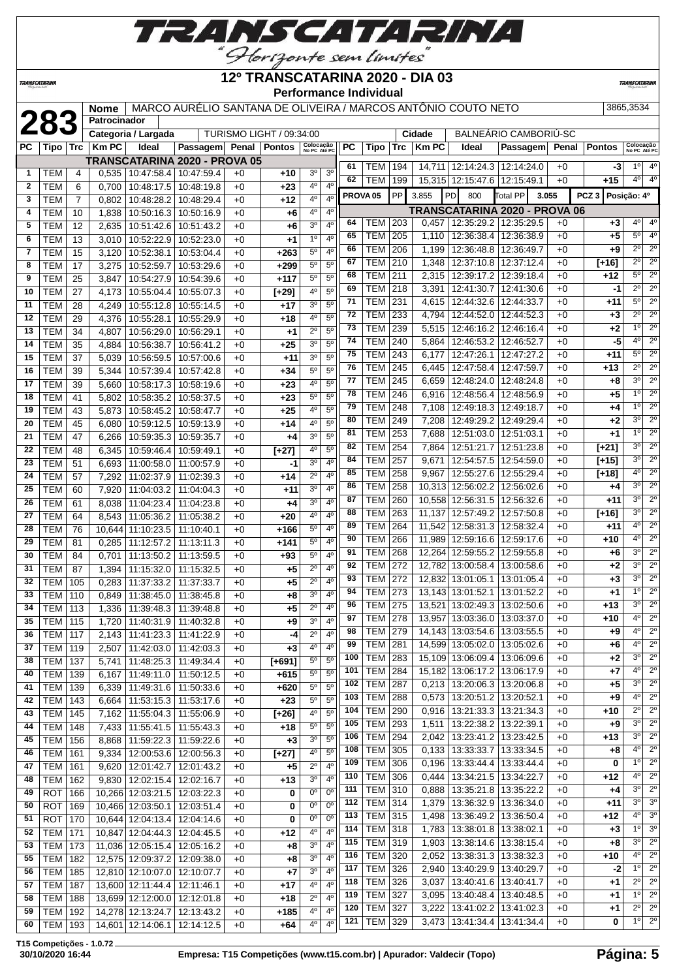

**TRANSCATARINA** 

**TRANSCATARIN** 

|                |                          |                |                |                                                                |                                                               |              |                                 |                                  |                                  |            | <b>Performance Individual</b> |            |                |                                        |                                      |              |                  |                            |                                       |
|----------------|--------------------------|----------------|----------------|----------------------------------------------------------------|---------------------------------------------------------------|--------------|---------------------------------|----------------------------------|----------------------------------|------------|-------------------------------|------------|----------------|----------------------------------------|--------------------------------------|--------------|------------------|----------------------------|---------------------------------------|
|                |                          |                | <b>Nome</b>    |                                                                | MARCO AURÉLIO SANTANA DE OLIVEIRA / MARCOS ANTÔNIO COUTO NETO |              |                                 |                                  |                                  |            |                               |            |                |                                        |                                      |              |                  | 3865,3534                  |                                       |
|                | 283                      |                | Patrocinador   |                                                                |                                                               |              |                                 |                                  |                                  |            |                               |            |                |                                        |                                      |              |                  |                            |                                       |
|                |                          |                |                | Categoria / Largada                                            |                                                               |              | <b>TURISMO LIGHT / 09:34:00</b> |                                  |                                  |            |                               |            | Cidade         |                                        | BALNEÁRIO CAMBORIÚ-SC                |              |                  |                            |                                       |
| РC             | Tipo ∣ Trc               |                | <b>KmPC</b>    | Ideal                                                          | Passagem                                                      |              | Penal   Pontos                  | Colocação<br>No PC Até PC        |                                  | PC         | Tipo                          | Trc        | <b>KmPC</b>    | <b>Ideal</b>                           | Passagem                             | Penal        | <b>Pontos</b>    | Colocação<br>No PC Até PC  |                                       |
|                |                          |                |                |                                                                | TRANSCATARINA 2020 - PROVA 05                                 |              |                                 |                                  |                                  | 61         | TEM                           | 194        |                | 14,711   12:14:24.3                    | 12:14:24.0                           | $+0$         | -3               | $1^{\circ}$                | $4^{\circ}$                           |
| 1              | TEM                      | 4              | 0.535          | 10:47:58.4                                                     | 10:47:59.4                                                    | $+0$         | $+10$                           | 30                               | 3 <sup>o</sup><br>4 <sup>0</sup> | 62         | TEM                           | 199        |                | 15,315 12:15:47.6                      | 12:15:49.1                           | $+0$         | +15              | $4^{\circ}$                | $4^{\circ}$                           |
| $\mathbf{2}$   | <b>TEM</b>               | 6              | 0,700          | 10:48:17.5                                                     | 10:48:19.8                                                    | $+0$         | $+23$                           | 4 <sup>0</sup><br>4 <sup>0</sup> | 4 <sup>0</sup>                   |            | PROVA <sub>05</sub>           | PP         | 3.855          | PD<br>800                              | <b>Total PP</b>                      | 3.055        | PCZ <sub>3</sub> | Posição: 4º                |                                       |
| 3<br>4         | <b>TEM</b>               | $\overline{7}$ | 0,802          | 10:48:28.2<br>10:50:16.3                                       | 10:48:29.4                                                    | $+0$         | $+12$                           | 4°                               | $4^{\circ}$                      |            |                               |            |                |                                        | <b>TRANSCATARINA 2020 - PROVA 06</b> |              |                  |                            |                                       |
| 5              | <b>TEM</b><br><b>TEM</b> | 10<br>12       | 1,838          | 10:51:42.6                                                     | 10:50:16.9<br>10:51:43.2                                      | $+0$<br>$+0$ | $+6$                            | 3 <sup>o</sup>                   | 4 <sup>0</sup>                   | 64         | TEM                           | 203        | 0,457          | 12:35:29.2                             | 12:35:29.5                           | $+0$         | +3               | 4º                         | 4 <sup>0</sup>                        |
| 6              | <b>TEM</b>               | 13             | 2,635<br>3,010 | 10:52:22.9                                                     | 10:52:23.0                                                    | $+0$         | $+6$                            | 1 <sup>0</sup>                   | 4 <sup>0</sup>                   | 65         | TEM                           | 205        | 1,110          | 12:36:38.4                             | 12:36:38.9                           | $+0$         | +5               | $5^{\circ}$                | 4 <sup>0</sup>                        |
| $\overline{7}$ | <b>TEM</b>               | 15             | 3,120          | 10:52:38.1                                                     | 10:53:04.4                                                    | $+0$         | $+1$<br>$+263$                  | $5^{\circ}$                      | 4 <sup>0</sup>                   | 66         | <b>TEM</b>                    | 206        | 1,199          | 12:36:48.8                             | 12:36:49.7                           | $+0$         | +9               | $2^{\circ}$                | $\overline{2^0}$                      |
| 8              | <b>TEM</b>               | 17             | 3,275          | 10:52:59.7                                                     | 10:53:29.6                                                    | $+0$         | $+299$                          | $5^{\circ}$                      | 5 <sup>0</sup>                   | 67         | <b>TEM</b>                    | 210        | 1,348          | 12:37:10.8                             | 12:37:12.4                           | $+0$         | $[+16]$          | $2^{\circ}$                | $2^{\circ}$                           |
| 9              | <b>TEM</b>               | 25             | 3,847          | 10:54:27.9                                                     | 10:54:39.6                                                    | $+0$         | $+117$                          | 5 <sup>0</sup>                   | 5 <sup>0</sup>                   | 68         | <b>TEM</b>                    | 211        |                | 2,315 12:39:17.2                       | 12:39:18.4                           | $+0$         | +12              | $5^{\circ}$                | $2^{\circ}$                           |
| 10             | <b>TEM</b>               | 27             | 4,173          | 10:55:04.4                                                     | 10:55:07.3                                                    | $+0$         | $[+29]$                         | 40                               | $5^{\circ}$                      | 69         | <b>TEM</b>                    | 218        | 3,391          | 12:41:30.7                             | 12:41:30.6                           | $+0$         | -1               | $2^{\circ}$                | $2^{\circ}$                           |
| 11             | <b>TEM</b>               | 28             | 4,249          | 10:55:12.8                                                     | 10:55:14.5                                                    | $+0$         | $+17$                           | 3 <sup>0</sup>                   | 5 <sup>0</sup>                   | 71         | <b>TEM</b>                    | 231        | 4,615          | 12:44:32.6                             | 12:44:33.7                           | $+0$         | $+11$            | $5^{\circ}$                | $2^{\circ}$                           |
| 12             | <b>TEM</b>               | 29             | 4,376          | 10:55:28.1                                                     | 10:55:29.9                                                    | $+0$         | +18                             | 4 <sup>0</sup>                   | $5^{\circ}$                      | 72         | <b>TEM</b>                    | 233        | 4,794          | 12:44:52.0                             | 12:44:52.3                           | $+0$         | $+3$             | $2^{\circ}$                | $\overline{2^0}$                      |
| 13             | <b>TEM</b>               | 34             | 4,807          | 10:56:29.0                                                     | 10:56:29.1                                                    | $+0$         | $+1$                            | $2^{\circ}$                      | 5 <sup>0</sup>                   | 73         | <b>TEM</b>                    | 239        | 5,515          | 12:46:16.2                             | 12:46:16.4                           | $+0$         | $+2$             | 1 <sup>0</sup>             | $2^{\circ}$                           |
| 14             | <b>TEM</b>               | 35             | 4,884          | 10:56:38.7                                                     | 10:56:41.2                                                    | $+0$         | $+25$                           | $\overline{3^0}$                 | $\overline{5^0}$                 | 74         | TEM                           | 240        | 5,864          | 12:46:53.2                             | 12:46:52.7                           | $+0$         | -5               | 4 <sup>0</sup>             | $\overline{2^0}$                      |
| 15             | <b>TEM</b>               | 37             | 5,039          | 10:56:59.5                                                     | 10:57:00.6                                                    | $+0$         | $+11$                           | 30                               | 5 <sup>0</sup>                   | 75         | <b>TEM</b>                    | 243        | 6,177          | 12:47:26.1                             | 12:47:27.2                           | $+0$         | $+11$            | $5^{\circ}$                | $2^{\circ}$                           |
| 16             | <b>TEM</b>               | 39             | 5,344          | 10:57:39.4                                                     | 10:57:42.8                                                    | $+0$         | $+34$                           | 5 <sup>0</sup>                   | 5 <sup>0</sup>                   | 76         | <b>TEM</b>                    | 245        | 6,445          | 12:47:58.4                             | 12:47:59.7                           | $+0$         | +13              | $2^{\circ}$                | $\overline{2^{\circ}}$                |
| 17             | <b>TEM</b>               | 39             | 5,660          | 10:58:17.3                                                     | 10:58:19.6                                                    | $+0$         | $+23$                           | 4°                               | 5 <sup>0</sup>                   | 77         | <b>TEM</b>                    | 245        | 6,659          | 12:48:24.0                             | 12:48:24.8                           | $+0$         | +8               | 3 <sup>0</sup>             | $\overline{2^0}$                      |
| 18             | <b>TEM</b>               | 41             | 5,802          | 10:58:35.2                                                     | 10:58:37.5                                                    | $+0$         | $+23$                           | $5^{\circ}$                      | 5 <sup>o</sup>                   | 78         | <b>TEM</b>                    | 246        | 6,916          | 12:48:56.4                             | 12:48:56.9                           | $+0$         | $+5$             | 1 <sup>°</sup>             | $2^{\circ}$                           |
| 19             | <b>TEM</b>               | 43             | 5,873          | 10:58:45.2                                                     | 10:58:47.7                                                    | $+0$         | $+25$                           | 40                               | $5^{\circ}$                      | 79         | <b>TEM</b>                    | 248        | 7,108          | 12:49:18.3                             | 12:49:18.7                           | $+0$         | +4               | 1 <sup>0</sup>             | $2^{\circ}$                           |
| 20             | <b>TEM</b>               | 45             | 6,080          | 10:59:12.5                                                     | 10:59:13.9                                                    | $+0$         | $+14$                           | 4 <sup>0</sup>                   | 5 <sup>0</sup>                   | 80         | <b>TEM</b>                    | 249        | 7,208          | 12:49:29.2                             | 12:49:29.4                           | $+0$         | $+2$             | 3 <sup>0</sup>             | $2^{\circ}$                           |
| 21             | <b>TEM</b>               | 47             | 6,266          | 10:59:35.3                                                     | 10:59:35.7                                                    | $+0$         | $+4$                            | 3 <sup>o</sup>                   | $5^{\circ}$                      | 81         | <b>TEM</b>                    | 253        | 7,688          | 12:51:03.0                             | 12:51:03.1                           | $+0$         | +1               | 1 <sup>0</sup>             | $\overline{2^0}$                      |
| 22             | <b>TEM</b>               | 48             | 6,345          | 10:59:46.4                                                     | 10:59:49.1                                                    | $+0$         | $[+27]$                         | 40                               | 5 <sup>0</sup>                   | 82         | TEM                           | 254        | 7,864          | 12:51:21.7                             | 12:51:23.8                           | $+0$         | $[+21]$          | 3 <sup>o</sup>             | $2^{\circ}$                           |
| 23             | <b>TEM</b>               | 51             | 6,693          | 11:00:58.0                                                     | 11:00:57.9                                                    | $+0$         | -1                              | 3 <sup>o</sup>                   | 4 <sup>0</sup>                   | 84         | <b>TEM</b>                    | 257        | 9,671          | 12:54:57.5                             | 12:54:59.0                           | $+0$         | $[+15]$          | 3 <sup>o</sup>             | $2^{\circ}$                           |
| 24             | <b>TEM</b>               | 57             | 7,292          | 11:02:37.9                                                     | 11:02:39.3                                                    | $+0$         | $+14$                           | $2^{\circ}$                      | 4 <sup>0</sup>                   | 85         | <b>TEM</b>                    | 258        | 9,967          | 12:55:27.6                             | 12:55:29.4                           | $+0$         | $[+18]$          | 40<br>3 <sup>0</sup>       | $2^{\circ}$<br>$\overline{2^{\circ}}$ |
| 25             | <b>TEM</b>               | 60             | 7,920          | 11:04:03.2                                                     | 11:04:04.3                                                    | $+0$         | $+11$                           | 3 <sup>0</sup>                   | 4 <sup>0</sup>                   | 86<br>87   | <b>TEM</b><br><b>TEM</b>      | 258        |                | 10,313 12:56:02.2                      | 12:56:02.6                           | $+0$         | +4               | 3 <sup>o</sup>             | $\overline{2^0}$                      |
| 26             | <b>TEM</b>               | 61             | 8,038          | 11:04:23.4                                                     | 11:04:23.8                                                    | $+0$         | $+4$                            | 3 <sup>0</sup>                   | 4 <sup>0</sup>                   | 88         | <b>TEM</b>                    | 260        |                | 10,558 12:56:31.5<br>11,137 12:57:49.2 | 12:56:32.6                           | $+0$         | $+11$            | 3 <sup>0</sup>             | $2^{\circ}$                           |
| 27             | <b>TEM</b>               | 64             | 8,543          | 11:05:36.2                                                     | 11:05:38.2                                                    | $+0$         | $+20$                           | 40                               | 4 <sup>0</sup>                   | 89         | <b>TEM</b>                    | 263<br>264 |                | 11,542 12:58:31.3                      | 12:57:50.8<br>12:58:32.4             | $+0$<br>$+0$ | $[+16]$<br>$+11$ | 4 <sup>0</sup>             | $\overline{2^0}$                      |
| 28             | <b>TEM</b>               | 76             | 10,644         | 11:10:23.5                                                     | 11:10:40.1                                                    | $+0$         | +166                            | $5^{\rm o}$                      | 4 <sup>0</sup>                   | 90         | <b>TEM</b>                    | 266        |                | 11,989 12:59:16.6                      | 12:59:17.6                           | $+0$         | $+10$            | 4 <sup>0</sup>             | $2^{\circ}$                           |
| 29             | <b>TEM</b>               | 81             | 0,285          | 11:12:57.2                                                     | 11:13:11.3                                                    | $+0$         | $+141$                          | 5 <sup>0</sup>                   | 4 <sup>0</sup>                   | 91         | <b>TEM</b>                    | 268        |                | 12,264 12:59:55.2                      | 12:59:55.8                           | $+0$         | +6               | 3 <sup>0</sup>             | $2^{\circ}$                           |
| 30             | <b>TEM</b>               | 84             | 0,701          | 11:13:50.2                                                     | 11:13:59.5                                                    | $+0$         | $+93$                           | $\overline{5^0}$<br>$2^{\circ}$  | 4 <sup>0</sup><br>4 <sup>0</sup> | 92         | <b>TEM</b>                    | 272        | 12,782         | 13:00:58.4                             | 13:00:58.6                           | $+0$         | +2               | 3 <sup>0</sup>             | $2^{\circ}$                           |
| 31<br>32       | <b>TEM</b><br><b>TEM</b> | 87<br>105      | 1,394          | 11:15:32.0<br>11:37:33.2                                       | 11:15:32.5<br>11:37:33.7                                      | $+0$<br>$+0$ | $+5$<br>$+5$                    | $2^{\circ}$                      | 4 <sup>0</sup>                   | 93         | <b>TEM</b>                    | 272        | 12,832         | 13:01:05.1                             | 13:01:05.4                           | $+0$         | $+3$             | 3 <sup>0</sup>             | $\overline{2^{\circ}}$                |
| 33             | <b>TEM</b>               | 110            | 0,283<br>0,849 | 11:38:45.0                                                     | 11:38:45.8                                                    | $+0$         | $+8$                            | 3 <sup>o</sup>                   | 4 <sup>0</sup>                   | 94         | <b>TEM</b>                    | 273        |                | 13,143 13:01:52.1                      | 13:01:52.2                           | $+0$         | +1               | 1 <sup>0</sup>             | $2^{\circ}$                           |
| 34             | $ $ TEM $ $ 113          |                |                |                                                                |                                                               | $+0$         | $+5$                            | $\overline{2^0}$                 | 4 <sup>0</sup>                   | 96         | <b>TEM 275</b>                |            |                | 13,521 13:02:49.3 13:02:50.6           |                                      | $+0$         | $+13$            | $3^{\circ}$                | $2^{\circ}$                           |
| 35             | <b>TEM 115</b>           |                |                | 1,336 11:39:48.3 11:39:48.8<br>1,720   11:40:31.9   11:40:32.8 |                                                               | $+0$         | $+9$                            | 30                               | 4 <sup>0</sup>                   | 97         | <b>TEM 278</b>                |            |                |                                        | 13,957 13:03:36.0 13:03:37.0         | $+0$         | +10              | 40                         | $2^{\circ}$                           |
| 36             | <b>TEM 117</b>           |                | 2,143          | 11:41:23.3   11:41:22.9                                        |                                                               | $+0$         | -4                              | $2^{\circ}$                      | $4^{\circ}$                      | 98         | <b>TEM 279</b>                |            |                | 14,143 13:03:54.6 13:03:55.5           |                                      | $+0$         | +9               | $4^{\circ}$                | $\overline{2^0}$                      |
| 37             | <b>TEM 119</b>           |                | 2,507          | 11:42:03.0   11:42:03.3                                        |                                                               | $+0$         | $+3$                            | 40                               | 4 <sup>0</sup>                   | 99         | <b>TEM 281</b>                |            |                |                                        | 14,599 13:05:02.0 13:05:02.6         | $+0$         | +6               | $4^{\circ}$                | $\overline{2^0}$                      |
| 38             | <b>TEM 137</b>           |                | 5,741          | 11:48:25.3   11:49:34.4                                        |                                                               | $+0$         | $[+691]$                        | $5^{\circ}$                      | $5^{\circ}$                      | 100        | <b>TEM 283</b>                |            |                |                                        | 15,109 13:06:09.4 13:06:09.6         | $+0$         | $+2$             | $3^{\circ}$                | $2^{\circ}$                           |
| 40             | TEM   139                |                |                | 6,167   11:49:11.0   11:50:12.5                                |                                                               | $+0$         | $+615$                          | $5^{\circ}$                      | $5^{\circ}$                      | 101        | <b>TEM 284</b>                |            |                | 15,182 13:06:17.2                      | 13:06:17.9                           | $+0$         | $+7$             | $4^{\circ}$                | $\overline{2^0}$                      |
| 41             | TEM   139                |                | 6,339          | 11:49:31.6   11:50:33.6                                        |                                                               | $+0$         | $+620$                          | $5^{\circ}$                      | $5^{\rm o}$                      | 102        | <b>TEM 287</b>                |            |                | $0,213$   13:20:06.3   13:20:06.8      |                                      | $+0$         | $+5$             | $3^{\circ}$                | $2^{\circ}$                           |
| 42             | TEM 143                  |                |                | 6,664   11:53:15.3   11:53:17.6                                |                                                               | $+0$         | $+23$                           | $5^{\circ}$                      | $5^{\circ}$                      | 103        | <b>TEM 288</b>                |            |                | $0,573$   13:20:51.2   13:20:52.1      |                                      | $+0$         | +9               | $4^{\circ}$                | $\overline{2^0}$                      |
| 43             | <b>TEM 145</b>           |                | 7,162          | 11:55:04.3   11:55:06.9                                        |                                                               | $+0$         | $[+26]$                         | 4 <sup>0</sup>                   | $5^{\circ}$                      | 104        | <b>TEM 290</b>                |            |                | $0,916$   13:21:33.3   13:21:34.3      |                                      | $+0$         | +10              | $2^{\circ}$                | $2^{\circ}$                           |
| 44             | <b>TEM 148</b>           |                | 7,433          | 11:55:41.5 11:55:43.3                                          |                                                               | $+0$         | +18                             | $5^{\circ}$                      | $5^{\rm o}$                      | 105        | <b>TEM 293</b>                |            | 1,511          | 13:22:38.2                             | 13:22:39.1                           | $+0$         | +9               | $3^\circ$                  | $2^{\circ}$                           |
| 45             | <b>TEM 156</b>           |                |                | 8,868   11:59:22.3   11:59:22.6                                |                                                               | $+0$         | $+3$                            | 3 <sup>0</sup>                   | $5^{\rm o}$                      | 106        | <b>TEM 294</b>                |            |                | 2,042   13:23:41.2   13:23:42.5        |                                      | $+0$         | $+13$            | $3^{\circ}$                | $2^{\circ}$                           |
| 46             | <b>TEM 161</b>           |                |                | 9,334   12:00:53.6   12:00:56.3                                |                                                               | $+0$         | $[+27]$                         | 4°                               | $5^{\circ}$                      | 108        | TEM 305                       |            |                | $0,133$   13:33:33.7   13:33:34.5      |                                      | $+0$         | $+8$             | $4^{\circ}$                | $2^{\circ}$                           |
| 47             | <b>TEM 161</b>           |                | 9,620          | 12:01:42.7                                                     | 12:01:43.2                                                    | $+0$         | +5                              | $2^{\circ}$                      | 4 <sup>0</sup>                   | 109        | <b>TEM 306</b>                |            | 0,196          | 13:33:44.4                             | 13:33:44.4                           | $+0$         | 0                | $1^{\circ}$                | $\overline{2^0}$                      |
| 48             | $TEM$ 162                |                | 9,830          | 12:02:15.4   12:02:16.7                                        |                                                               | $+0$         | $+13$                           | 30                               | 4 <sup>0</sup>                   | 110        | <b>TEM 306</b>                |            | 0,444          | 13:34:21.5                             | 13:34:22.7                           | $+0$         | +12              | $4^{\circ}$                | $2^{\circ}$                           |
| 49             | $ROT$ 166                |                |                | 10,266 12:03:21.5 12:03:22.3                                   |                                                               | $+0$         | 0                               | 0 <sup>o</sup>                   | $0^{\circ}$                      | 111        | $TEM$ 310                     |            |                | $0,888$   13:35:21.8   13:35:22.2      |                                      | $+0$         | $+4$             | $3^{\circ}$                | $2^{\circ}$                           |
| 50             | ROT   169                |                |                | 10,466 12:03:50.1                                              | 12:03:51.4                                                    | $+0$         | 0                               | 0 <sup>o</sup>                   | $0^{\circ}$                      | 112        | <b>TEM 314</b>                |            |                | 1,379   13:36:32.9                     | 13:36:34.0                           | $+0$         | +11              | $3^{\circ}$                | 3 <sup>o</sup><br>3 <sup>o</sup>      |
| 51             | ROT   170                |                |                | 10,644 12:04:13.4 12:04:14.6                                   |                                                               | $+0$         | 0                               | 0 <sup>o</sup>                   | $0^{\circ}$                      | 113        | <b>TEM 315</b>                |            |                | 1,498   13:36:49.2                     | 13:36:50.4                           | $+0$         | $+12$            | $4^{\circ}$                |                                       |
| 52             | <b>TEM 171</b>           |                |                | 10,847 12:04:44.3                                              | 12:04:45.5                                                    | $+0$         | +12                             | 40                               | $4^{\circ}$                      | 114        | <b>TEM 318</b>                |            |                | 1,783 13:38:01.8                       | 13:38:02.1                           | $+0$         | $+3$             | $1^{\circ}$<br>$3^{\circ}$ | 3 <sup>o</sup><br>$2^{\circ}$         |
| 53             | <b>TEM 173</b>           |                |                | 11,036 12:05:15.4                                              | 12:05:16.2                                                    | $+0$         | $+8$                            | 3 <sup>0</sup>                   | 4 <sup>0</sup>                   | 115        | <b>TEM 319</b>                |            |                | 1,903   13:38:14.6                     | 13:38:15.4                           | $+0$         | +8               | $4^{\circ}$                | $\overline{2^0}$                      |
| 55             | <b>TEM 182</b>           |                |                | 12,575 12:09:37.2                                              | 12:09:38.0                                                    | $+0$         | $+8$                            | 3 <sup>0</sup>                   | 4 <sup>0</sup>                   | 116<br>117 | <b>TEM 320</b><br>TEM 326     |            |                | 2,052   13:38:31.3                     | 13:38:32.3                           | $+0$<br>$+0$ | $+10$<br>$-2$    | $1^{\circ}$                | $2^{\circ}$                           |
| 56             | <b>TEM 185</b>           |                |                | 12,810 12:10:07.0 12:10:07.7                                   |                                                               | $+0$         | $+7$                            | 3 <sup>0</sup>                   | $4^{\circ}$                      | 118        | TEM 326                       |            |                | 2,940   13:40:29.9<br>13:40:41.6       | 13:40:29.7<br>13:40:41.7             | $+0$         | +1               | $2^{\circ}$                | $2^{\circ}$                           |
| 57             | <b>TEM 187</b>           |                |                | 13,600 12:11:44.4 12:11:46.1                                   |                                                               | $+0$         | $+17$                           | 4°                               | $4^{\circ}$                      | 119        | <b>TEM 327</b>                |            | 3,037<br>3,095 | 13:40:48.4                             | 13:40:48.5                           | $+0$         | $+1$             | $1^{\circ}$                | $2^{\circ}$                           |
| 58             | <b>TEM 188</b>           |                |                | 13,699 12:12:00.0 12:12:01.8                                   |                                                               | $+0$         | $+18$                           | $2^{\circ}$                      | $4^{\circ}$                      | 120        | <b>TEM</b> 327                |            |                | 3,222 13:41:02.2                       |                                      | $+0$         | $+1$             | $2^{\circ}$                | $\overline{2^0}$                      |
| 59             |                          |                |                |                                                                | TEM   192   14,278   12:13:24.7   12:13:43.2                  | $+0$         | $+185$                          | 4 <sup>0</sup>                   | $4^{\circ}$                      |            |                               |            |                |                                        | 13:41:02.3                           |              |                  |                            |                                       |

**T15 Competições - 1.0.72**

TEM 193 14,601 12:14:06.1 12:14:12.5 +0 **+64** 4º 4º

TEM 329 3,473 13:41:34.4 13:41:34.4 +0 **0** 1º 2º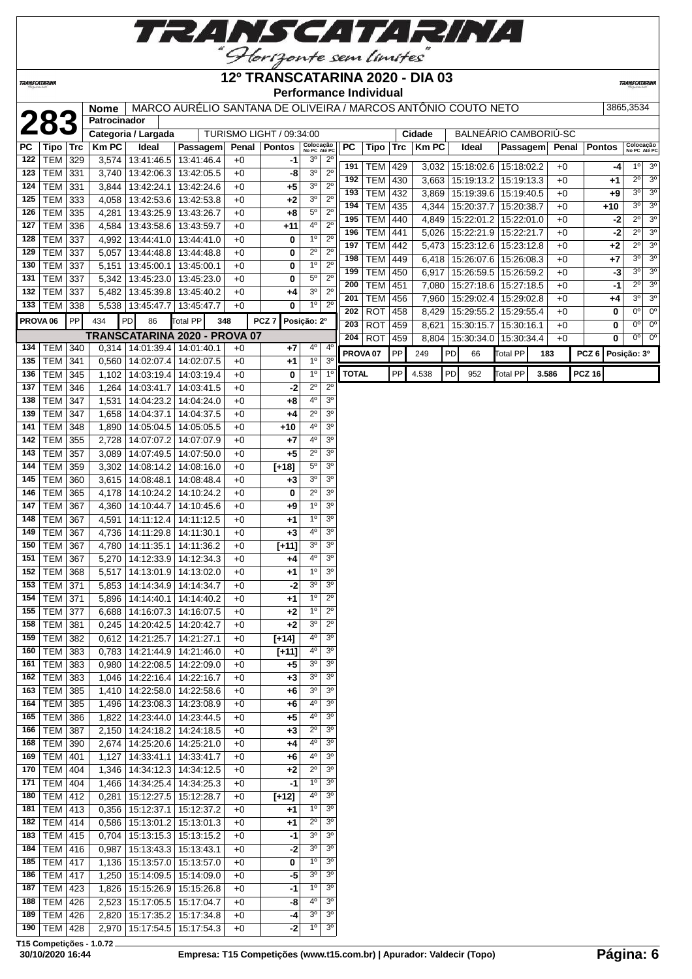

**TRANSCATARINA** 

#### **12º TRANSCATARINA 2020 - DIA 03 Performance Individual**

**TRANSCATARINA** 

|            |                                  |     | Nome<br>Patrocinador |                                      | MARCO AURÉLIO SANTANA DE OLIVEIRA / MARCOS ANTÔNIO COUTO NETO |              |                          |                            |                                  |              |                       |     |              |    |                                                     |                          |       |              |               | 3865,3534                                                         |
|------------|----------------------------------|-----|----------------------|--------------------------------------|---------------------------------------------------------------|--------------|--------------------------|----------------------------|----------------------------------|--------------|-----------------------|-----|--------------|----|-----------------------------------------------------|--------------------------|-------|--------------|---------------|-------------------------------------------------------------------|
|            | 283                              |     |                      | Categoria / Largada                  |                                                               |              | TURISMO LIGHT / 09:34:00 |                            |                                  |              |                       |     | Cidade       |    | BALNEARIO CAMBORIU-SC                               |                          |       |              |               |                                                                   |
| <b>PC</b>  | Tipo   Trc                       |     | <b>Km PC</b>         | Ideal                                | <b>Passagem</b>                                               |              | Penal   Pontos           | Colocação<br>No PC Até PC  |                                  | <b>PC</b>    | <b>Tipo</b>           | Trc | <b>Km PC</b> |    | Ideal                                               | Passagem                 |       | Penal        | <b>Pontos</b> | Colocação<br>No PC Até PC                                         |
| 122        | <b>TEM 329</b>                   |     |                      | 3,574 13:41:46.5                     | 13:41:46.4                                                    | +0           | -1                       | 3 <sup>o</sup>             | $2^{\circ}$                      |              |                       |     |              |    |                                                     |                          |       |              |               |                                                                   |
| 123        | <b>TEM 331</b>                   |     |                      |                                      | 3,740   13:42:06.3   13:42:05.5                               | +0           | -8                       | 3 <sup>o</sup>             | $2^{\circ}$                      | 191          | <b>TEM 429</b>        |     |              |    | 3,032   15:18:02.6   15:18:02.2                     |                          |       | $+0$         |               | 3 <sup>o</sup><br>10<br>-4                                        |
| 124        | TEM 331                          |     |                      | 3,844   13:42:24.1                   | 13:42:24.6                                                    | +0           | +5                       | $3^{\circ}$                | $2^{\circ}$                      | 192          | <b>TEM</b>            | 430 | 3,663        |    | 15:19:13.2                                          | $\sqrt{15:19:13.3}$      |       | $+0$         | +1            | $\overline{2^0}$<br>3 <sup>o</sup>                                |
| 125        | TEM 333                          |     | 4,058                | 13:42:53.6                           | 13:42:53.8                                                    | $+0$         | $+2$                     | 3 <sup>0</sup>             | $2^{\circ}$                      | 193          | <b>TEM</b>            | 432 | 3,869        |    | 15:19:39.6   15:19:40.5                             |                          |       | $+0$         | $+9$          | $3^{\circ}$<br>3 <sup>o</sup><br>3 <sup>0</sup><br>3 <sup>o</sup> |
| 126        | TEM 335                          |     |                      |                                      | 4,281   13:43:25.9   13:43:26.7                               | $+0$         | $+8$                     | $5^{\circ}$                | $2^{\circ}$                      | 194          | <b>TEM</b>            | 435 | 4,344        |    | 15:20:37.7   15:20:38.7                             |                          |       | $+0$         | $+10$         | $2^{\circ}$                                                       |
| 127        | <b>TEM 336</b>                   |     |                      | 4,584   13:43:58.6                   | 13:43:59.7                                                    | $+0$         | $+11$                    | 4 <sup>0</sup>             | $2^{\circ}$                      | 195<br>196   | <b>TEM</b>            | 440 |              |    | 4,849   15:22:01.2   15:22:01.0<br>5,026 15:22:21.9 |                          |       | $+0$         |               | 3 <sup>o</sup><br>$-2$<br>$2^{\circ}$<br>3 <sup>o</sup>           |
| 128        | <b>TEM 337</b>                   |     |                      | 4,992 13:44:41.0                     | 13:44:41.0                                                    | $+0$         | 0                        | $1^{\circ}$                | $2^{\circ}$                      | 197          | TEM 441<br><b>TEM</b> | 442 | 5,473        |    | 15:23:12.6                                          | 15:22:21.7<br>15:23:12.8 |       | $+0$<br>$+0$ | $+2$          | -2<br>$2^{\circ}$<br>$\overline{3^0}$                             |
| 129        | <b>TEM 337</b>                   |     | 5,057                | 13:44:48.8                           | 13:44:48.8                                                    | $+0$         | 0                        | $2^{\circ}$                | $2^{\circ}$                      | 198          | <b>TEM 449</b>        |     |              |    | 6,418   15:26:07.6   15:26:08.3                     |                          |       | $+0$         | $+7$          | 3 <sup>0</sup><br>3 <sup>o</sup>                                  |
| 130        | <b>TEM 337</b>                   |     | 5,151                | 13:45:00.1                           | 13:45:00.1                                                    | $+0$         | 0                        | 1 <sup>0</sup>             | $2^{\circ}$                      | 199          | <b>TEM</b>            | 450 | 6,917        |    | 15:26:59.5   15:26:59.2                             |                          |       | $+0$         |               | 3 <sup>o</sup><br>30<br>$-3$                                      |
| 131        | <b>TEM 337</b>                   |     | 5,342                | 13:45:23.0                           | 13:45:23.0                                                    | $+0$         | 0                        | $5^{\circ}$                | $2^{\circ}$                      | 200          | <b>TEM</b>            | 451 |              |    | 7,080 15:27:18.6                                    | 15:27:18.5               |       | $+0$         |               | $2^{\circ}$<br>3 <sup>o</sup><br>-1                               |
| 132        | TEM                              | 337 | 5,482                | 13:45:39.8                           | 13:45:40.2                                                    | +0           | $+4$                     | 3 <sup>0</sup>             | $2^{\circ}$                      | 201          | <b>TEM</b>            | 456 | 7,960        |    | 15:29:02.4                                          | 15:29:02.8               |       | $+0$         | +4            | 3 <sup>o</sup><br>3 <sup>o</sup>                                  |
| 133        | TEM 338                          |     |                      | 5,538 13:45:47.7                     | 13:45:47.7                                                    | +0           | 0                        | 1 <sup>0</sup>             | $2^{\circ}$                      | 202          | <b>ROT</b>            | 458 | 8,429        |    | 15:29:55.2                                          | 15:29:55.4               |       | $+0$         | 0             | 0 <sup>0</sup><br>0 <sup>o</sup>                                  |
|            | PROVA <sub>06</sub>              | PP  | 434                  | PD<br>86                             | Total PP                                                      | 348          | PCZ <sub>7</sub>         | Posição: 2º                |                                  | 203          | <b>ROT</b>            | 459 | 8,621        |    | 15:30:15.7                                          | 15:30:16.1               |       | $+0$         | 0             | $0^{\circ}$<br>$0^{\circ}$                                        |
|            |                                  |     |                      |                                      | TRANSCATARINA 2020 - PROVA 07                                 |              |                          |                            |                                  | 204          | <b>ROT</b>            | 459 |              |    | 8,804   15:30:34.0                                  | 15:30:34.4               |       | $+0$         | $\bf{0}$      | 0 <sub>0</sub><br>$0^{\circ}$                                     |
| 134        | TEM   340                        |     |                      | $0,314$   14:01:39.4                 | 14:01:40.1                                                    | +0           | +7                       | 4°                         | $4^{\circ}$                      |              | PROVA <sub>07</sub>   | PP  | 249          | PD | 66                                                  | Total PP                 | 183   |              |               | PCZ 6 Posição: 3º                                                 |
| 135        | <b>TEM 341</b>                   |     | 0,560                | 14:02:07.4                           | 14:02:07.5                                                    | +0           | $+1$                     | 1 <sup>0</sup>             | 3 <sup>o</sup>                   |              |                       |     |              |    |                                                     |                          |       |              |               |                                                                   |
| 136        | <b>TEM 345</b>                   |     | 1,102                | 14:03:19.4                           | 14:03:19.4                                                    | $+0$         | 0                        | 1 <sup>o</sup>             | 1 <sup>0</sup>                   | <b>TOTAL</b> |                       | PP  | 4.538        | PD | 952                                                 | <b>Total PP</b>          | 3.586 |              | <b>PCZ 16</b> |                                                                   |
| 137        | <b>TEM 346</b>                   |     |                      | 1,264 14:03:41.7                     | 14:03:41.5                                                    | +0           | -2                       | $2^{\circ}$                | $2^{\circ}$                      |              |                       |     |              |    |                                                     |                          |       |              |               |                                                                   |
| 138        | <b>TEM 347</b>                   |     | 1,531                | 14:04:23.2                           | 14:04:24.0                                                    | $+0$         | $+8$                     | 4°                         | 3 <sup>0</sup>                   |              |                       |     |              |    |                                                     |                          |       |              |               |                                                                   |
| 139        | <b>TEM 347</b>                   |     | 1,658                | 14:04:37.1                           | 14:04:37.5                                                    | $+0$         | $+4$                     | $\overline{2^0}$           | $\overline{3^0}$                 |              |                       |     |              |    |                                                     |                          |       |              |               |                                                                   |
| 141        | <b>TEM 348</b>                   |     | 1,890                | 14:05:04.5                           | 14:05:05.5                                                    | $+0$         | $+10$                    | 4 <sup>0</sup>             | 3 <sup>o</sup>                   |              |                       |     |              |    |                                                     |                          |       |              |               |                                                                   |
| 142        | <b>TEM 355</b>                   |     | 2,728                | 14:07:07.2                           | 14:07:07.9                                                    | $+0$         | +7                       | $4^{\rm o}$                | 3 <sup>0</sup>                   |              |                       |     |              |    |                                                     |                          |       |              |               |                                                                   |
| 143        | <b>TEM 357</b>                   |     |                      |                                      | 3,089   14:07:49.5   14:07:50.0                               | $+0$         | $+5$                     | $2^{\circ}$                | 3 <sup>o</sup>                   |              |                       |     |              |    |                                                     |                          |       |              |               |                                                                   |
| 144        | TEM 359                          |     | 3,302                |                                      | 14:08:14.2 14:08:16.0                                         | $+0$         | $[+18]$                  | $5^{\circ}$<br>$3^{\circ}$ | 3 <sup>o</sup><br>3 <sup>o</sup> |              |                       |     |              |    |                                                     |                          |       |              |               |                                                                   |
| 145<br>146 | TEM                              | 360 |                      | 3,615 14:08:48.1                     | 14:08:48.4                                                    | +0           | $+3$<br>0                | $\overline{2^0}$           | 3 <sup>o</sup>                   |              |                       |     |              |    |                                                     |                          |       |              |               |                                                                   |
| 147        | <b>TEM 365</b><br><b>TEM 367</b> |     |                      | 4,178 14:10:24.2<br>4,360 14:10:44.7 | 14:10:24.2                                                    | $+0$<br>$+0$ | $+9$                     | $1^{\circ}$                | 3 <sup>o</sup>                   |              |                       |     |              |    |                                                     |                          |       |              |               |                                                                   |
| 148        | <b>TEM 367</b>                   |     |                      | 4,591   14:11:12.4                   | 14:10:45.6<br>14:11:12.5                                      | $+0$         | $^{+1}$                  | $1^{\circ}$                | 3 <sup>o</sup>                   |              |                       |     |              |    |                                                     |                          |       |              |               |                                                                   |
| 149        | <b>TEM 367</b>                   |     |                      | 4,736 14:11:29.8                     | 14:11:30.1                                                    | $+0$         | $+3$                     | 4 <sup>0</sup>             | 3 <sup>o</sup>                   |              |                       |     |              |    |                                                     |                          |       |              |               |                                                                   |
| 150        | <b>TEM 367</b>                   |     | 4,780                | 14:11:35.1                           | 14:11:36.2                                                    | $+0$         | $[+11]$                  | 3 <sup>0</sup>             | 3 <sup>o</sup>                   |              |                       |     |              |    |                                                     |                          |       |              |               |                                                                   |
| 151        | <b>TEM 367</b>                   |     |                      | 5,270   14:12:33.9                   | 14:12:34.3                                                    | $+0$         | $+4$                     | 4°                         | 3 <sup>0</sup>                   |              |                       |     |              |    |                                                     |                          |       |              |               |                                                                   |
| 152        | <b>TEM 368</b>                   |     | 5,517                | 14:13:01.9                           | 14:13:02.0                                                    | $+0$         | $+1$                     | $1^{\circ}$                | 3 <sup>o</sup>                   |              |                       |     |              |    |                                                     |                          |       |              |               |                                                                   |
| 153        | TEM 371                          |     | 5,853                | 14:14:34.9                           | 14:14:34.7                                                    | $+0$         | $-2$                     | 3 <sup>o</sup>             | 3 <sup>o</sup>                   |              |                       |     |              |    |                                                     |                          |       |              |               |                                                                   |
| 154        | <b>TEM 371</b>                   |     | 5,896                | 14:14:40.1                           | 14:14:40.2                                                    | +0           | +1                       | $1^{\circ}$                | $2^{\circ}$                      |              |                       |     |              |    |                                                     |                          |       |              |               |                                                                   |
|            | 155   TEM   377                  |     |                      |                                      | 6,688   14:16:07.3   14:16:07.5                               | $+0$         | $+2$                     | $1^{\circ}$                | $2^{\circ}$                      |              |                       |     |              |    |                                                     |                          |       |              |               |                                                                   |
| 158        | TEM   381                        |     |                      |                                      | 0,245   14:20:42.5   14:20:42.7                               | $+0$         | $+2$                     | 3 <sup>o</sup>             | $2^{\circ}$                      |              |                       |     |              |    |                                                     |                          |       |              |               |                                                                   |
| 159        | <b>TEM</b> 382                   |     |                      | 0,612 14:21:25.7                     | 14:21:27.1                                                    | $+0$         | $[+14]$                  | $4^{\circ}$                | 3 <sup>o</sup>                   |              |                       |     |              |    |                                                     |                          |       |              |               |                                                                   |
| 160        | $TEM$ 383                        |     |                      | 0,783 14:21:44.9                     | 14:21:46.0                                                    | $+0$         | $[+11]$                  | 4 <sup>0</sup>             | 3 <sup>o</sup>                   |              |                       |     |              |    |                                                     |                          |       |              |               |                                                                   |
| 161        | TEM 383                          |     |                      |                                      | $0,980$   14:22:08.5   14:22:09.0                             | $+0$         | +5                       | 3 <sup>o</sup>             | 3 <sup>o</sup>                   |              |                       |     |              |    |                                                     |                          |       |              |               |                                                                   |
| 162        | TEM 383                          |     |                      |                                      | 1,046   14:22:16.4   14:22:16.7                               | $+0$         | $+3$                     | 3 <sup>o</sup>             | 3 <sup>o</sup>                   |              |                       |     |              |    |                                                     |                          |       |              |               |                                                                   |
| 163        | <b>TEM 385</b>                   |     |                      |                                      | 1,410   14:22:58.0   14:22:58.6                               | $+0$         | +6                       | 3 <sup>o</sup>             | 3 <sup>o</sup>                   |              |                       |     |              |    |                                                     |                          |       |              |               |                                                                   |
| 164        | <b>TEM 385</b>                   |     | 1,496                |                                      | 14:23:08.3 14:23:08.9                                         | $+0$         | +6                       | 4º                         | 3 <sup>o</sup>                   |              |                       |     |              |    |                                                     |                          |       |              |               |                                                                   |
| 165        | TEM 386                          |     | 1,822                | 14:23:44.0                           | 14:23:44.5                                                    | +0           | $+5$                     | 40                         | 3 <sup>o</sup>                   |              |                       |     |              |    |                                                     |                          |       |              |               |                                                                   |
| 166        | <b>TEM 387</b>                   |     |                      | 2,150   14:24:18.2                   | 14:24:18.5                                                    | +0           | $+3$                     | $2^{\circ}$<br>4º          | 3 <sup>o</sup><br>3 <sup>o</sup> |              |                       |     |              |    |                                                     |                          |       |              |               |                                                                   |
| 168        | TEM 390<br>169   TEM   401       |     | 1,127                |                                      | 2,674   14:25:20.6   14:25:21.0<br>14:33:41.1 14:33:41.7      | $+0$<br>$+0$ | $+4$<br>$+6$             | $4^{\circ}$                | 3 <sup>o</sup>                   |              |                       |     |              |    |                                                     |                          |       |              |               |                                                                   |
|            | 170   TEM   404                  |     | 1,346                | 14:34:12.3                           | 14:34:12.5                                                    | $+0$         | $+2$                     | $2^{\circ}$                | 3 <sup>o</sup>                   |              |                       |     |              |    |                                                     |                          |       |              |               |                                                                   |
| 171        | <b>TEM 404</b>                   |     |                      | 1,466   14:34:25.4                   | 14:34:25.3                                                    | +0           | $-1$                     | $1^{\circ}$                | 3 <sup>o</sup>                   |              |                       |     |              |    |                                                     |                          |       |              |               |                                                                   |
| 180        | <b>TEM 412</b>                   |     | 0,281                |                                      | 15:12:27.5   15:12:28.7                                       | +0           | $[+12]$                  | 4°                         | 3 <sup>o</sup>                   |              |                       |     |              |    |                                                     |                          |       |              |               |                                                                   |
| 181        | $TEM$ 413                        |     |                      | $0,356$   15:12:37.1                 | 15:12:37.2                                                    | +0           | $+1$                     | 1 <sup>0</sup>             | 3 <sup>o</sup>                   |              |                       |     |              |    |                                                     |                          |       |              |               |                                                                   |
| 182        | <b>TEM 414</b>                   |     | 0,586                |                                      | 15:13:01.2 15:13:01.3                                         | +0           | +1                       | $2^{\circ}$                | 3 <sup>o</sup>                   |              |                       |     |              |    |                                                     |                          |       |              |               |                                                                   |
| 183        | TEM 415                          |     |                      |                                      | $0,704$   15:13:15.3   15:13:15.2                             | +0           | -1                       | 3 <sup>o</sup>             | 3 <sup>o</sup>                   |              |                       |     |              |    |                                                     |                          |       |              |               |                                                                   |
| 184        | $TEM$ 416                        |     | 0,987                |                                      | 15:13:43.3 15:13:43.1                                         | $+0$         | -2                       | 3 <sup>o</sup>             | 3 <sup>o</sup>                   |              |                       |     |              |    |                                                     |                          |       |              |               |                                                                   |
|            | 185   TEM   417                  |     |                      |                                      | 1,136 15:13:57.0 15:13:57.0                                   | $+0$         | 0                        | $1^{\circ}$                | 3 <sup>o</sup>                   |              |                       |     |              |    |                                                     |                          |       |              |               |                                                                   |
|            | 186 TEM 417                      |     |                      |                                      | 1,250   15:14:09.5   15:14:09.0                               | $+0$         | -5                       | 3 <sup>o</sup>             | 3 <sup>o</sup>                   |              |                       |     |              |    |                                                     |                          |       |              |               |                                                                   |
| 187        | $TEM$ 423                        |     |                      |                                      | 1,826   15:15:26.9   15:15:26.8                               | $+0$         | -1                       | $1^{\circ}$                | 3 <sup>o</sup>                   |              |                       |     |              |    |                                                     |                          |       |              |               |                                                                   |
| 188        | $TEM$ 426                        |     | 2,523                |                                      | 15:17:05.5 15:17:04.7                                         | +0           | -8                       | 4°                         | 3 <sup>o</sup>                   |              |                       |     |              |    |                                                     |                          |       |              |               |                                                                   |
| 189        | <b>TEM 426</b>                   |     | 2,820                |                                      | 15:17:35.2 15:17:34.8                                         | +0           | -4                       | 3 <sup>0</sup>             | 3 <sup>o</sup>                   |              |                       |     |              |    |                                                     |                          |       |              |               |                                                                   |
| 190        | <b>TEM 428</b>                   |     |                      |                                      | 2,970   15:17:54.5   15:17:54.3                               | +0           | -2                       | $1^{\circ}$                | 3 <sup>o</sup>                   |              |                       |     |              |    |                                                     |                          |       |              |               |                                                                   |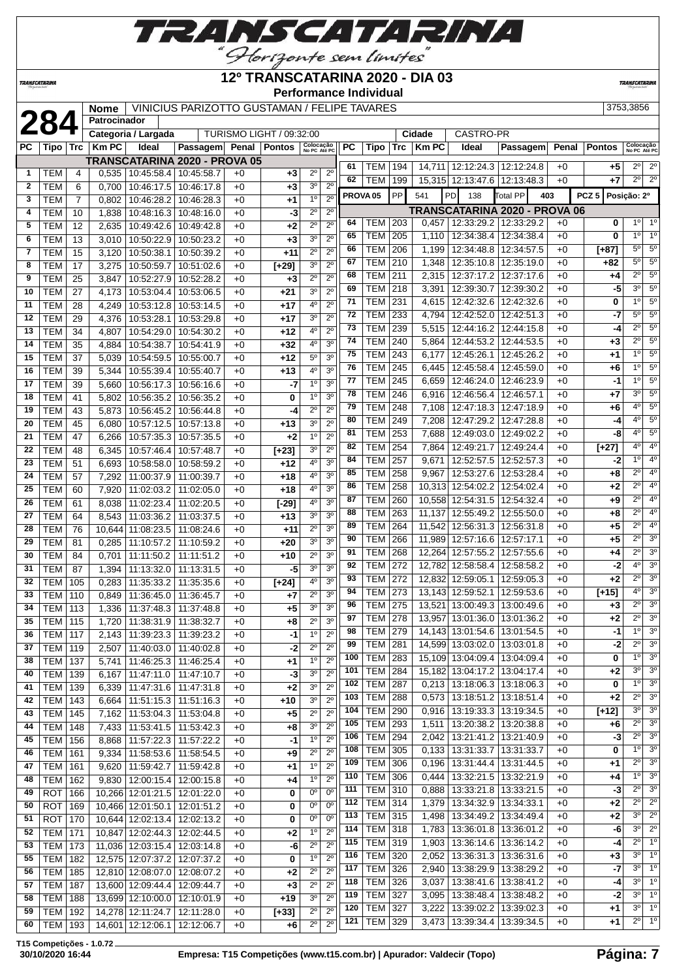

### **12º TRANSCATARINA 2020 - DIA 03**

**Performance Individual**

**TRANSCATARIN** 

**TRANSCATARINA** 

|            |                                                                                                                                                                                                                                                                                                                                                                                                                                                              | Nome                                                                                                                                                                                                                                                                                                                                                                                                                                                                                                                                                                                                                   |                                                                                                                                                                                                                                                                         |                                                                                                                                                                                                                                                                                                                                                                                                                                                                                      |                                                                                                                                                                                                                                                                                                                                                                                                                                                                                                                                                                                                                                                                                                                                                                                                                                                                                                                                                                                                                                                                                                                                                                                                                                 |                                                                                                                                                                                                                                                                                                 |                                                                                                                                                                                                                                                                                                                  |                                                                                                                                                                                                                                                                                                                                                                                                                                                                                                                                                                                                                                                                                                                                                                         |                                                                                                                                                                                                                                                                                                                                                                                                                                                                                                                                                                                                                                                                                |                                                                                                                                                                                                                       |                                                                                                                                                                                                                                                                                                                    |                                                                                                                                                                                                                                                                                                                                                                                                                                                                                             |                                                                                                                                                                                                          |                                                                                                                                                                                                      |                                                                                                                                                                                                                                                                                                                                                                                                                                                                                                                                                                                                                                                                                                                                                                                                                                               |                                                                                                                                                                                                                                                                                                                                                                                                                                                                                                                                                                                                                                                                                                                                                                                                                                                                                                                                                                                                                                                                                     | 3753,3856                                                                                                                                                                                                                                                                                                                     |                                                                                                                                                                                                                                                                                                                                                                                                                                                                                                                                                                                                                                                                                              |
|------------|--------------------------------------------------------------------------------------------------------------------------------------------------------------------------------------------------------------------------------------------------------------------------------------------------------------------------------------------------------------------------------------------------------------------------------------------------------------|------------------------------------------------------------------------------------------------------------------------------------------------------------------------------------------------------------------------------------------------------------------------------------------------------------------------------------------------------------------------------------------------------------------------------------------------------------------------------------------------------------------------------------------------------------------------------------------------------------------------|-------------------------------------------------------------------------------------------------------------------------------------------------------------------------------------------------------------------------------------------------------------------------|--------------------------------------------------------------------------------------------------------------------------------------------------------------------------------------------------------------------------------------------------------------------------------------------------------------------------------------------------------------------------------------------------------------------------------------------------------------------------------------|---------------------------------------------------------------------------------------------------------------------------------------------------------------------------------------------------------------------------------------------------------------------------------------------------------------------------------------------------------------------------------------------------------------------------------------------------------------------------------------------------------------------------------------------------------------------------------------------------------------------------------------------------------------------------------------------------------------------------------------------------------------------------------------------------------------------------------------------------------------------------------------------------------------------------------------------------------------------------------------------------------------------------------------------------------------------------------------------------------------------------------------------------------------------------------------------------------------------------------|-------------------------------------------------------------------------------------------------------------------------------------------------------------------------------------------------------------------------------------------------------------------------------------------------|------------------------------------------------------------------------------------------------------------------------------------------------------------------------------------------------------------------------------------------------------------------------------------------------------------------|-------------------------------------------------------------------------------------------------------------------------------------------------------------------------------------------------------------------------------------------------------------------------------------------------------------------------------------------------------------------------------------------------------------------------------------------------------------------------------------------------------------------------------------------------------------------------------------------------------------------------------------------------------------------------------------------------------------------------------------------------------------------------|--------------------------------------------------------------------------------------------------------------------------------------------------------------------------------------------------------------------------------------------------------------------------------------------------------------------------------------------------------------------------------------------------------------------------------------------------------------------------------------------------------------------------------------------------------------------------------------------------------------------------------------------------------------------------------|-----------------------------------------------------------------------------------------------------------------------------------------------------------------------------------------------------------------------|--------------------------------------------------------------------------------------------------------------------------------------------------------------------------------------------------------------------------------------------------------------------------------------------------------------------|---------------------------------------------------------------------------------------------------------------------------------------------------------------------------------------------------------------------------------------------------------------------------------------------------------------------------------------------------------------------------------------------------------------------------------------------------------------------------------------------|----------------------------------------------------------------------------------------------------------------------------------------------------------------------------------------------------------|------------------------------------------------------------------------------------------------------------------------------------------------------------------------------------------------------|-----------------------------------------------------------------------------------------------------------------------------------------------------------------------------------------------------------------------------------------------------------------------------------------------------------------------------------------------------------------------------------------------------------------------------------------------------------------------------------------------------------------------------------------------------------------------------------------------------------------------------------------------------------------------------------------------------------------------------------------------------------------------------------------------------------------------------------------------|-------------------------------------------------------------------------------------------------------------------------------------------------------------------------------------------------------------------------------------------------------------------------------------------------------------------------------------------------------------------------------------------------------------------------------------------------------------------------------------------------------------------------------------------------------------------------------------------------------------------------------------------------------------------------------------------------------------------------------------------------------------------------------------------------------------------------------------------------------------------------------------------------------------------------------------------------------------------------------------------------------------------------------------------------------------------------------------|-------------------------------------------------------------------------------------------------------------------------------------------------------------------------------------------------------------------------------------------------------------------------------------------------------------------------------|----------------------------------------------------------------------------------------------------------------------------------------------------------------------------------------------------------------------------------------------------------------------------------------------------------------------------------------------------------------------------------------------------------------------------------------------------------------------------------------------------------------------------------------------------------------------------------------------------------------------------------------------------------------------------------------------|
|            |                                                                                                                                                                                                                                                                                                                                                                                                                                                              |                                                                                                                                                                                                                                                                                                                                                                                                                                                                                                                                                                                                                        |                                                                                                                                                                                                                                                                         |                                                                                                                                                                                                                                                                                                                                                                                                                                                                                      |                                                                                                                                                                                                                                                                                                                                                                                                                                                                                                                                                                                                                                                                                                                                                                                                                                                                                                                                                                                                                                                                                                                                                                                                                                 |                                                                                                                                                                                                                                                                                                 |                                                                                                                                                                                                                                                                                                                  |                                                                                                                                                                                                                                                                                                                                                                                                                                                                                                                                                                                                                                                                                                                                                                         |                                                                                                                                                                                                                                                                                                                                                                                                                                                                                                                                                                                                                                                                                |                                                                                                                                                                                                                       |                                                                                                                                                                                                                                                                                                                    |                                                                                                                                                                                                                                                                                                                                                                                                                                                                                             |                                                                                                                                                                                                          |                                                                                                                                                                                                      |                                                                                                                                                                                                                                                                                                                                                                                                                                                                                                                                                                                                                                                                                                                                                                                                                                               |                                                                                                                                                                                                                                                                                                                                                                                                                                                                                                                                                                                                                                                                                                                                                                                                                                                                                                                                                                                                                                                                                     |                                                                                                                                                                                                                                                                                                                               |                                                                                                                                                                                                                                                                                                                                                                                                                                                                                                                                                                                                                                                                                              |
|            |                                                                                                                                                                                                                                                                                                                                                                                                                                                              |                                                                                                                                                                                                                                                                                                                                                                                                                                                                                                                                                                                                                        |                                                                                                                                                                                                                                                                         |                                                                                                                                                                                                                                                                                                                                                                                                                                                                                      |                                                                                                                                                                                                                                                                                                                                                                                                                                                                                                                                                                                                                                                                                                                                                                                                                                                                                                                                                                                                                                                                                                                                                                                                                                 |                                                                                                                                                                                                                                                                                                 |                                                                                                                                                                                                                                                                                                                  |                                                                                                                                                                                                                                                                                                                                                                                                                                                                                                                                                                                                                                                                                                                                                                         |                                                                                                                                                                                                                                                                                                                                                                                                                                                                                                                                                                                                                                                                                |                                                                                                                                                                                                                       |                                                                                                                                                                                                                                                                                                                    |                                                                                                                                                                                                                                                                                                                                                                                                                                                                                             |                                                                                                                                                                                                          |                                                                                                                                                                                                      |                                                                                                                                                                                                                                                                                                                                                                                                                                                                                                                                                                                                                                                                                                                                                                                                                                               |                                                                                                                                                                                                                                                                                                                                                                                                                                                                                                                                                                                                                                                                                                                                                                                                                                                                                                                                                                                                                                                                                     |                                                                                                                                                                                                                                                                                                                               |                                                                                                                                                                                                                                                                                                                                                                                                                                                                                                                                                                                                                                                                                              |
|            | Trc                                                                                                                                                                                                                                                                                                                                                                                                                                                          |                                                                                                                                                                                                                                                                                                                                                                                                                                                                                                                                                                                                                        | Ideal                                                                                                                                                                                                                                                                   |                                                                                                                                                                                                                                                                                                                                                                                                                                                                                      |                                                                                                                                                                                                                                                                                                                                                                                                                                                                                                                                                                                                                                                                                                                                                                                                                                                                                                                                                                                                                                                                                                                                                                                                                                 | <b>Pontos</b>                                                                                                                                                                                                                                                                                   |                                                                                                                                                                                                                                                                                                                  |                                                                                                                                                                                                                                                                                                                                                                                                                                                                                                                                                                                                                                                                                                                                                                         |                                                                                                                                                                                                                                                                                                                                                                                                                                                                                                                                                                                                                                                                                | Tipo                                                                                                                                                                                                                  | Trc                                                                                                                                                                                                                                                                                                                |                                                                                                                                                                                                                                                                                                                                                                                                                                                                                             | Ideal                                                                                                                                                                                                    |                                                                                                                                                                                                      |                                                                                                                                                                                                                                                                                                                                                                                                                                                                                                                                                                                                                                                                                                                                                                                                                                               |                                                                                                                                                                                                                                                                                                                                                                                                                                                                                                                                                                                                                                                                                                                                                                                                                                                                                                                                                                                                                                                                                     |                                                                                                                                                                                                                                                                                                                               |                                                                                                                                                                                                                                                                                                                                                                                                                                                                                                                                                                                                                                                                                              |
|            |                                                                                                                                                                                                                                                                                                                                                                                                                                                              |                                                                                                                                                                                                                                                                                                                                                                                                                                                                                                                                                                                                                        |                                                                                                                                                                                                                                                                         |                                                                                                                                                                                                                                                                                                                                                                                                                                                                                      |                                                                                                                                                                                                                                                                                                                                                                                                                                                                                                                                                                                                                                                                                                                                                                                                                                                                                                                                                                                                                                                                                                                                                                                                                                 |                                                                                                                                                                                                                                                                                                 |                                                                                                                                                                                                                                                                                                                  |                                                                                                                                                                                                                                                                                                                                                                                                                                                                                                                                                                                                                                                                                                                                                                         |                                                                                                                                                                                                                                                                                                                                                                                                                                                                                                                                                                                                                                                                                |                                                                                                                                                                                                                       |                                                                                                                                                                                                                                                                                                                    |                                                                                                                                                                                                                                                                                                                                                                                                                                                                                             |                                                                                                                                                                                                          |                                                                                                                                                                                                      |                                                                                                                                                                                                                                                                                                                                                                                                                                                                                                                                                                                                                                                                                                                                                                                                                                               |                                                                                                                                                                                                                                                                                                                                                                                                                                                                                                                                                                                                                                                                                                                                                                                                                                                                                                                                                                                                                                                                                     |                                                                                                                                                                                                                                                                                                                               | $2^{\circ}$                                                                                                                                                                                                                                                                                                                                                                                                                                                                                                                                                                                                                                                                                  |
|            | 4                                                                                                                                                                                                                                                                                                                                                                                                                                                            |                                                                                                                                                                                                                                                                                                                                                                                                                                                                                                                                                                                                                        |                                                                                                                                                                                                                                                                         |                                                                                                                                                                                                                                                                                                                                                                                                                                                                                      | $+0$                                                                                                                                                                                                                                                                                                                                                                                                                                                                                                                                                                                                                                                                                                                                                                                                                                                                                                                                                                                                                                                                                                                                                                                                                            | $+3$                                                                                                                                                                                                                                                                                            |                                                                                                                                                                                                                                                                                                                  |                                                                                                                                                                                                                                                                                                                                                                                                                                                                                                                                                                                                                                                                                                                                                                         | 62                                                                                                                                                                                                                                                                                                                                                                                                                                                                                                                                                                                                                                                                             |                                                                                                                                                                                                                       |                                                                                                                                                                                                                                                                                                                    |                                                                                                                                                                                                                                                                                                                                                                                                                                                                                             |                                                                                                                                                                                                          |                                                                                                                                                                                                      |                                                                                                                                                                                                                                                                                                                                                                                                                                                                                                                                                                                                                                                                                                                                                                                                                                               |                                                                                                                                                                                                                                                                                                                                                                                                                                                                                                                                                                                                                                                                                                                                                                                                                                                                                                                                                                                                                                                                                     | $2^{\circ}$                                                                                                                                                                                                                                                                                                                   | $\overline{2^0}$                                                                                                                                                                                                                                                                                                                                                                                                                                                                                                                                                                                                                                                                             |
|            |                                                                                                                                                                                                                                                                                                                                                                                                                                                              |                                                                                                                                                                                                                                                                                                                                                                                                                                                                                                                                                                                                                        |                                                                                                                                                                                                                                                                         |                                                                                                                                                                                                                                                                                                                                                                                                                                                                                      |                                                                                                                                                                                                                                                                                                                                                                                                                                                                                                                                                                                                                                                                                                                                                                                                                                                                                                                                                                                                                                                                                                                                                                                                                                 |                                                                                                                                                                                                                                                                                                 |                                                                                                                                                                                                                                                                                                                  |                                                                                                                                                                                                                                                                                                                                                                                                                                                                                                                                                                                                                                                                                                                                                                         |                                                                                                                                                                                                                                                                                                                                                                                                                                                                                                                                                                                                                                                                                |                                                                                                                                                                                                                       |                                                                                                                                                                                                                                                                                                                    |                                                                                                                                                                                                                                                                                                                                                                                                                                                                                             |                                                                                                                                                                                                          |                                                                                                                                                                                                      |                                                                                                                                                                                                                                                                                                                                                                                                                                                                                                                                                                                                                                                                                                                                                                                                                                               |                                                                                                                                                                                                                                                                                                                                                                                                                                                                                                                                                                                                                                                                                                                                                                                                                                                                                                                                                                                                                                                                                     |                                                                                                                                                                                                                                                                                                                               |                                                                                                                                                                                                                                                                                                                                                                                                                                                                                                                                                                                                                                                                                              |
|            |                                                                                                                                                                                                                                                                                                                                                                                                                                                              | 0,802                                                                                                                                                                                                                                                                                                                                                                                                                                                                                                                                                                                                                  |                                                                                                                                                                                                                                                                         |                                                                                                                                                                                                                                                                                                                                                                                                                                                                                      |                                                                                                                                                                                                                                                                                                                                                                                                                                                                                                                                                                                                                                                                                                                                                                                                                                                                                                                                                                                                                                                                                                                                                                                                                                 |                                                                                                                                                                                                                                                                                                 |                                                                                                                                                                                                                                                                                                                  |                                                                                                                                                                                                                                                                                                                                                                                                                                                                                                                                                                                                                                                                                                                                                                         |                                                                                                                                                                                                                                                                                                                                                                                                                                                                                                                                                                                                                                                                                |                                                                                                                                                                                                                       |                                                                                                                                                                                                                                                                                                                    |                                                                                                                                                                                                                                                                                                                                                                                                                                                                                             |                                                                                                                                                                                                          |                                                                                                                                                                                                      |                                                                                                                                                                                                                                                                                                                                                                                                                                                                                                                                                                                                                                                                                                                                                                                                                                               |                                                                                                                                                                                                                                                                                                                                                                                                                                                                                                                                                                                                                                                                                                                                                                                                                                                                                                                                                                                                                                                                                     |                                                                                                                                                                                                                                                                                                                               |                                                                                                                                                                                                                                                                                                                                                                                                                                                                                                                                                                                                                                                                                              |
|            |                                                                                                                                                                                                                                                                                                                                                                                                                                                              |                                                                                                                                                                                                                                                                                                                                                                                                                                                                                                                                                                                                                        |                                                                                                                                                                                                                                                                         |                                                                                                                                                                                                                                                                                                                                                                                                                                                                                      |                                                                                                                                                                                                                                                                                                                                                                                                                                                                                                                                                                                                                                                                                                                                                                                                                                                                                                                                                                                                                                                                                                                                                                                                                                 |                                                                                                                                                                                                                                                                                                 |                                                                                                                                                                                                                                                                                                                  |                                                                                                                                                                                                                                                                                                                                                                                                                                                                                                                                                                                                                                                                                                                                                                         |                                                                                                                                                                                                                                                                                                                                                                                                                                                                                                                                                                                                                                                                                |                                                                                                                                                                                                                       |                                                                                                                                                                                                                                                                                                                    |                                                                                                                                                                                                                                                                                                                                                                                                                                                                                             |                                                                                                                                                                                                          |                                                                                                                                                                                                      |                                                                                                                                                                                                                                                                                                                                                                                                                                                                                                                                                                                                                                                                                                                                                                                                                                               |                                                                                                                                                                                                                                                                                                                                                                                                                                                                                                                                                                                                                                                                                                                                                                                                                                                                                                                                                                                                                                                                                     |                                                                                                                                                                                                                                                                                                                               | $1^{\circ}$                                                                                                                                                                                                                                                                                                                                                                                                                                                                                                                                                                                                                                                                                  |
|            |                                                                                                                                                                                                                                                                                                                                                                                                                                                              |                                                                                                                                                                                                                                                                                                                                                                                                                                                                                                                                                                                                                        |                                                                                                                                                                                                                                                                         |                                                                                                                                                                                                                                                                                                                                                                                                                                                                                      |                                                                                                                                                                                                                                                                                                                                                                                                                                                                                                                                                                                                                                                                                                                                                                                                                                                                                                                                                                                                                                                                                                                                                                                                                                 |                                                                                                                                                                                                                                                                                                 |                                                                                                                                                                                                                                                                                                                  |                                                                                                                                                                                                                                                                                                                                                                                                                                                                                                                                                                                                                                                                                                                                                                         |                                                                                                                                                                                                                                                                                                                                                                                                                                                                                                                                                                                                                                                                                |                                                                                                                                                                                                                       |                                                                                                                                                                                                                                                                                                                    |                                                                                                                                                                                                                                                                                                                                                                                                                                                                                             |                                                                                                                                                                                                          |                                                                                                                                                                                                      |                                                                                                                                                                                                                                                                                                                                                                                                                                                                                                                                                                                                                                                                                                                                                                                                                                               |                                                                                                                                                                                                                                                                                                                                                                                                                                                                                                                                                                                                                                                                                                                                                                                                                                                                                                                                                                                                                                                                                     |                                                                                                                                                                                                                                                                                                                               | 1 <sup>0</sup>                                                                                                                                                                                                                                                                                                                                                                                                                                                                                                                                                                                                                                                                               |
|            |                                                                                                                                                                                                                                                                                                                                                                                                                                                              |                                                                                                                                                                                                                                                                                                                                                                                                                                                                                                                                                                                                                        |                                                                                                                                                                                                                                                                         |                                                                                                                                                                                                                                                                                                                                                                                                                                                                                      |                                                                                                                                                                                                                                                                                                                                                                                                                                                                                                                                                                                                                                                                                                                                                                                                                                                                                                                                                                                                                                                                                                                                                                                                                                 |                                                                                                                                                                                                                                                                                                 |                                                                                                                                                                                                                                                                                                                  |                                                                                                                                                                                                                                                                                                                                                                                                                                                                                                                                                                                                                                                                                                                                                                         |                                                                                                                                                                                                                                                                                                                                                                                                                                                                                                                                                                                                                                                                                |                                                                                                                                                                                                                       |                                                                                                                                                                                                                                                                                                                    |                                                                                                                                                                                                                                                                                                                                                                                                                                                                                             |                                                                                                                                                                                                          |                                                                                                                                                                                                      |                                                                                                                                                                                                                                                                                                                                                                                                                                                                                                                                                                                                                                                                                                                                                                                                                                               |                                                                                                                                                                                                                                                                                                                                                                                                                                                                                                                                                                                                                                                                                                                                                                                                                                                                                                                                                                                                                                                                                     |                                                                                                                                                                                                                                                                                                                               | 5 <sup>o</sup>                                                                                                                                                                                                                                                                                                                                                                                                                                                                                                                                                                                                                                                                               |
|            |                                                                                                                                                                                                                                                                                                                                                                                                                                                              |                                                                                                                                                                                                                                                                                                                                                                                                                                                                                                                                                                                                                        |                                                                                                                                                                                                                                                                         |                                                                                                                                                                                                                                                                                                                                                                                                                                                                                      |                                                                                                                                                                                                                                                                                                                                                                                                                                                                                                                                                                                                                                                                                                                                                                                                                                                                                                                                                                                                                                                                                                                                                                                                                                 |                                                                                                                                                                                                                                                                                                 |                                                                                                                                                                                                                                                                                                                  |                                                                                                                                                                                                                                                                                                                                                                                                                                                                                                                                                                                                                                                                                                                                                                         |                                                                                                                                                                                                                                                                                                                                                                                                                                                                                                                                                                                                                                                                                |                                                                                                                                                                                                                       |                                                                                                                                                                                                                                                                                                                    |                                                                                                                                                                                                                                                                                                                                                                                                                                                                                             |                                                                                                                                                                                                          |                                                                                                                                                                                                      |                                                                                                                                                                                                                                                                                                                                                                                                                                                                                                                                                                                                                                                                                                                                                                                                                                               |                                                                                                                                                                                                                                                                                                                                                                                                                                                                                                                                                                                                                                                                                                                                                                                                                                                                                                                                                                                                                                                                                     |                                                                                                                                                                                                                                                                                                                               | $5^{\circ}$                                                                                                                                                                                                                                                                                                                                                                                                                                                                                                                                                                                                                                                                                  |
|            |                                                                                                                                                                                                                                                                                                                                                                                                                                                              |                                                                                                                                                                                                                                                                                                                                                                                                                                                                                                                                                                                                                        |                                                                                                                                                                                                                                                                         |                                                                                                                                                                                                                                                                                                                                                                                                                                                                                      |                                                                                                                                                                                                                                                                                                                                                                                                                                                                                                                                                                                                                                                                                                                                                                                                                                                                                                                                                                                                                                                                                                                                                                                                                                 |                                                                                                                                                                                                                                                                                                 |                                                                                                                                                                                                                                                                                                                  |                                                                                                                                                                                                                                                                                                                                                                                                                                                                                                                                                                                                                                                                                                                                                                         |                                                                                                                                                                                                                                                                                                                                                                                                                                                                                                                                                                                                                                                                                |                                                                                                                                                                                                                       |                                                                                                                                                                                                                                                                                                                    |                                                                                                                                                                                                                                                                                                                                                                                                                                                                                             |                                                                                                                                                                                                          |                                                                                                                                                                                                      |                                                                                                                                                                                                                                                                                                                                                                                                                                                                                                                                                                                                                                                                                                                                                                                                                                               |                                                                                                                                                                                                                                                                                                                                                                                                                                                                                                                                                                                                                                                                                                                                                                                                                                                                                                                                                                                                                                                                                     |                                                                                                                                                                                                                                                                                                                               | 5 <sup>o</sup>                                                                                                                                                                                                                                                                                                                                                                                                                                                                                                                                                                                                                                                                               |
|            |                                                                                                                                                                                                                                                                                                                                                                                                                                                              |                                                                                                                                                                                                                                                                                                                                                                                                                                                                                                                                                                                                                        |                                                                                                                                                                                                                                                                         |                                                                                                                                                                                                                                                                                                                                                                                                                                                                                      |                                                                                                                                                                                                                                                                                                                                                                                                                                                                                                                                                                                                                                                                                                                                                                                                                                                                                                                                                                                                                                                                                                                                                                                                                                 |                                                                                                                                                                                                                                                                                                 |                                                                                                                                                                                                                                                                                                                  |                                                                                                                                                                                                                                                                                                                                                                                                                                                                                                                                                                                                                                                                                                                                                                         |                                                                                                                                                                                                                                                                                                                                                                                                                                                                                                                                                                                                                                                                                |                                                                                                                                                                                                                       |                                                                                                                                                                                                                                                                                                                    |                                                                                                                                                                                                                                                                                                                                                                                                                                                                                             |                                                                                                                                                                                                          |                                                                                                                                                                                                      |                                                                                                                                                                                                                                                                                                                                                                                                                                                                                                                                                                                                                                                                                                                                                                                                                                               |                                                                                                                                                                                                                                                                                                                                                                                                                                                                                                                                                                                                                                                                                                                                                                                                                                                                                                                                                                                                                                                                                     |                                                                                                                                                                                                                                                                                                                               | 5 <sup>o</sup>                                                                                                                                                                                                                                                                                                                                                                                                                                                                                                                                                                                                                                                                               |
|            |                                                                                                                                                                                                                                                                                                                                                                                                                                                              |                                                                                                                                                                                                                                                                                                                                                                                                                                                                                                                                                                                                                        |                                                                                                                                                                                                                                                                         |                                                                                                                                                                                                                                                                                                                                                                                                                                                                                      |                                                                                                                                                                                                                                                                                                                                                                                                                                                                                                                                                                                                                                                                                                                                                                                                                                                                                                                                                                                                                                                                                                                                                                                                                                 |                                                                                                                                                                                                                                                                                                 |                                                                                                                                                                                                                                                                                                                  |                                                                                                                                                                                                                                                                                                                                                                                                                                                                                                                                                                                                                                                                                                                                                                         |                                                                                                                                                                                                                                                                                                                                                                                                                                                                                                                                                                                                                                                                                |                                                                                                                                                                                                                       |                                                                                                                                                                                                                                                                                                                    |                                                                                                                                                                                                                                                                                                                                                                                                                                                                                             |                                                                                                                                                                                                          |                                                                                                                                                                                                      |                                                                                                                                                                                                                                                                                                                                                                                                                                                                                                                                                                                                                                                                                                                                                                                                                                               |                                                                                                                                                                                                                                                                                                                                                                                                                                                                                                                                                                                                                                                                                                                                                                                                                                                                                                                                                                                                                                                                                     |                                                                                                                                                                                                                                                                                                                               | 5 <sup>o</sup>                                                                                                                                                                                                                                                                                                                                                                                                                                                                                                                                                                                                                                                                               |
|            |                                                                                                                                                                                                                                                                                                                                                                                                                                                              |                                                                                                                                                                                                                                                                                                                                                                                                                                                                                                                                                                                                                        |                                                                                                                                                                                                                                                                         |                                                                                                                                                                                                                                                                                                                                                                                                                                                                                      |                                                                                                                                                                                                                                                                                                                                                                                                                                                                                                                                                                                                                                                                                                                                                                                                                                                                                                                                                                                                                                                                                                                                                                                                                                 |                                                                                                                                                                                                                                                                                                 |                                                                                                                                                                                                                                                                                                                  |                                                                                                                                                                                                                                                                                                                                                                                                                                                                                                                                                                                                                                                                                                                                                                         |                                                                                                                                                                                                                                                                                                                                                                                                                                                                                                                                                                                                                                                                                |                                                                                                                                                                                                                       |                                                                                                                                                                                                                                                                                                                    |                                                                                                                                                                                                                                                                                                                                                                                                                                                                                             |                                                                                                                                                                                                          |                                                                                                                                                                                                      |                                                                                                                                                                                                                                                                                                                                                                                                                                                                                                                                                                                                                                                                                                                                                                                                                                               |                                                                                                                                                                                                                                                                                                                                                                                                                                                                                                                                                                                                                                                                                                                                                                                                                                                                                                                                                                                                                                                                                     |                                                                                                                                                                                                                                                                                                                               | $\overline{5^0}$                                                                                                                                                                                                                                                                                                                                                                                                                                                                                                                                                                                                                                                                             |
|            |                                                                                                                                                                                                                                                                                                                                                                                                                                                              |                                                                                                                                                                                                                                                                                                                                                                                                                                                                                                                                                                                                                        |                                                                                                                                                                                                                                                                         |                                                                                                                                                                                                                                                                                                                                                                                                                                                                                      |                                                                                                                                                                                                                                                                                                                                                                                                                                                                                                                                                                                                                                                                                                                                                                                                                                                                                                                                                                                                                                                                                                                                                                                                                                 |                                                                                                                                                                                                                                                                                                 |                                                                                                                                                                                                                                                                                                                  |                                                                                                                                                                                                                                                                                                                                                                                                                                                                                                                                                                                                                                                                                                                                                                         |                                                                                                                                                                                                                                                                                                                                                                                                                                                                                                                                                                                                                                                                                |                                                                                                                                                                                                                       |                                                                                                                                                                                                                                                                                                                    |                                                                                                                                                                                                                                                                                                                                                                                                                                                                                             |                                                                                                                                                                                                          |                                                                                                                                                                                                      |                                                                                                                                                                                                                                                                                                                                                                                                                                                                                                                                                                                                                                                                                                                                                                                                                                               |                                                                                                                                                                                                                                                                                                                                                                                                                                                                                                                                                                                                                                                                                                                                                                                                                                                                                                                                                                                                                                                                                     |                                                                                                                                                                                                                                                                                                                               | 5 <sup>0</sup>                                                                                                                                                                                                                                                                                                                                                                                                                                                                                                                                                                                                                                                                               |
|            |                                                                                                                                                                                                                                                                                                                                                                                                                                                              |                                                                                                                                                                                                                                                                                                                                                                                                                                                                                                                                                                                                                        |                                                                                                                                                                                                                                                                         |                                                                                                                                                                                                                                                                                                                                                                                                                                                                                      |                                                                                                                                                                                                                                                                                                                                                                                                                                                                                                                                                                                                                                                                                                                                                                                                                                                                                                                                                                                                                                                                                                                                                                                                                                 |                                                                                                                                                                                                                                                                                                 |                                                                                                                                                                                                                                                                                                                  |                                                                                                                                                                                                                                                                                                                                                                                                                                                                                                                                                                                                                                                                                                                                                                         |                                                                                                                                                                                                                                                                                                                                                                                                                                                                                                                                                                                                                                                                                |                                                                                                                                                                                                                       |                                                                                                                                                                                                                                                                                                                    |                                                                                                                                                                                                                                                                                                                                                                                                                                                                                             |                                                                                                                                                                                                          |                                                                                                                                                                                                      |                                                                                                                                                                                                                                                                                                                                                                                                                                                                                                                                                                                                                                                                                                                                                                                                                                               |                                                                                                                                                                                                                                                                                                                                                                                                                                                                                                                                                                                                                                                                                                                                                                                                                                                                                                                                                                                                                                                                                     |                                                                                                                                                                                                                                                                                                                               | $5^{\circ}$                                                                                                                                                                                                                                                                                                                                                                                                                                                                                                                                                                                                                                                                                  |
|            |                                                                                                                                                                                                                                                                                                                                                                                                                                                              |                                                                                                                                                                                                                                                                                                                                                                                                                                                                                                                                                                                                                        |                                                                                                                                                                                                                                                                         |                                                                                                                                                                                                                                                                                                                                                                                                                                                                                      |                                                                                                                                                                                                                                                                                                                                                                                                                                                                                                                                                                                                                                                                                                                                                                                                                                                                                                                                                                                                                                                                                                                                                                                                                                 |                                                                                                                                                                                                                                                                                                 |                                                                                                                                                                                                                                                                                                                  |                                                                                                                                                                                                                                                                                                                                                                                                                                                                                                                                                                                                                                                                                                                                                                         |                                                                                                                                                                                                                                                                                                                                                                                                                                                                                                                                                                                                                                                                                |                                                                                                                                                                                                                       |                                                                                                                                                                                                                                                                                                                    |                                                                                                                                                                                                                                                                                                                                                                                                                                                                                             |                                                                                                                                                                                                          |                                                                                                                                                                                                      |                                                                                                                                                                                                                                                                                                                                                                                                                                                                                                                                                                                                                                                                                                                                                                                                                                               |                                                                                                                                                                                                                                                                                                                                                                                                                                                                                                                                                                                                                                                                                                                                                                                                                                                                                                                                                                                                                                                                                     |                                                                                                                                                                                                                                                                                                                               | 5 <sup>o</sup>                                                                                                                                                                                                                                                                                                                                                                                                                                                                                                                                                                                                                                                                               |
|            |                                                                                                                                                                                                                                                                                                                                                                                                                                                              |                                                                                                                                                                                                                                                                                                                                                                                                                                                                                                                                                                                                                        |                                                                                                                                                                                                                                                                         |                                                                                                                                                                                                                                                                                                                                                                                                                                                                                      |                                                                                                                                                                                                                                                                                                                                                                                                                                                                                                                                                                                                                                                                                                                                                                                                                                                                                                                                                                                                                                                                                                                                                                                                                                 |                                                                                                                                                                                                                                                                                                 |                                                                                                                                                                                                                                                                                                                  |                                                                                                                                                                                                                                                                                                                                                                                                                                                                                                                                                                                                                                                                                                                                                                         |                                                                                                                                                                                                                                                                                                                                                                                                                                                                                                                                                                                                                                                                                |                                                                                                                                                                                                                       |                                                                                                                                                                                                                                                                                                                    |                                                                                                                                                                                                                                                                                                                                                                                                                                                                                             |                                                                                                                                                                                                          |                                                                                                                                                                                                      |                                                                                                                                                                                                                                                                                                                                                                                                                                                                                                                                                                                                                                                                                                                                                                                                                                               |                                                                                                                                                                                                                                                                                                                                                                                                                                                                                                                                                                                                                                                                                                                                                                                                                                                                                                                                                                                                                                                                                     | 1 <sup>0</sup>                                                                                                                                                                                                                                                                                                                | $5^{\circ}$                                                                                                                                                                                                                                                                                                                                                                                                                                                                                                                                                                                                                                                                                  |
|            |                                                                                                                                                                                                                                                                                                                                                                                                                                                              |                                                                                                                                                                                                                                                                                                                                                                                                                                                                                                                                                                                                                        |                                                                                                                                                                                                                                                                         |                                                                                                                                                                                                                                                                                                                                                                                                                                                                                      |                                                                                                                                                                                                                                                                                                                                                                                                                                                                                                                                                                                                                                                                                                                                                                                                                                                                                                                                                                                                                                                                                                                                                                                                                                 |                                                                                                                                                                                                                                                                                                 |                                                                                                                                                                                                                                                                                                                  |                                                                                                                                                                                                                                                                                                                                                                                                                                                                                                                                                                                                                                                                                                                                                                         | 77                                                                                                                                                                                                                                                                                                                                                                                                                                                                                                                                                                                                                                                                             |                                                                                                                                                                                                                       |                                                                                                                                                                                                                                                                                                                    |                                                                                                                                                                                                                                                                                                                                                                                                                                                                                             |                                                                                                                                                                                                          |                                                                                                                                                                                                      |                                                                                                                                                                                                                                                                                                                                                                                                                                                                                                                                                                                                                                                                                                                                                                                                                                               |                                                                                                                                                                                                                                                                                                                                                                                                                                                                                                                                                                                                                                                                                                                                                                                                                                                                                                                                                                                                                                                                                     | 1 <sup>0</sup>                                                                                                                                                                                                                                                                                                                | $5^{\circ}$                                                                                                                                                                                                                                                                                                                                                                                                                                                                                                                                                                                                                                                                                  |
|            |                                                                                                                                                                                                                                                                                                                                                                                                                                                              |                                                                                                                                                                                                                                                                                                                                                                                                                                                                                                                                                                                                                        |                                                                                                                                                                                                                                                                         |                                                                                                                                                                                                                                                                                                                                                                                                                                                                                      |                                                                                                                                                                                                                                                                                                                                                                                                                                                                                                                                                                                                                                                                                                                                                                                                                                                                                                                                                                                                                                                                                                                                                                                                                                 |                                                                                                                                                                                                                                                                                                 |                                                                                                                                                                                                                                                                                                                  |                                                                                                                                                                                                                                                                                                                                                                                                                                                                                                                                                                                                                                                                                                                                                                         | 78                                                                                                                                                                                                                                                                                                                                                                                                                                                                                                                                                                                                                                                                             |                                                                                                                                                                                                                       |                                                                                                                                                                                                                                                                                                                    |                                                                                                                                                                                                                                                                                                                                                                                                                                                                                             |                                                                                                                                                                                                          |                                                                                                                                                                                                      |                                                                                                                                                                                                                                                                                                                                                                                                                                                                                                                                                                                                                                                                                                                                                                                                                                               |                                                                                                                                                                                                                                                                                                                                                                                                                                                                                                                                                                                                                                                                                                                                                                                                                                                                                                                                                                                                                                                                                     | 3 <sup>0</sup>                                                                                                                                                                                                                                                                                                                | $5^{\circ}$                                                                                                                                                                                                                                                                                                                                                                                                                                                                                                                                                                                                                                                                                  |
|            |                                                                                                                                                                                                                                                                                                                                                                                                                                                              |                                                                                                                                                                                                                                                                                                                                                                                                                                                                                                                                                                                                                        |                                                                                                                                                                                                                                                                         |                                                                                                                                                                                                                                                                                                                                                                                                                                                                                      |                                                                                                                                                                                                                                                                                                                                                                                                                                                                                                                                                                                                                                                                                                                                                                                                                                                                                                                                                                                                                                                                                                                                                                                                                                 |                                                                                                                                                                                                                                                                                                 |                                                                                                                                                                                                                                                                                                                  |                                                                                                                                                                                                                                                                                                                                                                                                                                                                                                                                                                                                                                                                                                                                                                         | 79                                                                                                                                                                                                                                                                                                                                                                                                                                                                                                                                                                                                                                                                             |                                                                                                                                                                                                                       |                                                                                                                                                                                                                                                                                                                    |                                                                                                                                                                                                                                                                                                                                                                                                                                                                                             |                                                                                                                                                                                                          |                                                                                                                                                                                                      |                                                                                                                                                                                                                                                                                                                                                                                                                                                                                                                                                                                                                                                                                                                                                                                                                                               |                                                                                                                                                                                                                                                                                                                                                                                                                                                                                                                                                                                                                                                                                                                                                                                                                                                                                                                                                                                                                                                                                     | 4 <sup>0</sup>                                                                                                                                                                                                                                                                                                                | 5 <sup>o</sup>                                                                                                                                                                                                                                                                                                                                                                                                                                                                                                                                                                                                                                                                               |
|            |                                                                                                                                                                                                                                                                                                                                                                                                                                                              |                                                                                                                                                                                                                                                                                                                                                                                                                                                                                                                                                                                                                        |                                                                                                                                                                                                                                                                         |                                                                                                                                                                                                                                                                                                                                                                                                                                                                                      |                                                                                                                                                                                                                                                                                                                                                                                                                                                                                                                                                                                                                                                                                                                                                                                                                                                                                                                                                                                                                                                                                                                                                                                                                                 |                                                                                                                                                                                                                                                                                                 |                                                                                                                                                                                                                                                                                                                  |                                                                                                                                                                                                                                                                                                                                                                                                                                                                                                                                                                                                                                                                                                                                                                         | 80                                                                                                                                                                                                                                                                                                                                                                                                                                                                                                                                                                                                                                                                             |                                                                                                                                                                                                                       |                                                                                                                                                                                                                                                                                                                    |                                                                                                                                                                                                                                                                                                                                                                                                                                                                                             |                                                                                                                                                                                                          |                                                                                                                                                                                                      |                                                                                                                                                                                                                                                                                                                                                                                                                                                                                                                                                                                                                                                                                                                                                                                                                                               |                                                                                                                                                                                                                                                                                                                                                                                                                                                                                                                                                                                                                                                                                                                                                                                                                                                                                                                                                                                                                                                                                     | 4 <sup>0</sup>                                                                                                                                                                                                                                                                                                                | 5 <sup>o</sup>                                                                                                                                                                                                                                                                                                                                                                                                                                                                                                                                                                                                                                                                               |
|            |                                                                                                                                                                                                                                                                                                                                                                                                                                                              |                                                                                                                                                                                                                                                                                                                                                                                                                                                                                                                                                                                                                        |                                                                                                                                                                                                                                                                         |                                                                                                                                                                                                                                                                                                                                                                                                                                                                                      |                                                                                                                                                                                                                                                                                                                                                                                                                                                                                                                                                                                                                                                                                                                                                                                                                                                                                                                                                                                                                                                                                                                                                                                                                                 |                                                                                                                                                                                                                                                                                                 |                                                                                                                                                                                                                                                                                                                  |                                                                                                                                                                                                                                                                                                                                                                                                                                                                                                                                                                                                                                                                                                                                                                         | 81                                                                                                                                                                                                                                                                                                                                                                                                                                                                                                                                                                                                                                                                             | <b>TEM</b>                                                                                                                                                                                                            | 253                                                                                                                                                                                                                                                                                                                | 7,688                                                                                                                                                                                                                                                                                                                                                                                                                                                                                       |                                                                                                                                                                                                          |                                                                                                                                                                                                      | $+0$                                                                                                                                                                                                                                                                                                                                                                                                                                                                                                                                                                                                                                                                                                                                                                                                                                          |                                                                                                                                                                                                                                                                                                                                                                                                                                                                                                                                                                                                                                                                                                                                                                                                                                                                                                                                                                                                                                                                                     | 4 <sup>0</sup>                                                                                                                                                                                                                                                                                                                | $\overline{5^0}$                                                                                                                                                                                                                                                                                                                                                                                                                                                                                                                                                                                                                                                                             |
|            |                                                                                                                                                                                                                                                                                                                                                                                                                                                              |                                                                                                                                                                                                                                                                                                                                                                                                                                                                                                                                                                                                                        |                                                                                                                                                                                                                                                                         |                                                                                                                                                                                                                                                                                                                                                                                                                                                                                      |                                                                                                                                                                                                                                                                                                                                                                                                                                                                                                                                                                                                                                                                                                                                                                                                                                                                                                                                                                                                                                                                                                                                                                                                                                 |                                                                                                                                                                                                                                                                                                 |                                                                                                                                                                                                                                                                                                                  |                                                                                                                                                                                                                                                                                                                                                                                                                                                                                                                                                                                                                                                                                                                                                                         | 82                                                                                                                                                                                                                                                                                                                                                                                                                                                                                                                                                                                                                                                                             | <b>TEM</b>                                                                                                                                                                                                            | 254                                                                                                                                                                                                                                                                                                                | 7,864                                                                                                                                                                                                                                                                                                                                                                                                                                                                                       |                                                                                                                                                                                                          | 12:49:24.4                                                                                                                                                                                           | $+0$                                                                                                                                                                                                                                                                                                                                                                                                                                                                                                                                                                                                                                                                                                                                                                                                                                          |                                                                                                                                                                                                                                                                                                                                                                                                                                                                                                                                                                                                                                                                                                                                                                                                                                                                                                                                                                                                                                                                                     | 40                                                                                                                                                                                                                                                                                                                            | 4 <sup>0</sup>                                                                                                                                                                                                                                                                                                                                                                                                                                                                                                                                                                                                                                                                               |
|            |                                                                                                                                                                                                                                                                                                                                                                                                                                                              |                                                                                                                                                                                                                                                                                                                                                                                                                                                                                                                                                                                                                        |                                                                                                                                                                                                                                                                         |                                                                                                                                                                                                                                                                                                                                                                                                                                                                                      |                                                                                                                                                                                                                                                                                                                                                                                                                                                                                                                                                                                                                                                                                                                                                                                                                                                                                                                                                                                                                                                                                                                                                                                                                                 |                                                                                                                                                                                                                                                                                                 |                                                                                                                                                                                                                                                                                                                  |                                                                                                                                                                                                                                                                                                                                                                                                                                                                                                                                                                                                                                                                                                                                                                         | 84                                                                                                                                                                                                                                                                                                                                                                                                                                                                                                                                                                                                                                                                             | <b>TEM</b>                                                                                                                                                                                                            | 257                                                                                                                                                                                                                                                                                                                | 9,671                                                                                                                                                                                                                                                                                                                                                                                                                                                                                       |                                                                                                                                                                                                          |                                                                                                                                                                                                      | $+0$                                                                                                                                                                                                                                                                                                                                                                                                                                                                                                                                                                                                                                                                                                                                                                                                                                          |                                                                                                                                                                                                                                                                                                                                                                                                                                                                                                                                                                                                                                                                                                                                                                                                                                                                                                                                                                                                                                                                                     | 1 <sup>0</sup>                                                                                                                                                                                                                                                                                                                | 4 <sup>0</sup>                                                                                                                                                                                                                                                                                                                                                                                                                                                                                                                                                                                                                                                                               |
|            |                                                                                                                                                                                                                                                                                                                                                                                                                                                              |                                                                                                                                                                                                                                                                                                                                                                                                                                                                                                                                                                                                                        |                                                                                                                                                                                                                                                                         |                                                                                                                                                                                                                                                                                                                                                                                                                                                                                      |                                                                                                                                                                                                                                                                                                                                                                                                                                                                                                                                                                                                                                                                                                                                                                                                                                                                                                                                                                                                                                                                                                                                                                                                                                 |                                                                                                                                                                                                                                                                                                 |                                                                                                                                                                                                                                                                                                                  |                                                                                                                                                                                                                                                                                                                                                                                                                                                                                                                                                                                                                                                                                                                                                                         | 85                                                                                                                                                                                                                                                                                                                                                                                                                                                                                                                                                                                                                                                                             | <b>TEM</b>                                                                                                                                                                                                            | 258                                                                                                                                                                                                                                                                                                                | 9,967                                                                                                                                                                                                                                                                                                                                                                                                                                                                                       |                                                                                                                                                                                                          |                                                                                                                                                                                                      | $+0$                                                                                                                                                                                                                                                                                                                                                                                                                                                                                                                                                                                                                                                                                                                                                                                                                                          | +8                                                                                                                                                                                                                                                                                                                                                                                                                                                                                                                                                                                                                                                                                                                                                                                                                                                                                                                                                                                                                                                                                  | $2^{\circ}$                                                                                                                                                                                                                                                                                                                   | 4 <sup>0</sup>                                                                                                                                                                                                                                                                                                                                                                                                                                                                                                                                                                                                                                                                               |
|            |                                                                                                                                                                                                                                                                                                                                                                                                                                                              |                                                                                                                                                                                                                                                                                                                                                                                                                                                                                                                                                                                                                        |                                                                                                                                                                                                                                                                         |                                                                                                                                                                                                                                                                                                                                                                                                                                                                                      |                                                                                                                                                                                                                                                                                                                                                                                                                                                                                                                                                                                                                                                                                                                                                                                                                                                                                                                                                                                                                                                                                                                                                                                                                                 |                                                                                                                                                                                                                                                                                                 |                                                                                                                                                                                                                                                                                                                  |                                                                                                                                                                                                                                                                                                                                                                                                                                                                                                                                                                                                                                                                                                                                                                         | 86                                                                                                                                                                                                                                                                                                                                                                                                                                                                                                                                                                                                                                                                             | <b>TEM</b>                                                                                                                                                                                                            | 258                                                                                                                                                                                                                                                                                                                |                                                                                                                                                                                                                                                                                                                                                                                                                                                                                             |                                                                                                                                                                                                          |                                                                                                                                                                                                      | $+0$                                                                                                                                                                                                                                                                                                                                                                                                                                                                                                                                                                                                                                                                                                                                                                                                                                          | $+2$                                                                                                                                                                                                                                                                                                                                                                                                                                                                                                                                                                                                                                                                                                                                                                                                                                                                                                                                                                                                                                                                                | $2^{\circ}$                                                                                                                                                                                                                                                                                                                   | 4 <sup>0</sup>                                                                                                                                                                                                                                                                                                                                                                                                                                                                                                                                                                                                                                                                               |
|            |                                                                                                                                                                                                                                                                                                                                                                                                                                                              |                                                                                                                                                                                                                                                                                                                                                                                                                                                                                                                                                                                                                        |                                                                                                                                                                                                                                                                         |                                                                                                                                                                                                                                                                                                                                                                                                                                                                                      |                                                                                                                                                                                                                                                                                                                                                                                                                                                                                                                                                                                                                                                                                                                                                                                                                                                                                                                                                                                                                                                                                                                                                                                                                                 |                                                                                                                                                                                                                                                                                                 |                                                                                                                                                                                                                                                                                                                  |                                                                                                                                                                                                                                                                                                                                                                                                                                                                                                                                                                                                                                                                                                                                                                         | 87                                                                                                                                                                                                                                                                                                                                                                                                                                                                                                                                                                                                                                                                             | <b>TEM</b>                                                                                                                                                                                                            | 260                                                                                                                                                                                                                                                                                                                |                                                                                                                                                                                                                                                                                                                                                                                                                                                                                             |                                                                                                                                                                                                          | 12:54:32.4                                                                                                                                                                                           | $+0$                                                                                                                                                                                                                                                                                                                                                                                                                                                                                                                                                                                                                                                                                                                                                                                                                                          | $+9$                                                                                                                                                                                                                                                                                                                                                                                                                                                                                                                                                                                                                                                                                                                                                                                                                                                                                                                                                                                                                                                                                | $2^{\circ}$                                                                                                                                                                                                                                                                                                                   | 4 <sup>0</sup>                                                                                                                                                                                                                                                                                                                                                                                                                                                                                                                                                                                                                                                                               |
|            |                                                                                                                                                                                                                                                                                                                                                                                                                                                              |                                                                                                                                                                                                                                                                                                                                                                                                                                                                                                                                                                                                                        |                                                                                                                                                                                                                                                                         |                                                                                                                                                                                                                                                                                                                                                                                                                                                                                      |                                                                                                                                                                                                                                                                                                                                                                                                                                                                                                                                                                                                                                                                                                                                                                                                                                                                                                                                                                                                                                                                                                                                                                                                                                 |                                                                                                                                                                                                                                                                                                 |                                                                                                                                                                                                                                                                                                                  |                                                                                                                                                                                                                                                                                                                                                                                                                                                                                                                                                                                                                                                                                                                                                                         | 88                                                                                                                                                                                                                                                                                                                                                                                                                                                                                                                                                                                                                                                                             | <b>TEM</b>                                                                                                                                                                                                            | 263                                                                                                                                                                                                                                                                                                                | 11,137                                                                                                                                                                                                                                                                                                                                                                                                                                                                                      |                                                                                                                                                                                                          | 12:55:50.0                                                                                                                                                                                           | $+0$                                                                                                                                                                                                                                                                                                                                                                                                                                                                                                                                                                                                                                                                                                                                                                                                                                          | $+8$                                                                                                                                                                                                                                                                                                                                                                                                                                                                                                                                                                                                                                                                                                                                                                                                                                                                                                                                                                                                                                                                                | $2^{\circ}$                                                                                                                                                                                                                                                                                                                   | 4 <sup>0</sup>                                                                                                                                                                                                                                                                                                                                                                                                                                                                                                                                                                                                                                                                               |
|            |                                                                                                                                                                                                                                                                                                                                                                                                                                                              |                                                                                                                                                                                                                                                                                                                                                                                                                                                                                                                                                                                                                        |                                                                                                                                                                                                                                                                         |                                                                                                                                                                                                                                                                                                                                                                                                                                                                                      |                                                                                                                                                                                                                                                                                                                                                                                                                                                                                                                                                                                                                                                                                                                                                                                                                                                                                                                                                                                                                                                                                                                                                                                                                                 |                                                                                                                                                                                                                                                                                                 | 2 <sup>0</sup>                                                                                                                                                                                                                                                                                                   | 3 <sup>0</sup>                                                                                                                                                                                                                                                                                                                                                                                                                                                                                                                                                                                                                                                                                                                                                          | 89                                                                                                                                                                                                                                                                                                                                                                                                                                                                                                                                                                                                                                                                             | <b>TEM</b>                                                                                                                                                                                                            | 264                                                                                                                                                                                                                                                                                                                | 11,542                                                                                                                                                                                                                                                                                                                                                                                                                                                                                      |                                                                                                                                                                                                          |                                                                                                                                                                                                      | $+0$                                                                                                                                                                                                                                                                                                                                                                                                                                                                                                                                                                                                                                                                                                                                                                                                                                          | $+5$                                                                                                                                                                                                                                                                                                                                                                                                                                                                                                                                                                                                                                                                                                                                                                                                                                                                                                                                                                                                                                                                                | $\overline{2^0}$                                                                                                                                                                                                                                                                                                              | 4 <sup>0</sup>                                                                                                                                                                                                                                                                                                                                                                                                                                                                                                                                                                                                                                                                               |
|            |                                                                                                                                                                                                                                                                                                                                                                                                                                                              |                                                                                                                                                                                                                                                                                                                                                                                                                                                                                                                                                                                                                        |                                                                                                                                                                                                                                                                         |                                                                                                                                                                                                                                                                                                                                                                                                                                                                                      |                                                                                                                                                                                                                                                                                                                                                                                                                                                                                                                                                                                                                                                                                                                                                                                                                                                                                                                                                                                                                                                                                                                                                                                                                                 |                                                                                                                                                                                                                                                                                                 | 3 <sup>o</sup>                                                                                                                                                                                                                                                                                                   | 3 <sup>o</sup>                                                                                                                                                                                                                                                                                                                                                                                                                                                                                                                                                                                                                                                                                                                                                          | 90                                                                                                                                                                                                                                                                                                                                                                                                                                                                                                                                                                                                                                                                             | <b>TEM</b>                                                                                                                                                                                                            | 266                                                                                                                                                                                                                                                                                                                |                                                                                                                                                                                                                                                                                                                                                                                                                                                                                             |                                                                                                                                                                                                          | 12:57:17.1                                                                                                                                                                                           | $+0$                                                                                                                                                                                                                                                                                                                                                                                                                                                                                                                                                                                                                                                                                                                                                                                                                                          | $+5$                                                                                                                                                                                                                                                                                                                                                                                                                                                                                                                                                                                                                                                                                                                                                                                                                                                                                                                                                                                                                                                                                | $2^{\circ}$                                                                                                                                                                                                                                                                                                                   | 3 <sup>0</sup>                                                                                                                                                                                                                                                                                                                                                                                                                                                                                                                                                                                                                                                                               |
|            |                                                                                                                                                                                                                                                                                                                                                                                                                                                              |                                                                                                                                                                                                                                                                                                                                                                                                                                                                                                                                                                                                                        |                                                                                                                                                                                                                                                                         |                                                                                                                                                                                                                                                                                                                                                                                                                                                                                      |                                                                                                                                                                                                                                                                                                                                                                                                                                                                                                                                                                                                                                                                                                                                                                                                                                                                                                                                                                                                                                                                                                                                                                                                                                 |                                                                                                                                                                                                                                                                                                 | $2^{\circ}$                                                                                                                                                                                                                                                                                                      | 3 <sup>o</sup>                                                                                                                                                                                                                                                                                                                                                                                                                                                                                                                                                                                                                                                                                                                                                          | 91                                                                                                                                                                                                                                                                                                                                                                                                                                                                                                                                                                                                                                                                             | <b>TEM</b>                                                                                                                                                                                                            | 268                                                                                                                                                                                                                                                                                                                |                                                                                                                                                                                                                                                                                                                                                                                                                                                                                             |                                                                                                                                                                                                          | 12:57:55.6                                                                                                                                                                                           | $+0$                                                                                                                                                                                                                                                                                                                                                                                                                                                                                                                                                                                                                                                                                                                                                                                                                                          | +4                                                                                                                                                                                                                                                                                                                                                                                                                                                                                                                                                                                                                                                                                                                                                                                                                                                                                                                                                                                                                                                                                  | $2^{\circ}$                                                                                                                                                                                                                                                                                                                   | 3 <sup>o</sup>                                                                                                                                                                                                                                                                                                                                                                                                                                                                                                                                                                                                                                                                               |
|            |                                                                                                                                                                                                                                                                                                                                                                                                                                                              |                                                                                                                                                                                                                                                                                                                                                                                                                                                                                                                                                                                                                        |                                                                                                                                                                                                                                                                         |                                                                                                                                                                                                                                                                                                                                                                                                                                                                                      |                                                                                                                                                                                                                                                                                                                                                                                                                                                                                                                                                                                                                                                                                                                                                                                                                                                                                                                                                                                                                                                                                                                                                                                                                                 | -5                                                                                                                                                                                                                                                                                              | 3 <sup>0</sup>                                                                                                                                                                                                                                                                                                   | 3 <sup>0</sup>                                                                                                                                                                                                                                                                                                                                                                                                                                                                                                                                                                                                                                                                                                                                                          | 92                                                                                                                                                                                                                                                                                                                                                                                                                                                                                                                                                                                                                                                                             | <b>TEM</b>                                                                                                                                                                                                            | 272                                                                                                                                                                                                                                                                                                                |                                                                                                                                                                                                                                                                                                                                                                                                                                                                                             |                                                                                                                                                                                                          | 12:58:58.2                                                                                                                                                                                           | $+0$                                                                                                                                                                                                                                                                                                                                                                                                                                                                                                                                                                                                                                                                                                                                                                                                                                          |                                                                                                                                                                                                                                                                                                                                                                                                                                                                                                                                                                                                                                                                                                                                                                                                                                                                                                                                                                                                                                                                                     | 40                                                                                                                                                                                                                                                                                                                            | 3 <sup>o</sup>                                                                                                                                                                                                                                                                                                                                                                                                                                                                                                                                                                                                                                                                               |
|            |                                                                                                                                                                                                                                                                                                                                                                                                                                                              |                                                                                                                                                                                                                                                                                                                                                                                                                                                                                                                                                                                                                        |                                                                                                                                                                                                                                                                         |                                                                                                                                                                                                                                                                                                                                                                                                                                                                                      |                                                                                                                                                                                                                                                                                                                                                                                                                                                                                                                                                                                                                                                                                                                                                                                                                                                                                                                                                                                                                                                                                                                                                                                                                                 |                                                                                                                                                                                                                                                                                                 | 4 <sup>0</sup>                                                                                                                                                                                                                                                                                                   | 3 <sup>o</sup>                                                                                                                                                                                                                                                                                                                                                                                                                                                                                                                                                                                                                                                                                                                                                          | 93                                                                                                                                                                                                                                                                                                                                                                                                                                                                                                                                                                                                                                                                             | <b>TEM</b>                                                                                                                                                                                                            | 272                                                                                                                                                                                                                                                                                                                |                                                                                                                                                                                                                                                                                                                                                                                                                                                                                             |                                                                                                                                                                                                          |                                                                                                                                                                                                      | $+0$                                                                                                                                                                                                                                                                                                                                                                                                                                                                                                                                                                                                                                                                                                                                                                                                                                          | $+2$                                                                                                                                                                                                                                                                                                                                                                                                                                                                                                                                                                                                                                                                                                                                                                                                                                                                                                                                                                                                                                                                                | $\overline{2^0}$                                                                                                                                                                                                                                                                                                              | $\overline{3^0}$                                                                                                                                                                                                                                                                                                                                                                                                                                                                                                                                                                                                                                                                             |
| <b>TEM</b> | 110                                                                                                                                                                                                                                                                                                                                                                                                                                                          | 0,849                                                                                                                                                                                                                                                                                                                                                                                                                                                                                                                                                                                                                  | 11:36:45.0                                                                                                                                                                                                                                                              |                                                                                                                                                                                                                                                                                                                                                                                                                                                                                      | $+0$                                                                                                                                                                                                                                                                                                                                                                                                                                                                                                                                                                                                                                                                                                                                                                                                                                                                                                                                                                                                                                                                                                                                                                                                                            | +7                                                                                                                                                                                                                                                                                              | $2^{\circ}$                                                                                                                                                                                                                                                                                                      | 3 <sup>0</sup>                                                                                                                                                                                                                                                                                                                                                                                                                                                                                                                                                                                                                                                                                                                                                          | 94                                                                                                                                                                                                                                                                                                                                                                                                                                                                                                                                                                                                                                                                             | TEM                                                                                                                                                                                                                   | 273                                                                                                                                                                                                                                                                                                                |                                                                                                                                                                                                                                                                                                                                                                                                                                                                                             |                                                                                                                                                                                                          |                                                                                                                                                                                                      | $+0$                                                                                                                                                                                                                                                                                                                                                                                                                                                                                                                                                                                                                                                                                                                                                                                                                                          | $[+15]$                                                                                                                                                                                                                                                                                                                                                                                                                                                                                                                                                                                                                                                                                                                                                                                                                                                                                                                                                                                                                                                                             | 40                                                                                                                                                                                                                                                                                                                            | 3 <sup>o</sup>                                                                                                                                                                                                                                                                                                                                                                                                                                                                                                                                                                                                                                                                               |
| <b>TEM</b> | 113                                                                                                                                                                                                                                                                                                                                                                                                                                                          | 1,336                                                                                                                                                                                                                                                                                                                                                                                                                                                                                                                                                                                                                  |                                                                                                                                                                                                                                                                         | 11:37:48.8                                                                                                                                                                                                                                                                                                                                                                                                                                                                           | $+0$                                                                                                                                                                                                                                                                                                                                                                                                                                                                                                                                                                                                                                                                                                                                                                                                                                                                                                                                                                                                                                                                                                                                                                                                                            | +5                                                                                                                                                                                                                                                                                              | 3 <sup>o</sup>                                                                                                                                                                                                                                                                                                   | 3 <sup>o</sup>                                                                                                                                                                                                                                                                                                                                                                                                                                                                                                                                                                                                                                                                                                                                                          | 96                                                                                                                                                                                                                                                                                                                                                                                                                                                                                                                                                                                                                                                                             | <b>TEM</b>                                                                                                                                                                                                            | 275                                                                                                                                                                                                                                                                                                                |                                                                                                                                                                                                                                                                                                                                                                                                                                                                                             |                                                                                                                                                                                                          |                                                                                                                                                                                                      | $+0$                                                                                                                                                                                                                                                                                                                                                                                                                                                                                                                                                                                                                                                                                                                                                                                                                                          | $+3$                                                                                                                                                                                                                                                                                                                                                                                                                                                                                                                                                                                                                                                                                                                                                                                                                                                                                                                                                                                                                                                                                | $2^{\circ}$                                                                                                                                                                                                                                                                                                                   | 3 <sup>o</sup>                                                                                                                                                                                                                                                                                                                                                                                                                                                                                                                                                                                                                                                                               |
|            |                                                                                                                                                                                                                                                                                                                                                                                                                                                              |                                                                                                                                                                                                                                                                                                                                                                                                                                                                                                                                                                                                                        |                                                                                                                                                                                                                                                                         |                                                                                                                                                                                                                                                                                                                                                                                                                                                                                      | $+0$                                                                                                                                                                                                                                                                                                                                                                                                                                                                                                                                                                                                                                                                                                                                                                                                                                                                                                                                                                                                                                                                                                                                                                                                                            | $+8$                                                                                                                                                                                                                                                                                            | 2 <sup>0</sup>                                                                                                                                                                                                                                                                                                   | 3 <sup>0</sup>                                                                                                                                                                                                                                                                                                                                                                                                                                                                                                                                                                                                                                                                                                                                                          | 97                                                                                                                                                                                                                                                                                                                                                                                                                                                                                                                                                                                                                                                                             |                                                                                                                                                                                                                       | 278                                                                                                                                                                                                                                                                                                                |                                                                                                                                                                                                                                                                                                                                                                                                                                                                                             |                                                                                                                                                                                                          |                                                                                                                                                                                                      | $+0$                                                                                                                                                                                                                                                                                                                                                                                                                                                                                                                                                                                                                                                                                                                                                                                                                                          | $+2$                                                                                                                                                                                                                                                                                                                                                                                                                                                                                                                                                                                                                                                                                                                                                                                                                                                                                                                                                                                                                                                                                | $2^{\circ}$                                                                                                                                                                                                                                                                                                                   | 3 <sup>o</sup>                                                                                                                                                                                                                                                                                                                                                                                                                                                                                                                                                                                                                                                                               |
|            |                                                                                                                                                                                                                                                                                                                                                                                                                                                              |                                                                                                                                                                                                                                                                                                                                                                                                                                                                                                                                                                                                                        |                                                                                                                                                                                                                                                                         |                                                                                                                                                                                                                                                                                                                                                                                                                                                                                      | $+0$                                                                                                                                                                                                                                                                                                                                                                                                                                                                                                                                                                                                                                                                                                                                                                                                                                                                                                                                                                                                                                                                                                                                                                                                                            |                                                                                                                                                                                                                                                                                                 | 1 <sup>o</sup>                                                                                                                                                                                                                                                                                                   | $2^{\circ}$                                                                                                                                                                                                                                                                                                                                                                                                                                                                                                                                                                                                                                                                                                                                                             | 98                                                                                                                                                                                                                                                                                                                                                                                                                                                                                                                                                                                                                                                                             |                                                                                                                                                                                                                       |                                                                                                                                                                                                                                                                                                                    |                                                                                                                                                                                                                                                                                                                                                                                                                                                                                             |                                                                                                                                                                                                          |                                                                                                                                                                                                      | $+0$                                                                                                                                                                                                                                                                                                                                                                                                                                                                                                                                                                                                                                                                                                                                                                                                                                          |                                                                                                                                                                                                                                                                                                                                                                                                                                                                                                                                                                                                                                                                                                                                                                                                                                                                                                                                                                                                                                                                                     | $1^{\circ}$                                                                                                                                                                                                                                                                                                                   | 3 <sup>o</sup>                                                                                                                                                                                                                                                                                                                                                                                                                                                                                                                                                                                                                                                                               |
|            |                                                                                                                                                                                                                                                                                                                                                                                                                                                              |                                                                                                                                                                                                                                                                                                                                                                                                                                                                                                                                                                                                                        |                                                                                                                                                                                                                                                                         |                                                                                                                                                                                                                                                                                                                                                                                                                                                                                      | $+0$                                                                                                                                                                                                                                                                                                                                                                                                                                                                                                                                                                                                                                                                                                                                                                                                                                                                                                                                                                                                                                                                                                                                                                                                                            |                                                                                                                                                                                                                                                                                                 | $2^{\circ}$                                                                                                                                                                                                                                                                                                      | $2^{\circ}$                                                                                                                                                                                                                                                                                                                                                                                                                                                                                                                                                                                                                                                                                                                                                             | 99                                                                                                                                                                                                                                                                                                                                                                                                                                                                                                                                                                                                                                                                             | TEM                                                                                                                                                                                                                   | 281                                                                                                                                                                                                                                                                                                                |                                                                                                                                                                                                                                                                                                                                                                                                                                                                                             |                                                                                                                                                                                                          |                                                                                                                                                                                                      | $+0$                                                                                                                                                                                                                                                                                                                                                                                                                                                                                                                                                                                                                                                                                                                                                                                                                                          |                                                                                                                                                                                                                                                                                                                                                                                                                                                                                                                                                                                                                                                                                                                                                                                                                                                                                                                                                                                                                                                                                     |                                                                                                                                                                                                                                                                                                                               | 3 <sup>o</sup>                                                                                                                                                                                                                                                                                                                                                                                                                                                                                                                                                                                                                                                                               |
|            |                                                                                                                                                                                                                                                                                                                                                                                                                                                              |                                                                                                                                                                                                                                                                                                                                                                                                                                                                                                                                                                                                                        |                                                                                                                                                                                                                                                                         |                                                                                                                                                                                                                                                                                                                                                                                                                                                                                      | $+0$                                                                                                                                                                                                                                                                                                                                                                                                                                                                                                                                                                                                                                                                                                                                                                                                                                                                                                                                                                                                                                                                                                                                                                                                                            | $+1$                                                                                                                                                                                                                                                                                            | 1 <sup>o</sup>                                                                                                                                                                                                                                                                                                   | $2^{\circ}$                                                                                                                                                                                                                                                                                                                                                                                                                                                                                                                                                                                                                                                                                                                                                             | 100                                                                                                                                                                                                                                                                                                                                                                                                                                                                                                                                                                                                                                                                            |                                                                                                                                                                                                                       |                                                                                                                                                                                                                                                                                                                    |                                                                                                                                                                                                                                                                                                                                                                                                                                                                                             |                                                                                                                                                                                                          |                                                                                                                                                                                                      | $+0$                                                                                                                                                                                                                                                                                                                                                                                                                                                                                                                                                                                                                                                                                                                                                                                                                                          | 0                                                                                                                                                                                                                                                                                                                                                                                                                                                                                                                                                                                                                                                                                                                                                                                                                                                                                                                                                                                                                                                                                   |                                                                                                                                                                                                                                                                                                                               | 3 <sup>o</sup>                                                                                                                                                                                                                                                                                                                                                                                                                                                                                                                                                                                                                                                                               |
|            |                                                                                                                                                                                                                                                                                                                                                                                                                                                              |                                                                                                                                                                                                                                                                                                                                                                                                                                                                                                                                                                                                                        |                                                                                                                                                                                                                                                                         | 11:47:10.7                                                                                                                                                                                                                                                                                                                                                                                                                                                                           | $+0$                                                                                                                                                                                                                                                                                                                                                                                                                                                                                                                                                                                                                                                                                                                                                                                                                                                                                                                                                                                                                                                                                                                                                                                                                            |                                                                                                                                                                                                                                                                                                 | 3 <sup>o</sup>                                                                                                                                                                                                                                                                                                   | $2^{\circ}$                                                                                                                                                                                                                                                                                                                                                                                                                                                                                                                                                                                                                                                                                                                                                             | 101                                                                                                                                                                                                                                                                                                                                                                                                                                                                                                                                                                                                                                                                            | TEM                                                                                                                                                                                                                   | 284                                                                                                                                                                                                                                                                                                                |                                                                                                                                                                                                                                                                                                                                                                                                                                                                                             |                                                                                                                                                                                                          |                                                                                                                                                                                                      | $+0$                                                                                                                                                                                                                                                                                                                                                                                                                                                                                                                                                                                                                                                                                                                                                                                                                                          | $+2$                                                                                                                                                                                                                                                                                                                                                                                                                                                                                                                                                                                                                                                                                                                                                                                                                                                                                                                                                                                                                                                                                |                                                                                                                                                                                                                                                                                                                               | 3 <sup>o</sup>                                                                                                                                                                                                                                                                                                                                                                                                                                                                                                                                                                                                                                                                               |
|            |                                                                                                                                                                                                                                                                                                                                                                                                                                                              |                                                                                                                                                                                                                                                                                                                                                                                                                                                                                                                                                                                                                        |                                                                                                                                                                                                                                                                         | 11:47:31.8                                                                                                                                                                                                                                                                                                                                                                                                                                                                           | $+0$                                                                                                                                                                                                                                                                                                                                                                                                                                                                                                                                                                                                                                                                                                                                                                                                                                                                                                                                                                                                                                                                                                                                                                                                                            | $+2$                                                                                                                                                                                                                                                                                            | 3 <sup>o</sup>                                                                                                                                                                                                                                                                                                   | $2^{\circ}$                                                                                                                                                                                                                                                                                                                                                                                                                                                                                                                                                                                                                                                                                                                                                             | 102                                                                                                                                                                                                                                                                                                                                                                                                                                                                                                                                                                                                                                                                            | <b>TEM</b>                                                                                                                                                                                                            | 287                                                                                                                                                                                                                                                                                                                |                                                                                                                                                                                                                                                                                                                                                                                                                                                                                             |                                                                                                                                                                                                          |                                                                                                                                                                                                      | $+0$                                                                                                                                                                                                                                                                                                                                                                                                                                                                                                                                                                                                                                                                                                                                                                                                                                          | 0                                                                                                                                                                                                                                                                                                                                                                                                                                                                                                                                                                                                                                                                                                                                                                                                                                                                                                                                                                                                                                                                                   |                                                                                                                                                                                                                                                                                                                               | 3 <sup>0</sup>                                                                                                                                                                                                                                                                                                                                                                                                                                                                                                                                                                                                                                                                               |
|            |                                                                                                                                                                                                                                                                                                                                                                                                                                                              | 6,664                                                                                                                                                                                                                                                                                                                                                                                                                                                                                                                                                                                                                  |                                                                                                                                                                                                                                                                         | 11:51:16.3                                                                                                                                                                                                                                                                                                                                                                                                                                                                           | $+0$                                                                                                                                                                                                                                                                                                                                                                                                                                                                                                                                                                                                                                                                                                                                                                                                                                                                                                                                                                                                                                                                                                                                                                                                                            | $+10$                                                                                                                                                                                                                                                                                           | 3 <sup>o</sup>                                                                                                                                                                                                                                                                                                   | $2^{\circ}$                                                                                                                                                                                                                                                                                                                                                                                                                                                                                                                                                                                                                                                                                                                                                             |                                                                                                                                                                                                                                                                                                                                                                                                                                                                                                                                                                                                                                                                                |                                                                                                                                                                                                                       |                                                                                                                                                                                                                                                                                                                    |                                                                                                                                                                                                                                                                                                                                                                                                                                                                                             |                                                                                                                                                                                                          |                                                                                                                                                                                                      |                                                                                                                                                                                                                                                                                                                                                                                                                                                                                                                                                                                                                                                                                                                                                                                                                                               |                                                                                                                                                                                                                                                                                                                                                                                                                                                                                                                                                                                                                                                                                                                                                                                                                                                                                                                                                                                                                                                                                     |                                                                                                                                                                                                                                                                                                                               | 3 <sup>o</sup>                                                                                                                                                                                                                                                                                                                                                                                                                                                                                                                                                                                                                                                                               |
|            |                                                                                                                                                                                                                                                                                                                                                                                                                                                              | 7,162                                                                                                                                                                                                                                                                                                                                                                                                                                                                                                                                                                                                                  |                                                                                                                                                                                                                                                                         | 11:53:04.8                                                                                                                                                                                                                                                                                                                                                                                                                                                                           | $+0$                                                                                                                                                                                                                                                                                                                                                                                                                                                                                                                                                                                                                                                                                                                                                                                                                                                                                                                                                                                                                                                                                                                                                                                                                            | $+5$                                                                                                                                                                                                                                                                                            | $2^{\circ}$                                                                                                                                                                                                                                                                                                      | $2^{\circ}$                                                                                                                                                                                                                                                                                                                                                                                                                                                                                                                                                                                                                                                                                                                                                             |                                                                                                                                                                                                                                                                                                                                                                                                                                                                                                                                                                                                                                                                                |                                                                                                                                                                                                                       |                                                                                                                                                                                                                                                                                                                    |                                                                                                                                                                                                                                                                                                                                                                                                                                                                                             |                                                                                                                                                                                                          |                                                                                                                                                                                                      |                                                                                                                                                                                                                                                                                                                                                                                                                                                                                                                                                                                                                                                                                                                                                                                                                                               |                                                                                                                                                                                                                                                                                                                                                                                                                                                                                                                                                                                                                                                                                                                                                                                                                                                                                                                                                                                                                                                                                     |                                                                                                                                                                                                                                                                                                                               | 3 <sup>o</sup>                                                                                                                                                                                                                                                                                                                                                                                                                                                                                                                                                                                                                                                                               |
|            |                                                                                                                                                                                                                                                                                                                                                                                                                                                              |                                                                                                                                                                                                                                                                                                                                                                                                                                                                                                                                                                                                                        |                                                                                                                                                                                                                                                                         |                                                                                                                                                                                                                                                                                                                                                                                                                                                                                      | $+0$                                                                                                                                                                                                                                                                                                                                                                                                                                                                                                                                                                                                                                                                                                                                                                                                                                                                                                                                                                                                                                                                                                                                                                                                                            | $+8$                                                                                                                                                                                                                                                                                            | 3 <sup>o</sup>                                                                                                                                                                                                                                                                                                   | $2^{\circ}$                                                                                                                                                                                                                                                                                                                                                                                                                                                                                                                                                                                                                                                                                                                                                             |                                                                                                                                                                                                                                                                                                                                                                                                                                                                                                                                                                                                                                                                                |                                                                                                                                                                                                                       |                                                                                                                                                                                                                                                                                                                    |                                                                                                                                                                                                                                                                                                                                                                                                                                                                                             |                                                                                                                                                                                                          |                                                                                                                                                                                                      |                                                                                                                                                                                                                                                                                                                                                                                                                                                                                                                                                                                                                                                                                                                                                                                                                                               |                                                                                                                                                                                                                                                                                                                                                                                                                                                                                                                                                                                                                                                                                                                                                                                                                                                                                                                                                                                                                                                                                     |                                                                                                                                                                                                                                                                                                                               | 3 <sup>o</sup>                                                                                                                                                                                                                                                                                                                                                                                                                                                                                                                                                                                                                                                                               |
|            |                                                                                                                                                                                                                                                                                                                                                                                                                                                              | 8,868                                                                                                                                                                                                                                                                                                                                                                                                                                                                                                                                                                                                                  |                                                                                                                                                                                                                                                                         | 11:57:22.2                                                                                                                                                                                                                                                                                                                                                                                                                                                                           | +0                                                                                                                                                                                                                                                                                                                                                                                                                                                                                                                                                                                                                                                                                                                                                                                                                                                                                                                                                                                                                                                                                                                                                                                                                              |                                                                                                                                                                                                                                                                                                 | $1^{\circ}$                                                                                                                                                                                                                                                                                                      | $2^{\circ}$                                                                                                                                                                                                                                                                                                                                                                                                                                                                                                                                                                                                                                                                                                                                                             |                                                                                                                                                                                                                                                                                                                                                                                                                                                                                                                                                                                                                                                                                |                                                                                                                                                                                                                       |                                                                                                                                                                                                                                                                                                                    |                                                                                                                                                                                                                                                                                                                                                                                                                                                                                             |                                                                                                                                                                                                          |                                                                                                                                                                                                      |                                                                                                                                                                                                                                                                                                                                                                                                                                                                                                                                                                                                                                                                                                                                                                                                                                               |                                                                                                                                                                                                                                                                                                                                                                                                                                                                                                                                                                                                                                                                                                                                                                                                                                                                                                                                                                                                                                                                                     |                                                                                                                                                                                                                                                                                                                               | 3 <sup>o</sup>                                                                                                                                                                                                                                                                                                                                                                                                                                                                                                                                                                                                                                                                               |
|            |                                                                                                                                                                                                                                                                                                                                                                                                                                                              |                                                                                                                                                                                                                                                                                                                                                                                                                                                                                                                                                                                                                        |                                                                                                                                                                                                                                                                         | 11:58:54.5                                                                                                                                                                                                                                                                                                                                                                                                                                                                           | $+0$                                                                                                                                                                                                                                                                                                                                                                                                                                                                                                                                                                                                                                                                                                                                                                                                                                                                                                                                                                                                                                                                                                                                                                                                                            | $+9$                                                                                                                                                                                                                                                                                            |                                                                                                                                                                                                                                                                                                                  |                                                                                                                                                                                                                                                                                                                                                                                                                                                                                                                                                                                                                                                                                                                                                                         |                                                                                                                                                                                                                                                                                                                                                                                                                                                                                                                                                                                                                                                                                |                                                                                                                                                                                                                       |                                                                                                                                                                                                                                                                                                                    |                                                                                                                                                                                                                                                                                                                                                                                                                                                                                             |                                                                                                                                                                                                          |                                                                                                                                                                                                      |                                                                                                                                                                                                                                                                                                                                                                                                                                                                                                                                                                                                                                                                                                                                                                                                                                               |                                                                                                                                                                                                                                                                                                                                                                                                                                                                                                                                                                                                                                                                                                                                                                                                                                                                                                                                                                                                                                                                                     |                                                                                                                                                                                                                                                                                                                               | 3 <sup>o</sup><br>3 <sup>o</sup>                                                                                                                                                                                                                                                                                                                                                                                                                                                                                                                                                                                                                                                             |
|            |                                                                                                                                                                                                                                                                                                                                                                                                                                                              |                                                                                                                                                                                                                                                                                                                                                                                                                                                                                                                                                                                                                        |                                                                                                                                                                                                                                                                         |                                                                                                                                                                                                                                                                                                                                                                                                                                                                                      | $+0$                                                                                                                                                                                                                                                                                                                                                                                                                                                                                                                                                                                                                                                                                                                                                                                                                                                                                                                                                                                                                                                                                                                                                                                                                            | $+1$                                                                                                                                                                                                                                                                                            |                                                                                                                                                                                                                                                                                                                  |                                                                                                                                                                                                                                                                                                                                                                                                                                                                                                                                                                                                                                                                                                                                                                         |                                                                                                                                                                                                                                                                                                                                                                                                                                                                                                                                                                                                                                                                                |                                                                                                                                                                                                                       |                                                                                                                                                                                                                                                                                                                    |                                                                                                                                                                                                                                                                                                                                                                                                                                                                                             |                                                                                                                                                                                                          |                                                                                                                                                                                                      |                                                                                                                                                                                                                                                                                                                                                                                                                                                                                                                                                                                                                                                                                                                                                                                                                                               |                                                                                                                                                                                                                                                                                                                                                                                                                                                                                                                                                                                                                                                                                                                                                                                                                                                                                                                                                                                                                                                                                     |                                                                                                                                                                                                                                                                                                                               |                                                                                                                                                                                                                                                                                                                                                                                                                                                                                                                                                                                                                                                                                              |
|            |                                                                                                                                                                                                                                                                                                                                                                                                                                                              |                                                                                                                                                                                                                                                                                                                                                                                                                                                                                                                                                                                                                        |                                                                                                                                                                                                                                                                         |                                                                                                                                                                                                                                                                                                                                                                                                                                                                                      | $+0$                                                                                                                                                                                                                                                                                                                                                                                                                                                                                                                                                                                                                                                                                                                                                                                                                                                                                                                                                                                                                                                                                                                                                                                                                            | $+4$                                                                                                                                                                                                                                                                                            | $1^{\circ}$                                                                                                                                                                                                                                                                                                      |                                                                                                                                                                                                                                                                                                                                                                                                                                                                                                                                                                                                                                                                                                                                                                         |                                                                                                                                                                                                                                                                                                                                                                                                                                                                                                                                                                                                                                                                                |                                                                                                                                                                                                                       |                                                                                                                                                                                                                                                                                                                    |                                                                                                                                                                                                                                                                                                                                                                                                                                                                                             |                                                                                                                                                                                                          |                                                                                                                                                                                                      |                                                                                                                                                                                                                                                                                                                                                                                                                                                                                                                                                                                                                                                                                                                                                                                                                                               |                                                                                                                                                                                                                                                                                                                                                                                                                                                                                                                                                                                                                                                                                                                                                                                                                                                                                                                                                                                                                                                                                     |                                                                                                                                                                                                                                                                                                                               | 3 <sup>o</sup><br>3 <sup>o</sup>                                                                                                                                                                                                                                                                                                                                                                                                                                                                                                                                                                                                                                                             |
|            |                                                                                                                                                                                                                                                                                                                                                                                                                                                              |                                                                                                                                                                                                                                                                                                                                                                                                                                                                                                                                                                                                                        |                                                                                                                                                                                                                                                                         |                                                                                                                                                                                                                                                                                                                                                                                                                                                                                      | $+0$                                                                                                                                                                                                                                                                                                                                                                                                                                                                                                                                                                                                                                                                                                                                                                                                                                                                                                                                                                                                                                                                                                                                                                                                                            | 0                                                                                                                                                                                                                                                                                               | $0^{\circ}$                                                                                                                                                                                                                                                                                                      | $0^{\circ}$                                                                                                                                                                                                                                                                                                                                                                                                                                                                                                                                                                                                                                                                                                                                                             |                                                                                                                                                                                                                                                                                                                                                                                                                                                                                                                                                                                                                                                                                |                                                                                                                                                                                                                       |                                                                                                                                                                                                                                                                                                                    |                                                                                                                                                                                                                                                                                                                                                                                                                                                                                             |                                                                                                                                                                                                          |                                                                                                                                                                                                      |                                                                                                                                                                                                                                                                                                                                                                                                                                                                                                                                                                                                                                                                                                                                                                                                                                               |                                                                                                                                                                                                                                                                                                                                                                                                                                                                                                                                                                                                                                                                                                                                                                                                                                                                                                                                                                                                                                                                                     |                                                                                                                                                                                                                                                                                                                               | $2^{\circ}$                                                                                                                                                                                                                                                                                                                                                                                                                                                                                                                                                                                                                                                                                  |
|            |                                                                                                                                                                                                                                                                                                                                                                                                                                                              |                                                                                                                                                                                                                                                                                                                                                                                                                                                                                                                                                                                                                        |                                                                                                                                                                                                                                                                         | 12:01:51.2                                                                                                                                                                                                                                                                                                                                                                                                                                                                           | +0                                                                                                                                                                                                                                                                                                                                                                                                                                                                                                                                                                                                                                                                                                                                                                                                                                                                                                                                                                                                                                                                                                                                                                                                                              | 0                                                                                                                                                                                                                                                                                               |                                                                                                                                                                                                                                                                                                                  |                                                                                                                                                                                                                                                                                                                                                                                                                                                                                                                                                                                                                                                                                                                                                                         |                                                                                                                                                                                                                                                                                                                                                                                                                                                                                                                                                                                                                                                                                |                                                                                                                                                                                                                       |                                                                                                                                                                                                                                                                                                                    |                                                                                                                                                                                                                                                                                                                                                                                                                                                                                             |                                                                                                                                                                                                          |                                                                                                                                                                                                      |                                                                                                                                                                                                                                                                                                                                                                                                                                                                                                                                                                                                                                                                                                                                                                                                                                               |                                                                                                                                                                                                                                                                                                                                                                                                                                                                                                                                                                                                                                                                                                                                                                                                                                                                                                                                                                                                                                                                                     |                                                                                                                                                                                                                                                                                                                               | $\overline{2^0}$                                                                                                                                                                                                                                                                                                                                                                                                                                                                                                                                                                                                                                                                             |
|            |                                                                                                                                                                                                                                                                                                                                                                                                                                                              |                                                                                                                                                                                                                                                                                                                                                                                                                                                                                                                                                                                                                        |                                                                                                                                                                                                                                                                         |                                                                                                                                                                                                                                                                                                                                                                                                                                                                                      | $+0$                                                                                                                                                                                                                                                                                                                                                                                                                                                                                                                                                                                                                                                                                                                                                                                                                                                                                                                                                                                                                                                                                                                                                                                                                            | 0                                                                                                                                                                                                                                                                                               |                                                                                                                                                                                                                                                                                                                  |                                                                                                                                                                                                                                                                                                                                                                                                                                                                                                                                                                                                                                                                                                                                                                         |                                                                                                                                                                                                                                                                                                                                                                                                                                                                                                                                                                                                                                                                                |                                                                                                                                                                                                                       |                                                                                                                                                                                                                                                                                                                    |                                                                                                                                                                                                                                                                                                                                                                                                                                                                                             |                                                                                                                                                                                                          |                                                                                                                                                                                                      |                                                                                                                                                                                                                                                                                                                                                                                                                                                                                                                                                                                                                                                                                                                                                                                                                                               |                                                                                                                                                                                                                                                                                                                                                                                                                                                                                                                                                                                                                                                                                                                                                                                                                                                                                                                                                                                                                                                                                     |                                                                                                                                                                                                                                                                                                                               | $2^{\circ}$                                                                                                                                                                                                                                                                                                                                                                                                                                                                                                                                                                                                                                                                                  |
|            |                                                                                                                                                                                                                                                                                                                                                                                                                                                              |                                                                                                                                                                                                                                                                                                                                                                                                                                                                                                                                                                                                                        |                                                                                                                                                                                                                                                                         |                                                                                                                                                                                                                                                                                                                                                                                                                                                                                      | $+0$                                                                                                                                                                                                                                                                                                                                                                                                                                                                                                                                                                                                                                                                                                                                                                                                                                                                                                                                                                                                                                                                                                                                                                                                                            | $+2$                                                                                                                                                                                                                                                                                            |                                                                                                                                                                                                                                                                                                                  |                                                                                                                                                                                                                                                                                                                                                                                                                                                                                                                                                                                                                                                                                                                                                                         |                                                                                                                                                                                                                                                                                                                                                                                                                                                                                                                                                                                                                                                                                |                                                                                                                                                                                                                       |                                                                                                                                                                                                                                                                                                                    |                                                                                                                                                                                                                                                                                                                                                                                                                                                                                             |                                                                                                                                                                                                          |                                                                                                                                                                                                      |                                                                                                                                                                                                                                                                                                                                                                                                                                                                                                                                                                                                                                                                                                                                                                                                                                               |                                                                                                                                                                                                                                                                                                                                                                                                                                                                                                                                                                                                                                                                                                                                                                                                                                                                                                                                                                                                                                                                                     |                                                                                                                                                                                                                                                                                                                               | 1 <sup>0</sup>                                                                                                                                                                                                                                                                                                                                                                                                                                                                                                                                                                                                                                                                               |
|            |                                                                                                                                                                                                                                                                                                                                                                                                                                                              |                                                                                                                                                                                                                                                                                                                                                                                                                                                                                                                                                                                                                        |                                                                                                                                                                                                                                                                         |                                                                                                                                                                                                                                                                                                                                                                                                                                                                                      | $+0$                                                                                                                                                                                                                                                                                                                                                                                                                                                                                                                                                                                                                                                                                                                                                                                                                                                                                                                                                                                                                                                                                                                                                                                                                            |                                                                                                                                                                                                                                                                                                 |                                                                                                                                                                                                                                                                                                                  | $2^{\circ}$                                                                                                                                                                                                                                                                                                                                                                                                                                                                                                                                                                                                                                                                                                                                                             |                                                                                                                                                                                                                                                                                                                                                                                                                                                                                                                                                                                                                                                                                |                                                                                                                                                                                                                       |                                                                                                                                                                                                                                                                                                                    |                                                                                                                                                                                                                                                                                                                                                                                                                                                                                             |                                                                                                                                                                                                          |                                                                                                                                                                                                      |                                                                                                                                                                                                                                                                                                                                                                                                                                                                                                                                                                                                                                                                                                                                                                                                                                               |                                                                                                                                                                                                                                                                                                                                                                                                                                                                                                                                                                                                                                                                                                                                                                                                                                                                                                                                                                                                                                                                                     |                                                                                                                                                                                                                                                                                                                               | 1 <sup>0</sup>                                                                                                                                                                                                                                                                                                                                                                                                                                                                                                                                                                                                                                                                               |
|            |                                                                                                                                                                                                                                                                                                                                                                                                                                                              |                                                                                                                                                                                                                                                                                                                                                                                                                                                                                                                                                                                                                        |                                                                                                                                                                                                                                                                         | 12:07:37.2                                                                                                                                                                                                                                                                                                                                                                                                                                                                           | +0                                                                                                                                                                                                                                                                                                                                                                                                                                                                                                                                                                                                                                                                                                                                                                                                                                                                                                                                                                                                                                                                                                                                                                                                                              | 0                                                                                                                                                                                                                                                                                               |                                                                                                                                                                                                                                                                                                                  |                                                                                                                                                                                                                                                                                                                                                                                                                                                                                                                                                                                                                                                                                                                                                                         |                                                                                                                                                                                                                                                                                                                                                                                                                                                                                                                                                                                                                                                                                |                                                                                                                                                                                                                       |                                                                                                                                                                                                                                                                                                                    |                                                                                                                                                                                                                                                                                                                                                                                                                                                                                             |                                                                                                                                                                                                          |                                                                                                                                                                                                      |                                                                                                                                                                                                                                                                                                                                                                                                                                                                                                                                                                                                                                                                                                                                                                                                                                               |                                                                                                                                                                                                                                                                                                                                                                                                                                                                                                                                                                                                                                                                                                                                                                                                                                                                                                                                                                                                                                                                                     |                                                                                                                                                                                                                                                                                                                               | 1 <sup>0</sup>                                                                                                                                                                                                                                                                                                                                                                                                                                                                                                                                                                                                                                                                               |
|            |                                                                                                                                                                                                                                                                                                                                                                                                                                                              |                                                                                                                                                                                                                                                                                                                                                                                                                                                                                                                                                                                                                        |                                                                                                                                                                                                                                                                         |                                                                                                                                                                                                                                                                                                                                                                                                                                                                                      | +0                                                                                                                                                                                                                                                                                                                                                                                                                                                                                                                                                                                                                                                                                                                                                                                                                                                                                                                                                                                                                                                                                                                                                                                                                              |                                                                                                                                                                                                                                                                                                 |                                                                                                                                                                                                                                                                                                                  |                                                                                                                                                                                                                                                                                                                                                                                                                                                                                                                                                                                                                                                                                                                                                                         |                                                                                                                                                                                                                                                                                                                                                                                                                                                                                                                                                                                                                                                                                |                                                                                                                                                                                                                       |                                                                                                                                                                                                                                                                                                                    |                                                                                                                                                                                                                                                                                                                                                                                                                                                                                             |                                                                                                                                                                                                          |                                                                                                                                                                                                      |                                                                                                                                                                                                                                                                                                                                                                                                                                                                                                                                                                                                                                                                                                                                                                                                                                               |                                                                                                                                                                                                                                                                                                                                                                                                                                                                                                                                                                                                                                                                                                                                                                                                                                                                                                                                                                                                                                                                                     |                                                                                                                                                                                                                                                                                                                               | 1 <sup>0</sup>                                                                                                                                                                                                                                                                                                                                                                                                                                                                                                                                                                                                                                                                               |
|            |                                                                                                                                                                                                                                                                                                                                                                                                                                                              |                                                                                                                                                                                                                                                                                                                                                                                                                                                                                                                                                                                                                        |                                                                                                                                                                                                                                                                         |                                                                                                                                                                                                                                                                                                                                                                                                                                                                                      | +0                                                                                                                                                                                                                                                                                                                                                                                                                                                                                                                                                                                                                                                                                                                                                                                                                                                                                                                                                                                                                                                                                                                                                                                                                              |                                                                                                                                                                                                                                                                                                 |                                                                                                                                                                                                                                                                                                                  |                                                                                                                                                                                                                                                                                                                                                                                                                                                                                                                                                                                                                                                                                                                                                                         |                                                                                                                                                                                                                                                                                                                                                                                                                                                                                                                                                                                                                                                                                |                                                                                                                                                                                                                       |                                                                                                                                                                                                                                                                                                                    |                                                                                                                                                                                                                                                                                                                                                                                                                                                                                             |                                                                                                                                                                                                          |                                                                                                                                                                                                      |                                                                                                                                                                                                                                                                                                                                                                                                                                                                                                                                                                                                                                                                                                                                                                                                                                               |                                                                                                                                                                                                                                                                                                                                                                                                                                                                                                                                                                                                                                                                                                                                                                                                                                                                                                                                                                                                                                                                                     |                                                                                                                                                                                                                                                                                                                               | 1 <sup>0</sup>                                                                                                                                                                                                                                                                                                                                                                                                                                                                                                                                                                                                                                                                               |
|            |                                                                                                                                                                                                                                                                                                                                                                                                                                                              |                                                                                                                                                                                                                                                                                                                                                                                                                                                                                                                                                                                                                        |                                                                                                                                                                                                                                                                         |                                                                                                                                                                                                                                                                                                                                                                                                                                                                                      |                                                                                                                                                                                                                                                                                                                                                                                                                                                                                                                                                                                                                                                                                                                                                                                                                                                                                                                                                                                                                                                                                                                                                                                                                                 |                                                                                                                                                                                                                                                                                                 |                                                                                                                                                                                                                                                                                                                  |                                                                                                                                                                                                                                                                                                                                                                                                                                                                                                                                                                                                                                                                                                                                                                         |                                                                                                                                                                                                                                                                                                                                                                                                                                                                                                                                                                                                                                                                                |                                                                                                                                                                                                                       |                                                                                                                                                                                                                                                                                                                    |                                                                                                                                                                                                                                                                                                                                                                                                                                                                                             |                                                                                                                                                                                                          |                                                                                                                                                                                                      |                                                                                                                                                                                                                                                                                                                                                                                                                                                                                                                                                                                                                                                                                                                                                                                                                                               |                                                                                                                                                                                                                                                                                                                                                                                                                                                                                                                                                                                                                                                                                                                                                                                                                                                                                                                                                                                                                                                                                     |                                                                                                                                                                                                                                                                                                                               | 1 <sup>0</sup>                                                                                                                                                                                                                                                                                                                                                                                                                                                                                                                                                                                                                                                                               |
|            |                                                                                                                                                                                                                                                                                                                                                                                                                                                              |                                                                                                                                                                                                                                                                                                                                                                                                                                                                                                                                                                                                                        |                                                                                                                                                                                                                                                                         |                                                                                                                                                                                                                                                                                                                                                                                                                                                                                      |                                                                                                                                                                                                                                                                                                                                                                                                                                                                                                                                                                                                                                                                                                                                                                                                                                                                                                                                                                                                                                                                                                                                                                                                                                 |                                                                                                                                                                                                                                                                                                 |                                                                                                                                                                                                                                                                                                                  |                                                                                                                                                                                                                                                                                                                                                                                                                                                                                                                                                                                                                                                                                                                                                                         |                                                                                                                                                                                                                                                                                                                                                                                                                                                                                                                                                                                                                                                                                |                                                                                                                                                                                                                       |                                                                                                                                                                                                                                                                                                                    |                                                                                                                                                                                                                                                                                                                                                                                                                                                                                             |                                                                                                                                                                                                          |                                                                                                                                                                                                      |                                                                                                                                                                                                                                                                                                                                                                                                                                                                                                                                                                                                                                                                                                                                                                                                                                               |                                                                                                                                                                                                                                                                                                                                                                                                                                                                                                                                                                                                                                                                                                                                                                                                                                                                                                                                                                                                                                                                                     |                                                                                                                                                                                                                                                                                                                               | 1 <sup>0</sup>                                                                                                                                                                                                                                                                                                                                                                                                                                                                                                                                                                                                                                                                               |
|            |                                                                                                                                                                                                                                                                                                                                                                                                                                                              |                                                                                                                                                                                                                                                                                                                                                                                                                                                                                                                                                                                                                        |                                                                                                                                                                                                                                                                         |                                                                                                                                                                                                                                                                                                                                                                                                                                                                                      |                                                                                                                                                                                                                                                                                                                                                                                                                                                                                                                                                                                                                                                                                                                                                                                                                                                                                                                                                                                                                                                                                                                                                                                                                                 |                                                                                                                                                                                                                                                                                                 |                                                                                                                                                                                                                                                                                                                  |                                                                                                                                                                                                                                                                                                                                                                                                                                                                                                                                                                                                                                                                                                                                                                         |                                                                                                                                                                                                                                                                                                                                                                                                                                                                                                                                                                                                                                                                                |                                                                                                                                                                                                                       |                                                                                                                                                                                                                                                                                                                    |                                                                                                                                                                                                                                                                                                                                                                                                                                                                                             |                                                                                                                                                                                                          |                                                                                                                                                                                                      |                                                                                                                                                                                                                                                                                                                                                                                                                                                                                                                                                                                                                                                                                                                                                                                                                                               |                                                                                                                                                                                                                                                                                                                                                                                                                                                                                                                                                                                                                                                                                                                                                                                                                                                                                                                                                                                                                                                                                     |                                                                                                                                                                                                                                                                                                                               |                                                                                                                                                                                                                                                                                                                                                                                                                                                                                                                                                                                                                                                                                              |
|            | <b>TEM</b><br><b>TEM</b><br><b>TEM</b><br><b>TEM</b><br><b>TEM</b><br><b>TEM</b><br><b>TEM</b><br><b>TEM</b><br><b>TEM</b><br><b>TEM</b><br><b>TEM</b><br><b>TEM</b><br><b>TEM</b><br><b>TEM</b><br><b>TEM</b><br><b>TEM</b><br><b>TEM</b><br><b>TEM</b><br><b>TEM</b><br><b>TEM</b><br><b>TEM</b><br><b>TEM</b><br><b>TEM</b><br><b>TEM</b><br><b>TEM</b><br><b>TEM</b><br><b>TEM</b><br><b>TEM</b><br><b>TEM</b><br><b>TEM</b><br><b>TEM</b><br><b>TEM</b> | 284<br>Tipo  <br>6<br>7<br>10<br>12<br>13<br>15<br>17<br>25<br>27<br>28<br>29<br>34<br>35<br>37<br>39<br>39<br>41<br>43<br>45<br>47<br>48<br>51<br>57<br>60<br>61<br>64<br>76<br>81<br>84<br>87<br>105<br><b>TEM 115</b><br><b>TEM   117</b><br><b>TEM 119</b><br><b>TEM 137</b><br>TEM   139<br>TEM   139<br><b>TEM 143</b><br><b>TEM 145</b><br><b>TEM 148</b><br><b>TEM 156</b><br><b>TEM 161</b><br><b>TEM 161</b><br><b>TEM 162</b><br>$ROT$ 166<br>ROT 169<br>ROT 170<br><b>TEM 171</b><br><b>TEM 173</b><br><b>TEM 182</b><br><b>TEM</b> 185<br><b>TEM 187</b><br><b>TEM 188</b><br><b>TEM 192</b><br>TEM   193 | <b>KmPC</b><br>0,700<br>1,838<br>2,635<br>3,120<br>3,275<br>3,847<br>4,173<br>4,249<br>4,376<br>4,807<br>4,884<br>5,039<br>5,344<br>5,660<br>5,802<br>5,873<br>6,080<br>6,266<br>6,345<br>6,693<br>7,292<br>7,920<br>8,038<br>8,543<br>0,285<br>0,701<br>1,394<br>0,283 | Patrocinador<br>10:46:17.5<br>10:46:28.2<br>10:48:16.3<br>10:49:42.6<br>3,010<br>10:50:38.1<br>10:50:59.7<br>10:52:27.9<br>10:53:12.8<br>10:53:28.1<br>10:54:29.0<br>10:54:38.7<br>10:54:59.5<br>10:55:39.4<br>10:56:17.3<br>10:56:35.2<br>10:56:45.2<br>10:57:12.5<br>10:57:35.3<br>10:57:46.4<br>10:58:58.0<br>11:00:37.9<br>11:02:03.2<br>11:02:23.4<br>11:03:36.2<br>10,644 11:08:23.5<br>11:10:57.2<br>11:11:50.2<br>11:13:32.0<br>11:35:33.2<br>11:37:48.3<br>6,339 11:47:31.6 | Categoria / Largada<br>$0,535$   10:45:58.4   10:45:58.7<br>10:46:17.8<br>10:46:28.3<br>10:48:16.0<br>10:49:42.8<br>10:50:22.9<br>10:50:23.2<br>10:50:39.2<br>10:51:02.6<br>10:52:28.2<br>10:53:04.4<br>10:53:06.5<br>10:53:14.5<br>10:53:29.8<br>10:54:30.2<br>10:54:41.9<br>10:55:00.7<br>10:55:40.7<br>10:56:16.6<br>10:56:35.2<br>10:56:44.8<br>10:57:13.8<br>10:57:35.5<br>10:57:48.7<br>10:58:59.2<br>11:00:39.7<br>11:02:05.0<br>11:02:20.5<br>11:03:37.5<br>11:08:24.6<br>11:10:59.2<br>11:11:51.2<br>11:13:31.5<br>11:35:35.6<br>11:36:45.7<br>1,720 11:38:31.9 11:38:32.7<br>2,143   11:39:23.3   11:39:23.2<br>2,507 11:40:03.0 11:40:02.8<br>5,741 11:46:25.3 11:46:25.4<br>$6,167$ 11:47:11.0<br>11:51:15.3<br>11:53:04.3<br>7,433   11:53:41.5   11:53:42.3<br>11:57:22.3<br>$9,334$   11:58:53.6<br>9,620   11:59:42.7   11:59:42.8<br>9,830   12:00:15.4   12:00:15.8<br>10,266 12:01:21.5 12:01:22.0<br>10,466 12:01:50.1<br>10,644 12:02:13.4 12:02:13.2<br>10,847 12:02:44.3 12:02:44.5<br>11,036 12:03:15.4 12:03:14.8<br>12,575 12:07:37.2<br>12,810 12:08:07.0 12:08:07.2<br>13,600 12:09:44.4 12:09:44.7<br>13,699 12:10:00.0 12:10:01.9<br>14,278 12:11:24.7 12:11:28.0<br>14,601 12:12:06.1 12:12:06.7 | Penal<br>Passagem<br>$+0$<br>$+0$<br>$+0$<br>$+0$<br>$+0$<br>$+0$<br>$+0$<br>$+0$<br>$+0$<br>$+0$<br>$+0$<br>$+0$<br>$+0$<br>$+0$<br>$+0$<br>$+0$<br>$+0$<br>$+0$<br>$+0$<br>$+0$<br>$+0$<br>$+0$<br>$+0$<br>$+0$<br>$+0$<br>$+0$<br>$+0$<br>$+0$<br>$+0$<br>$+0$<br>$+0$<br>$+0$<br>+0<br>$+0$ | <b>TRANSCATARINA 2020 - PROVA 05</b><br>$+3$<br>+1<br>-3<br>$+2$<br>$+3$<br>$+11$<br>$[+29]$<br>$+3$<br>$+21$<br>$+17$<br>$+17$<br>$+12$<br>$+32$<br>$+12$<br>$+13$<br>-7<br>0<br>$-4$<br>$+13$<br>$+2$<br>$[+23]$<br>$+12$<br>$+18$<br>$+18$<br>$[-29]$<br>+13<br>$+20$<br>$+10$<br>$[+24]$<br>$+19$<br>$[+33]$ | TURISMO LIGHT / 09:32:00<br>$2^{\circ}$<br>3 <sup>o</sup><br>1 <sup>0</sup><br>$2^{\circ}$<br>2 <sup>0</sup><br>3 <sup>o</sup><br>$2^{\circ}$<br>3 <sup>o</sup><br>$2^{\circ}$<br>3 <sup>o</sup><br>4 <sup>0</sup><br>3 <sup>o</sup><br>4 <sup>0</sup><br>4 <sup>0</sup><br>5 <sup>0</sup><br>$4^{\circ}$<br>1 <sup>0</sup><br>1 <sup>0</sup><br>$2^{\circ}$<br>3 <sup>o</sup><br>1 <sup>0</sup><br>3 <sup>o</sup><br>4 <sup>0</sup><br>4 <sup>0</sup><br>4 <sup>0</sup><br>$4^{\circ}$<br>3 <sup>0</sup><br>$+11$<br>$-1$<br>$-2$<br>$-3$<br>$-1$<br>$2^{\circ}$<br>10<br>$0^{\circ}$<br>0 <sup>o</sup><br>1 <sup>o</sup><br>$2^{\circ}$<br>-6<br>1 <sup>0</sup><br>$2^{\circ}$<br>$+2$<br>$2^{\circ}$<br>$+3$<br>3 <sup>o</sup><br>$2^{\circ}$<br>$2^{\circ}$<br>$+6$ | Colocação<br>No PC Até PC<br>$2^{\circ}$<br>$2^{\circ}$<br>$2^{\circ}$<br>$2^{\circ}$<br>$2^{\circ}$<br>$2^{\circ}$<br>$2^{\circ}$<br>$2^{\circ}$<br>2 <sup>0</sup><br>$\overline{2^0}$<br>$2^{\circ}$<br>$2^{\circ}$<br>$2^{\circ}$<br>3 <sup>o</sup><br>3 <sup>0</sup><br>3 <sup>o</sup><br>3 <sup>0</sup><br>3 <sup>o</sup><br>$2^{\circ}$<br>$2^{\circ}$<br>$2^{\circ}$<br>$2^{\circ}$<br>3 <sup>o</sup><br>3 <sup>o</sup><br>3 <sup>o</sup><br>3 <sup>o</sup><br>3 <sup>0</sup><br>$2^{\circ}$<br>$2^{\circ}$<br>$2^{\circ}$<br>0 <sup>o</sup><br>0 <sup>o</sup><br>$2^{\circ}$<br>$2^{\circ}$<br>$2^{\circ}$<br>$2^{\circ}$<br>$2^{\circ}$<br>$2^{\circ}$<br>$2^{\circ}$ | <b>PC</b><br>61<br>64<br>65<br>66<br>67<br>68<br>69<br>71<br>72<br>73<br>74<br>75<br>76<br>103<br>104<br>105<br>106<br>108<br>109<br>110<br>111<br>112<br>113<br>114<br>115<br>116<br>117<br>118<br>119<br>120<br>121 | TEM<br>TEM<br>PROVA <sub>05</sub><br>TEM<br><b>TEM</b><br><b>TEM</b><br><b>TEM</b><br><b>TEM</b><br><b>TEM</b><br><b>TEM</b><br><b>TEM</b><br><b>TEM</b><br><b>TEM</b><br>TEM<br><b>TEM</b><br><b>TEM</b><br><b>TEM</b><br><b>TEM</b><br><b>TEM</b><br><b>TEM</b><br>TEM<br>TEM<br><b>TEM</b><br><b>TEM</b><br>TEM | VINICIUS PARIZOTTO GUSTAMAN / FELIPE TAVARES<br>194<br>199<br>PP<br>203<br>205<br>206<br>210<br>211<br>218<br>231<br>233<br>239<br>240<br>243<br>245<br>245<br>246<br>248<br>249<br><b>TEM</b><br>TEM   279<br><b>TEM 283</b><br>288<br><b>TEM</b><br>290<br>TEM 293<br><b>TEM</b><br>294<br><b>TEM</b><br>305<br>306<br>306<br><b>TEM 310</b><br>314<br><b>TEM 315</b><br><b>TEM 318</b><br>TEM 319<br><b>TEM 320</b><br><b>TEM 326</b><br>326<br>327<br>TEM  <br>327<br><b>TEM</b><br>329 | Cidade<br><b>Km PC</b><br>541<br>0,457<br>1,110<br>1,348<br>2,315<br>3,391<br>4,615<br>4,794<br>5,515<br>5,864<br>6,177<br>6,445<br>6,659<br>6,916<br>7,108<br>7,208<br>0,196<br>1,379<br>3,037<br>3,222 | PD<br>138<br>1,199<br>10,313<br>10,558<br>11,989<br>12,264<br>12.782<br>12,832<br>13,521<br>1,511<br>2,042<br>0,133<br>0,444<br>0,888<br>1,498<br>1,783<br>1,903<br>2,052<br>2,940<br>3,095<br>3,473 | CASTRO-PR<br>Total PP<br>12:33:29.2<br>12:33:29.2<br>12:34:38.4<br>12:34:38.4<br>12:35:10.8<br>12:35:19.0<br>12:37:17.2<br>12:37:17.6<br>12:39:30.7<br>12:39:30.2<br>12:42:32.6<br>12:42:32.6<br>12:42:52.0<br>12:42:51.3<br>12:44:16.2<br>12:44:15.8<br>12:44:53.2<br>12:44:53.5<br>12:45:26.1<br>12:45:26.2<br>12:45:58.4<br>12:45:59.0<br>12:46:24.0<br>12:46:23.9<br>12:46:56.4<br>12:46:57.1<br>12:47:18.3   12:47:18.9<br>12:47:29.2<br>12:47:28.8<br>12:49:03.0<br>12:49:02.2<br>12:49:21.7<br>12:52:57.5<br>12:52:57.3<br>12:53:27.6<br>12:53:28.4<br>12:54:02.2   12:54:02.4<br>12:54:31.5<br>12:55:49.2<br>12:56:31.3<br>12:56:31.8<br>12:57:16.6<br>12:57:55.2<br>12:58:58.4<br>12:59:05.1<br>12:59:05.3<br>13,143 12:59:52.1<br>12:59:53.6<br>13:00:49.3<br>13:00:49.6<br>13,957 13:01:36.0 13:01:36.2<br>13:34:32.9   13:34:33.1 | Penal<br>Passagem<br>14,711 12:12:24.3 12:12:24.8<br>$+0$<br>15,315 12:13:47.6 12:13:48.3<br>$+0$<br>403<br>$+0$<br>$+0$<br>12:34:48.8   12:34:57.5<br>$+0$<br>$+0$<br>$+0$<br>$+0$<br>$+0$<br>$+0$<br>$+0$<br>$+0$<br>$+0$<br>$+0$<br>$+0$<br>$+0$<br>$+0$<br>$+0$<br>14,143 13:01:54.6 13:01:54.5<br>14,599 13:03:02.0 13:03:01.8<br>15,109 13:04:09.4 13:04:09.4<br>15,182 13:04:17.2 13:04:17.4<br>$0,213$   13:18:06.3   13:18:06.3<br>$0,573$   13:18:51.2   13:18:51.4<br>$+0$<br>$0,916$   13:19:33.3   13:19:34.5<br>$+0$<br>13:20:38.2   13:20:38.8<br>$+0$<br>13:21:41.2   13:21:40.9<br>$+0$<br>13:31:33.7   13:31:33.7<br>$+0$<br>13:31:44.4   13:31:44.5<br>$+0$<br>13:32:21.5   13:32:21.9<br>$+0$<br>13:33:21.8   13:33:21.5<br>$+0$<br>$+0$<br>13:34:49.2 13:34:49.4<br>$+0$<br>13:36:01.8   13:36:01.2<br>$+0$<br>13:36:14.6   13:36:14.2<br>$+0$<br>13:36:31.3   13:36:31.6<br>$+0$<br>13:38:29.9   13:38:29.2<br>$+0$<br>13:38:41.6 13:38:41.2<br>$+0$<br>13:38:48.4   13:38:48.2<br>$+0$<br>13:39:02.2   13:39:02.3<br>$+0$<br>13:39:34.4   13:39:34.5<br>$+0$ | <b>Pontos</b><br>$+5$<br>$+7$<br>PCZ <sub>5</sub><br><b>TRANSCATARINA 2020 - PROVA 06</b><br>0<br>0<br>$[+87]$<br>+82<br>$+4$<br>$-5$<br>0<br>-7<br>-4<br>$+3$<br>$+1$<br>+6<br>-1<br>$+7$<br>$+6$<br>-4<br>-8<br>$\overline{[+27]}$<br>-2<br>-2<br>$+2$<br>$\overline{[+12]}$<br>$+6$<br>0<br>+1<br>$+4$<br>+2<br>$+2$<br>+1 | Colocação<br>No PC Até PC<br>$2^{\circ}$<br>Posição: 2º<br>1 <sup>0</sup><br>1 <sup>0</sup><br>$5^{\circ}$<br>$5^{\circ}$<br>$2^{\circ}$<br>3 <sup>0</sup><br>1 <sup>0</sup><br>$5^{\circ}$<br>$2^{\circ}$<br>$2^{\circ}$<br>1 <sup>0</sup><br>-1 <br>$\overline{2^0}$<br>$-2$<br>$1^{\circ}$<br>3 <sup>o</sup><br>$1^{\circ}$<br>$2^{\circ}$<br>3 <sup>0</sup><br>$2^{\circ}$<br>$2^{\circ}$<br>$-3$<br>$1^{\circ}$<br>$\overline{2^0}$<br>10<br>$2^{\circ}$<br>$-3$<br>$2^{\circ}$<br>$3^\circ$<br>3 <sup>o</sup><br>-6<br>$2^{\circ}$<br>$-4$<br>$3^{\circ}$<br>$+3$<br>$-7$<br>3 <sup>o</sup><br>3 <sup>0</sup><br>$-4$<br>3 <sup>o</sup><br>$-2$<br>3 <sup>o</sup><br>$2^{\circ}$<br>+1 |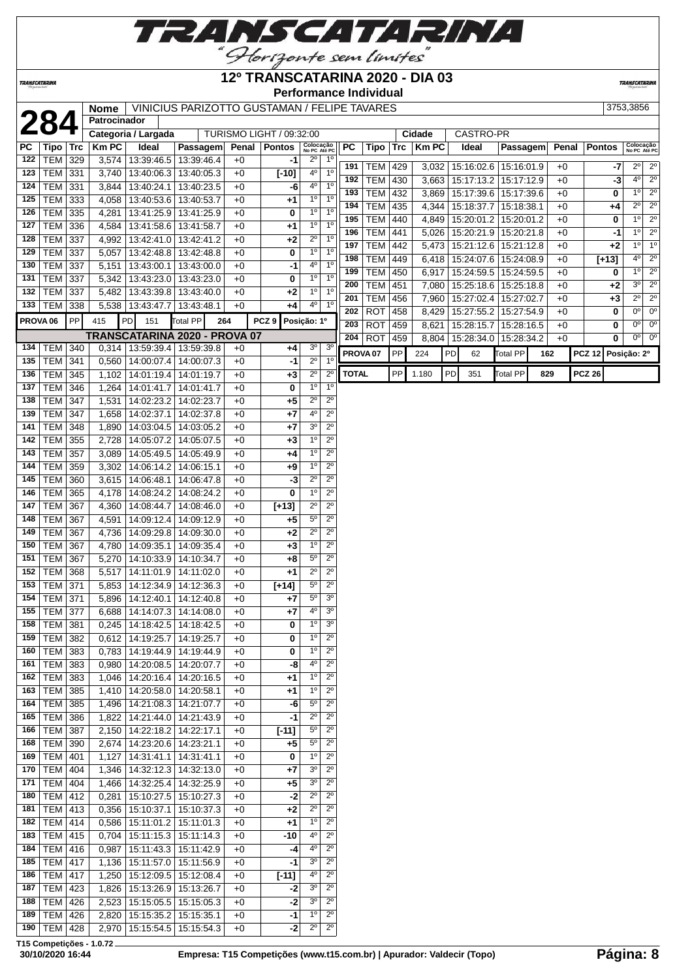

### **12º TRANSCATARINA 2020 - DIA 03**

**Performance Individual**

**TRANSCATARIN** 

TRANSCATARINA

## **23753,3856 Nome** VINICIUS PARIZOTTO GUSTAMAN / FELIPE TAVARES

|                     | Z84             |            | Patrocinador        |                      |                                 |       |                          |                  |                           |              |                     |     |              |    |                         |                 |     |       |               |                                       |
|---------------------|-----------------|------------|---------------------|----------------------|---------------------------------|-------|--------------------------|------------------|---------------------------|--------------|---------------------|-----|--------------|----|-------------------------|-----------------|-----|-------|---------------|---------------------------------------|
|                     |                 |            | Categoria / Largada |                      |                                 |       | TURISMO LIGHT / 09:32:00 |                  |                           |              |                     |     | Cidade       |    | CASTRO-PR               |                 |     |       |               |                                       |
| PC                  | Tipo            | <b>Trc</b> | <b>KmPC</b>         | Ideal                | Passagem                        | Penal | <b>Pontos</b>            |                  | Colocação<br>No PC Até PC | <b>PC</b>    | Tipo                | Trc | <b>Km PC</b> |    | Ideal                   | Passagem        |     | Penal | <b>Pontos</b> | Colocação<br>No PC Até PC             |
| 122                 | <b>TEM 329</b>  |            |                     | 3,574 13:39:46.5     | 13:39:46.4                      | $+0$  | -1                       | $2^{\circ}$      | $1^{\circ}$               | 191          | TEM                 | 429 | 3,032        |    | 15:16:02.6   15:16:01.9 |                 |     | $+0$  |               | $2^{\circ}$<br>2º                     |
| 123                 | <b>TEM 331</b>  |            |                     | 3,740 13:40:06.3     | 13:40:05.3                      | $+0$  | $[-10]$                  | 4°               | 1 <sup>0</sup>            | 192          | TEM                 | 430 | 3.663        |    | 15:17:13.2              | 15:17:12.9      |     | $+0$  | -7<br>-3      | $\overline{2^0}$<br>$4^{\circ}$       |
| 124                 | TEM             | 331        | 3,844               | 13:40:24.1           | 13:40:23.5                      | $+0$  | -6                       | $4^{\rm o}$      | 1 <sup>0</sup>            | 193          | <b>TEM</b>          | 432 |              |    |                         |                 |     | $+0$  |               | $\overline{2^0}$<br>$1^{\circ}$       |
| 125                 | TEM             | 333        | 4,058               | 13:40:53.6           | 13:40:53.7                      | $+0$  | +1                       | $1^{\circ}$      | 1 <sup>0</sup>            |              |                     |     | 3,869        |    | 15:17:39.6   15:17:39.6 |                 |     |       | 0             | $2^{\circ}$<br>$2^{\circ}$            |
| 126                 | TEM             | 335        | 4,281               | 13:41:25.9           | 13:41:25.9                      | $+0$  | 0                        | 1 <sup>0</sup>   | 1 <sup>0</sup>            | 194          | <b>TEM</b>          | 435 | 4,344        |    | 15:18:37.7              | 15:18:38.1      |     | $+0$  | +4            |                                       |
| 127                 | <b>TEM 336</b>  |            | 4,584               | 13:41:58.6           | 13:41:58.7                      | $+0$  | $^{+1}$                  | 1 <sup>0</sup>   | 1 <sup>0</sup>            | 195          | <b>TEM</b>          | 440 | 4,849        |    | 15:20:01.2              | 15:20:01.2      |     | $+0$  | 0             | $2^{\circ}$<br>1 <sup>0</sup>         |
| 128                 | TEM             | 337        | 4,992               | 13:42:41.0           | 13:42:41.2                      | $+0$  | $+2$                     | $2^{\circ}$      | 1 <sup>0</sup>            | 196          | <b>TEM</b>          | 441 | 5,026        |    | 15:20:21.9              | 15:20:21.8      |     | $+0$  | -1            | 1°<br>$\overline{2^0}$                |
| 129                 | TEM             | 337        | 5,057               |                      | 13:42:48.8 13:42:48.8           | $+0$  | 0                        | 1 <sup>o</sup>   | $1^{\circ}$               | 197          | <b>TEM</b>          | 442 | 5,473        |    | 15:21:12.6              | 15:21:12.8      |     | $+0$  | +2            | 1 <sup>0</sup><br>$1^{\circ}$         |
| 130                 | TEM             | 337        | 5,151               | 13:43:00.1           | 13:43:00.0                      | $+0$  | -1                       | 4 <sup>0</sup>   | 1 <sup>0</sup>            | 198          | <b>TEM</b>          | 449 | 6,418        |    | 15:24:07.6              | 15:24:08.9      |     | $+0$  | $[+13]$       | $2^{\circ}$<br>$4^{\circ}$            |
| 131                 | <b>TEM</b>      | 337        |                     | 5,342 13:43:23.0     | 13:43:23.0                      | $+0$  | 0                        | 1 <sup>0</sup>   | 1 <sup>0</sup>            | 199          | <b>TEM</b>          | 450 | 6,917        |    | 15:24:59.5              | 15:24:59.5      |     | $+0$  | 0             | $2^{\circ}$<br>$1^{\circ}$            |
| 132                 | TEM             | 337        | 5,482               | 13:43:39.8           | 13:43:40.0                      | $+0$  | $+2$                     | $1^{\circ}$      | 1 <sup>0</sup>            | 200          | <b>TEM</b>          | 451 | 7,080        |    | 15:25:18.6   15:25:18.8 |                 |     | $+0$  | $+2$          | $\overline{2^0}$<br>3 <sup>0</sup>    |
| 133                 | TEM 338         |            |                     | 5,538 13:43:47.7     | 13:43:48.1                      | $+0$  | +4                       | 40               | $1^{\circ}$               | 201          | <b>TEM</b>          | 456 | 7,960        |    | 15:27:02.4   15:27:02.7 |                 |     | $+0$  | $+3$          | $2^{\circ}$<br>$2^{\circ}$            |
|                     |                 |            |                     |                      |                                 |       |                          |                  |                           | 202          | <b>ROT</b>          | 458 | 8,429        |    | 15:27:55.2   15:27:54.9 |                 |     | $+0$  | 0             | $0^{\circ}$<br>$0^{\circ}$            |
| PROVA <sub>06</sub> |                 | PP         | 415                 | PD<br>151            | <b>Total PP</b>                 | 264   | PCZ9                     | Posição: 1º      |                           | 203          | <b>ROT</b>          | 459 | 8,621        |    | 15:28:15.7              | 15:28:16.5      |     | $+0$  | 0             | $\overline{0^{\circ}}$<br>$0^{\circ}$ |
|                     |                 |            |                     |                      | TRANSCATARINA 2020 - PROVA 07   |       |                          |                  |                           | 204          | <b>ROT</b>          | 459 | 8,804        |    | 15:28:34.0              | 15:28:34.2      |     | $+0$  | 0             | 0 <sup>0</sup><br>0°                  |
| 134                 | <b>TEM 340</b>  |            |                     | 0,314 13:59:39.4     | 13:59:39.8                      | $+0$  | $+4$                     | 3 <sup>o</sup>   | 3 <sup>0</sup>            |              | PROVA <sub>07</sub> | PP  | 224          | PD | 62                      | <b>Total PP</b> | 162 |       | <b>PCZ 12</b> | Posição: 2º                           |
| 135                 | <b>TEM 341</b>  |            |                     | 0,560 14:00:07.4     | 14:00:07.3                      | $+0$  | $-1$                     | $\overline{2^0}$ | 1 <sup>0</sup>            |              |                     |     |              |    |                         |                 |     |       |               |                                       |
| 136                 | TEM             | 345        |                     |                      | 1,102   14:01:19.4   14:01:19.7 | $+0$  | $+3$                     | $2^{\circ}$      | $\overline{2^0}$          | <b>TOTAL</b> |                     | PP  | 1.180        | PD | 351                     | <b>Total PP</b> | 829 |       | <b>PCZ 26</b> |                                       |
| 137                 | TEM             | 346        |                     | 1,264 14:01:41.7     | 14:01:41.7                      | $+0$  | 0                        | 10               | 1 <sup>0</sup>            |              |                     |     |              |    |                         |                 |     |       |               |                                       |
| 138                 | TEM             | 347        | 1,531               | 14:02:23.2           | 14:02:23.7                      | $+0$  | $+5$                     | $2^{\circ}$      | $2^{\circ}$               |              |                     |     |              |    |                         |                 |     |       |               |                                       |
| 139                 | TEM             | 347        | 1,658               | 14:02:37.1           | 14:02:37.8                      | $+0$  | +7                       | 4 <sup>0</sup>   | $\overline{2^0}$          |              |                     |     |              |    |                         |                 |     |       |               |                                       |
| 141                 | TEM             | 348        | 1,890               | 14:03:04.5           | 14:03:05.2                      | $+0$  | +7                       | 30               | $2^{\circ}$               |              |                     |     |              |    |                         |                 |     |       |               |                                       |
| 142                 | TEM             | 355        | 2,728               | 14:05:07.2           | 14:05:07.5                      | $+0$  | $+3$                     | 1 <sup>0</sup>   | $2^{\circ}$               |              |                     |     |              |    |                         |                 |     |       |               |                                       |
| 143                 | <b>TEM</b>      | 357        | 3,089               | 14:05:49.5           | 14:05:49.9                      | $+0$  | +4                       | 1 <sup>0</sup>   | $2^{\circ}$               |              |                     |     |              |    |                         |                 |     |       |               |                                       |
| 144                 | TEM             | 359        | 3,302               | 14:06:14.2           | 14:06:15.1                      | $+0$  | +9                       | $\overline{1^0}$ | $\overline{2^0}$          |              |                     |     |              |    |                         |                 |     |       |               |                                       |
| 145                 | TEM             | 360        |                     | 3,615 14:06:48.1     | 14:06:47.8                      | $+0$  | -3                       | $2^{\circ}$      | $\overline{2^0}$          |              |                     |     |              |    |                         |                 |     |       |               |                                       |
| 146                 | TEM             | 365        |                     |                      | 4,178   14:08:24.2   14:08:24.2 | $+0$  | 0                        | 1 <sup>0</sup>   | $2^{\circ}$               |              |                     |     |              |    |                         |                 |     |       |               |                                       |
| 147                 | TEM             | 367        |                     | 4,360 14:08:44.7     | 14:08:46.0                      | $+0$  | $[+13]$                  | $2^{\circ}$      | $2^{\circ}$               |              |                     |     |              |    |                         |                 |     |       |               |                                       |
| 148                 | TEM             |            |                     |                      |                                 |       |                          | $5^{\circ}$      | $2^{\circ}$               |              |                     |     |              |    |                         |                 |     |       |               |                                       |
|                     |                 | 367        | 4,591               | 14:09:12.4           | 14:09:12.9                      | $+0$  | +5                       | $\overline{2^0}$ | $\overline{2^0}$          |              |                     |     |              |    |                         |                 |     |       |               |                                       |
| 149                 | TEM             | 367        | 4,736               | 14:09:29.8           | 14:09:30.0                      | $+0$  | $+2$                     |                  |                           |              |                     |     |              |    |                         |                 |     |       |               |                                       |
| 150                 | TEM             | 367        |                     | 4,780 14:09:35.1     | 14:09:35.4                      | $+0$  | $+3$                     | 1 <sup>0</sup>   | $2^{\circ}$               |              |                     |     |              |    |                         |                 |     |       |               |                                       |
| 151                 | TEM             | 367        | 5,270               | 14:10:33.9           | 14:10:34.7                      | $+0$  | +8                       | $5^{\rm o}$      | $2^{\circ}$               |              |                     |     |              |    |                         |                 |     |       |               |                                       |
| 152                 | TEM             | 368        | 5,517               | 14:11:01.9           | 14:11:02.0                      | $+0$  | +1                       | $2^{\circ}$      | $2^{\circ}$               |              |                     |     |              |    |                         |                 |     |       |               |                                       |
| 153                 | TEM             | 371        | 5,853               | 14:12:34.9           | 14:12:36.3                      | $+0$  | $[+14]$                  | $\overline{5^0}$ | $\overline{2^{\circ}}$    |              |                     |     |              |    |                         |                 |     |       |               |                                       |
| 154                 | <b>TEM 371</b>  |            |                     | 5,896 14:12:40.1     | 14:12:40.8                      | $+0$  | +7                       | $\overline{5^0}$ | 3 <sup>0</sup>            |              |                     |     |              |    |                         |                 |     |       |               |                                       |
| 155                 | TEM             | 377        |                     | 6,688 14:14:07.3     | 14:14:08.0                      | $+0$  | +7                       | 40               | 3 <sup>0</sup>            |              |                     |     |              |    |                         |                 |     |       |               |                                       |
| 158                 | <b>TEM 381</b>  |            |                     |                      | 0,245   14:18:42.5   14:18:42.5 | $+0$  | 0                        | 1 <sup>0</sup>   | 3 <sup>0</sup>            |              |                     |     |              |    |                         |                 |     |       |               |                                       |
|                     | 159 TEM 382     |            |                     |                      | 0,612 14:19:25.7 14:19:25.7     | $+0$  | 0                        | $1^{\circ}$      | $\overline{2^0}$          |              |                     |     |              |    |                         |                 |     |       |               |                                       |
|                     | 160   TEM   383 |            |                     |                      | 0,783   14:19:44.9   14:19:44.9 | $+0$  | 0                        | $1^{\circ}$      | $2^{\circ}$               |              |                     |     |              |    |                         |                 |     |       |               |                                       |
|                     | 161   TEM   383 |            |                     |                      | 0,980   14:20:08.5   14:20:07.7 | $+0$  | -8                       | 4 <sup>0</sup>   | $2^{\circ}$               |              |                     |     |              |    |                         |                 |     |       |               |                                       |
|                     | 162   TEM   383 |            |                     | 1,046 14:20:16.4     | 14:20:16.5                      | +0    | +1                       | $1^{\rm o}$      | $2^{\circ}$               |              |                     |     |              |    |                         |                 |     |       |               |                                       |
| 163                 | TEM 385         |            |                     | 1,410 14:20:58.0     | 14:20:58.1                      | +0    | +1                       | 1 <sup>0</sup>   | $2^{\circ}$               |              |                     |     |              |    |                         |                 |     |       |               |                                       |
|                     | 164   TEM   385 |            |                     |                      | 1,496 14:21:08.3 14:21:07.7     | $+0$  | -6                       | $5^{\circ}$      | $2^{\circ}$               |              |                     |     |              |    |                         |                 |     |       |               |                                       |
|                     | 165   TEM   386 |            |                     |                      | 1,822   14:21:44.0   14:21:43.9 | $+0$  | -1                       | $2^{\circ}$      | $2^{\circ}$               |              |                     |     |              |    |                         |                 |     |       |               |                                       |
|                     | 166   TEM   387 |            |                     |                      | 2,150   14:22:18.2   14:22:17.1 | $+0$  | $[-11]$                  | $5^{\circ}$      | $2^{\circ}$               |              |                     |     |              |    |                         |                 |     |       |               |                                       |
|                     | 168   TEM   390 |            |                     |                      | 2,674   14:23:20.6   14:23:21.1 | $+0$  | +5                       | $\overline{5^0}$ | $2^{\circ}$               |              |                     |     |              |    |                         |                 |     |       |               |                                       |
|                     | 169   TEM   401 |            |                     | $1,127$ 14:31:41.1   | 14:31:41.1                      | +0    | 0                        | $1^{\rm o}$      | $2^{\circ}$               |              |                     |     |              |    |                         |                 |     |       |               |                                       |
| 170                 | TEM   404       |            |                     |                      | 1,346   14:32:12.3   14:32:13.0 | $+0$  | +7                       | $3^{\rm o}$      | $2^{\circ}$               |              |                     |     |              |    |                         |                 |     |       |               |                                       |
| 171                 | $TEM$ 404       |            |                     | 1,466 14:32:25.4     | 14:32:25.9                      | $+0$  | $+5$                     | 3 <sup>o</sup>   | $2^{\circ}$               |              |                     |     |              |    |                         |                 |     |       |               |                                       |
| 180                 | <b>TEM 412</b>  |            |                     |                      | 0,281   15:10:27.5   15:10:27.3 | $+0$  | -2                       | $2^{\circ}$      | $2^{\circ}$               |              |                     |     |              |    |                         |                 |     |       |               |                                       |
| 181                 | $TEM$ 413       |            |                     | $0,356$   15:10:37.1 | 15:10:37.3                      | +0    | +2                       | $2^{\circ}$      | $2^{\circ}$               |              |                     |     |              |    |                         |                 |     |       |               |                                       |
| 182                 | TEM 414         |            |                     | 0,586   15:11:01.2   | 15:11:01.3                      | $+0$  | +1                       | $1^{\circ}$      | $2^{\circ}$               |              |                     |     |              |    |                         |                 |     |       |               |                                       |
|                     | 183   TEM   415 |            |                     | $0,704$ 15:11:15.3   | 15:11:14.3                      | $+0$  | -10                      | 4 <sup>0</sup>   | $2^{\circ}$               |              |                     |     |              |    |                         |                 |     |       |               |                                       |
|                     |                 |            |                     |                      |                                 |       |                          | $4^{\circ}$      | $2^{\circ}$               |              |                     |     |              |    |                         |                 |     |       |               |                                       |
|                     | 184   TEM   416 |            |                     | 0,987 15:11:43.3     | 15:11:42.9                      | $+0$  | -4                       | 3 <sup>o</sup>   | $2^{\circ}$               |              |                     |     |              |    |                         |                 |     |       |               |                                       |
|                     | 185   TEM   417 |            |                     | 1,136   15:11:57.0   | 15:11:56.9                      | $+0$  | $-1$                     |                  |                           |              |                     |     |              |    |                         |                 |     |       |               |                                       |
|                     | 186   TEM   417 |            |                     | 1,250   15:12:09.5   | 15:12:08.4                      | +0    | $[-11]$                  | 4 <sup>0</sup>   | $2^{\circ}$               |              |                     |     |              |    |                         |                 |     |       |               |                                       |
| 187                 | $TEM$ 423       |            |                     |                      | 1,826   15:13:26.9   15:13:26.7 | $+0$  | -2                       | $3^{\rm o}$      | $2^{\circ}$               |              |                     |     |              |    |                         |                 |     |       |               |                                       |
| 188                 | $TEM$ 426       |            |                     | 2,523 15:15:05.5     | 15:15:05.3                      | $+0$  | -2                       | 3 <sup>o</sup>   | $2^{\circ}$               |              |                     |     |              |    |                         |                 |     |       |               |                                       |
| 189                 | $TEM$ 426       |            |                     | 2,820 15:15:35.2     | 15:15:35.1                      | $+0$  | -1                       | $1^{\rm o}$      | $2^{\circ}$               |              |                     |     |              |    |                         |                 |     |       |               |                                       |
|                     | 190   TEM   428 |            |                     | 2,970 15:15:54.5     | 15:15:54.3                      | $+0$  | -2                       | $2^{\circ}$      | $2^{\circ}$               |              |                     |     |              |    |                         |                 |     |       |               |                                       |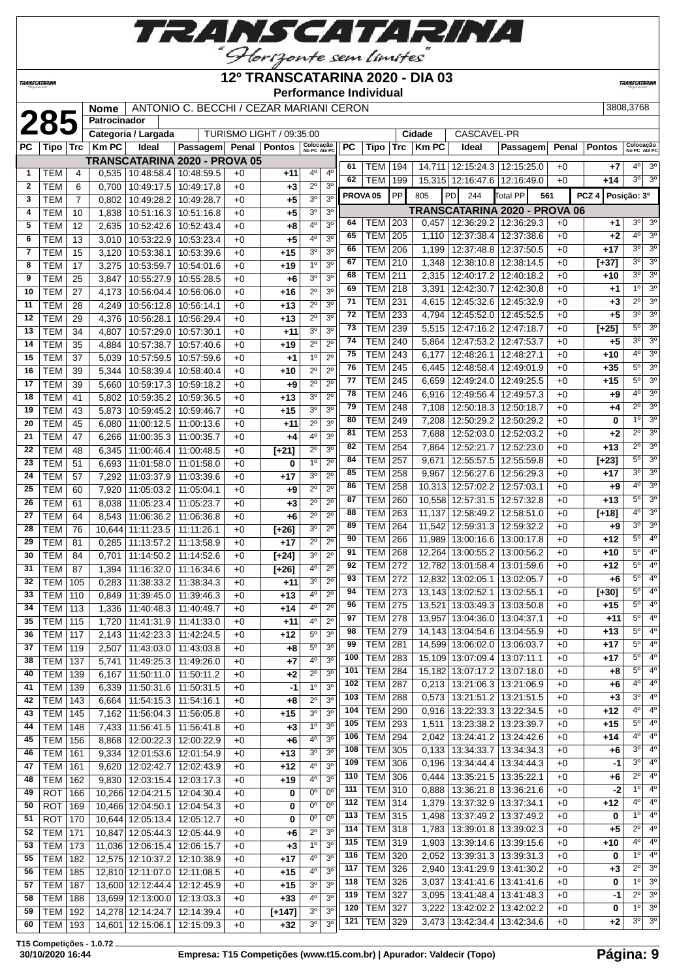

#### **12º TRANSCATARINA 2020 - DIA 03**

**Performance Individual**

**TRANSCATARIN** 

|                |            |                | <b>Nome</b>         |                     | ANTONIO C. BECCHI / CEZAR MARIANI CERON |      |                          |                           |                  |           |                     |            |              |                   |                               |       |               | 3808.3768                 |                  |
|----------------|------------|----------------|---------------------|---------------------|-----------------------------------------|------|--------------------------|---------------------------|------------------|-----------|---------------------|------------|--------------|-------------------|-------------------------------|-------|---------------|---------------------------|------------------|
|                | 285        |                | <b>Patrocinador</b> |                     |                                         |      |                          |                           |                  |           |                     |            |              |                   |                               |       |               |                           |                  |
|                |            |                |                     | Categoria / Largada |                                         |      | TURISMO LIGHT / 09:35:00 |                           |                  |           |                     |            | Cidade       | CASCAVEL-PR       |                               |       |               |                           |                  |
| <b>PC</b>      | Tipo       | <b>Trc</b>     | <b>KmPC</b>         | Ideal               | <b>Passagem</b>                         |      | Penal   Pontos           | Colocação<br>No PC Até PC |                  | <b>PC</b> | <b>Tipo</b>         | <b>Trc</b> | <b>Km PC</b> | Ideal             | Passagem                      | Penal | <b>Pontos</b> | Colocação<br>No PC Até PC |                  |
|                |            |                |                     |                     | TRANSCATARINA 2020 - PROVA 05           |      |                          |                           |                  | 61        | <b>TEM</b>          | 194        | 14.711       | 12:15:24.3        | 12:15:25.0                    | $+0$  | $+7$          | $4^{\circ}$               | $\overline{3^0}$ |
| -1             | <b>TEM</b> | 4              | 0.535               | 10:48:58.4          | 10:48:59.5                              | $+0$ | $+11$                    | $4^{\circ}$               | 4 <sup>o</sup>   | 62        | TEM                 | 199        |              | 15,315 12:16:47.6 | 12:16:49.0                    | $+0$  | $+14$         | 3 <sup>o</sup>            | 3 <sup>o</sup>   |
| $\mathbf{2}$   | <b>TEM</b> | 6              | 0.700               | 10:49:17.5          | 10:49:17.8                              | $+0$ | $+3$                     | $2^{\circ}$               | 3 <sup>o</sup>   |           |                     |            |              |                   |                               |       |               |                           |                  |
| 3              | <b>TEM</b> | $\overline{7}$ | 0.802               | 10:49:28.2          | 10:49:28.7                              | $+0$ | $+5$                     | 3 <sup>o</sup>            | 3 <sup>0</sup>   |           | PROVA <sub>05</sub> | PP         | 805          | <b>PD</b><br>244  | Total PP                      | 561   | PCZ 4         | Posição: 3º               |                  |
| 4              | <b>TEM</b> | 10             | 1.838               | 10:51:16.3          | 10:51:16.8                              | $+0$ | $+5$                     | 3 <sup>o</sup>            | 3 <sup>o</sup>   |           |                     |            |              |                   | TRANSCATARINA 2020 - PROVA 06 |       |               |                           |                  |
| 5              | <b>TEM</b> | 12             | 2,635               | 10:52:42.6          | 10:52:43.4                              | $+0$ | $+8$                     | 4 <sup>0</sup>            | 3 <sup>o</sup>   | 64        | TEM                 | 203        | 0,457        | 12:36:29.2        | 12:36:29.3                    | $+0$  | $+1$          | $3^{\circ}$               | 3 <sup>o</sup>   |
| 6              | <b>TEM</b> | 13             | 3.010               | 10:53:22.9          | 10:53:23.4                              | $+0$ | $+5$                     | 4 <sup>0</sup>            | 3 <sup>0</sup>   | 65        | <b>TEM</b>          | 205        | 1.110        | 12:37:38.4        | 12:37:38.6                    | $+0$  | $+2$          | 4 <sup>0</sup>            | 3 <sup>o</sup>   |
| $\overline{7}$ | <b>TEM</b> | 15             | 3.120               | 10:53:38.1          | 10:53:39.6                              | $+0$ | $+15$                    | 3 <sup>0</sup>            | 3 <sup>o</sup>   | 66        | <b>TEM</b>          | 206        | 1,199        | 12:37:48.8        | 12:37:50.5                    | $+0$  | $+17$         | 3 <sup>o</sup>            | $\overline{3^0}$ |
| 8              | <b>TEM</b> | 17             | 3,275               | 10:53:59.7          | 10:54:01.6                              | $+0$ | $+19$                    | 1 <sup>0</sup>            | 3 <sup>o</sup>   | 67        | <b>TEM</b>          | 210        | 1.348        | 12:38:10.8        | 12:38:14.5                    | $+0$  | $[+37]$       | 3 <sup>o</sup>            | $\overline{3^0}$ |
| 9              | <b>TEM</b> | 25             | 3.847               | 10:55:27.9          | 10:55:28.5                              | $+0$ | $+6$                     | 3 <sup>0</sup>            | 3 <sup>o</sup>   | 68        | <b>TEM</b>          | 211        | 2,315        | 12:40:17.2        | 12:40:18.2                    | $+0$  | $+10$         | 3 <sup>o</sup>            | 3 <sup>o</sup>   |
| 10             | <b>TEM</b> | 27             | 4.173               | 10:56:04.4          | 10:56:06.0                              | $+0$ | $+16$                    | $2^{\circ}$               | 3 <sup>o</sup>   | 69        | <b>TEM</b>          | 218        | 3,391        | 12:42:30.7        | 12:42:30.8                    | $+0$  | $+1$          | 1 <sup>0</sup>            | $\overline{3^0}$ |
| 11             | <b>TEM</b> | 28             | 4,249               | 10:56:12.8          | 10:56:14.1                              | $+0$ | $+13$                    | $2^{\circ}$               | 3 <sup>o</sup>   | 71        | <b>TEM</b>          | 231        | 4,615        | 12:45:32.6        | 12:45:32.9                    | $+0$  | $+3$          | $2^{\circ}$               | $\overline{3^0}$ |
| 12             | <b>TEM</b> | 29             | 4.376               | 10:56:28.1          | 10:56:29.4                              | $+0$ | $+13$                    | $2^{\circ}$               | 3 <sup>o</sup>   | 72        | <b>TEM</b>          | 233        | 4.794        | 12:45:52.0        | 12:45:52.5                    | $+0$  | $+5$          | 3 <sup>o</sup>            | $\overline{3^0}$ |
| 13             | <b>TEM</b> | 34             | 4,807               | 10:57:29.0          | 10:57:30.1                              | $+0$ | $+11$                    | 3 <sup>0</sup>            | 3 <sup>0</sup>   | 73        | <b>TEM</b>          | 239        | 5,515        | 12:47:16.2        | 12:47:18.7                    | $+0$  | $[+25]$       | 5 <sup>o</sup>            | 3 <sup>o</sup>   |
| 14             | <b>TEM</b> | 35             | 4.884               | 10:57:38.7          | 10:57:40.6                              | $+0$ | $+19$                    | $\overline{2^0}$          | $\overline{2^0}$ | 74        | <b>TEM</b>          | 240        | 5.864        | 12:47:53.2        | 12:47:53.7                    | $+0$  | $+5$          | 3 <sup>o</sup>            | 3 <sup>o</sup>   |
| 15             | <b>TEM</b> | 37             | 5.039               | 10:57:59.5          | 10:57:59.6                              | $+0$ | $+1$                     | 1 <sup>0</sup>            | $2^{\circ}$      | 75        | <b>TEM</b>          | 243        | 6.177        | 12:48:26.1        | 12:48:27.1                    | $+0$  | $+10$         | 4 <sup>0</sup>            | $\overline{3^0}$ |
| 16             | <b>TEM</b> | 39             | 5.344               | 10:58:39.4          | 10:58:40.4                              | $+0$ | $+10$                    | $2^{\circ}$               | $2^{\circ}$      | 76        | <b>TEM</b>          | 245        | 6.445        | 12:48:58.4        | 12:49:01.9                    | $+0$  | $+35$         | $\overline{5^0}$          | $\overline{3^0}$ |
| 17             | <b>TEM</b> | 39             | 5.660               | 10:59:17.3          | 10:59:18.2                              | $+0$ | $+9$                     | $2^{\circ}$               | $2^{\circ}$      | 77        | <b>TEM</b>          | 245        | 6.659        | 12:49:24.0        | 12:49:25.5                    | $+0$  | $+15$         | 5 <sup>o</sup>            | 3 <sup>0</sup>   |
| 18             | <b>TEM</b> | 41             | 5.802               | 10:59:35.2          | 10:59:36.5                              | $+0$ | $+13$                    | 3 <sup>o</sup>            | $\overline{2^0}$ | 78        | <b>TEM</b>          | 246        | 6.916        | 12:49:56.4        | 12:49:57.3                    | $+0$  | $+9$          | 4 <sup>0</sup>            | 3 <sup>o</sup>   |
| 19             | <b>TEM</b> | 43             | 5.873               | 10:59:45.2          | 10:59:46.7                              | $+0$ | $+15$                    | 3 <sup>0</sup>            | 3 <sup>o</sup>   | 79        | <b>TEM</b>          | 248        | 7.108        | 12:50:18.3        | 12:50:18.7                    | $+0$  | $+4$          | $2^{\circ}$               | $\overline{3^0}$ |
| 20             | <b>TEM</b> | 45             | 6.080               | 11:00:12.5          | 11:00:13.6                              | $+0$ | $+11$                    | $2^{\circ}$               | 3 <sup>0</sup>   | 80        | <b>TEM</b>          | 249        | 7.208        | 12:50:29.2        | 12:50:29.2                    | $+0$  | 0             | 10                        | 3 <sup>o</sup>   |

*TRANSCATARINA* 

| TEM<br>47<br><b>TEM</b><br>48<br><b>TEM</b><br>51 | 6,266<br>6.345                                                                                                                                                                                                                                                                                                                                                                                                                                | 11:00:35.3        | 11:00:35.7                                                                       |                                                                                                                                                                                                          |                |                        |                                                                      |     |                                                                                                                                                                                                   |                                                                                                                                                                                                                                                                                                                                                             |                                                                                                                                                                                                                                                               |                                                                                                                                                                                                                                                                                                                                                                             |                                                                                                                                                                                                                                                                                                                                                                                                                                                                                                                                                                                                                                                                                                        |                                                                                                                                                                                              | $\overline{2^0}$                                                                                                                                                                         |                                                                                                                                                                                                                                                                                                                                                                                                                                                                                                                                        |
|---------------------------------------------------|-----------------------------------------------------------------------------------------------------------------------------------------------------------------------------------------------------------------------------------------------------------------------------------------------------------------------------------------------------------------------------------------------------------------------------------------------|-------------------|----------------------------------------------------------------------------------|----------------------------------------------------------------------------------------------------------------------------------------------------------------------------------------------------------|----------------|------------------------|----------------------------------------------------------------------|-----|---------------------------------------------------------------------------------------------------------------------------------------------------------------------------------------------------|-------------------------------------------------------------------------------------------------------------------------------------------------------------------------------------------------------------------------------------------------------------------------------------------------------------------------------------------------------------|---------------------------------------------------------------------------------------------------------------------------------------------------------------------------------------------------------------------------------------------------------------|-----------------------------------------------------------------------------------------------------------------------------------------------------------------------------------------------------------------------------------------------------------------------------------------------------------------------------------------------------------------------------|--------------------------------------------------------------------------------------------------------------------------------------------------------------------------------------------------------------------------------------------------------------------------------------------------------------------------------------------------------------------------------------------------------------------------------------------------------------------------------------------------------------------------------------------------------------------------------------------------------------------------------------------------------------------------------------------------------|----------------------------------------------------------------------------------------------------------------------------------------------------------------------------------------------|------------------------------------------------------------------------------------------------------------------------------------------------------------------------------------------|----------------------------------------------------------------------------------------------------------------------------------------------------------------------------------------------------------------------------------------------------------------------------------------------------------------------------------------------------------------------------------------------------------------------------------------------------------------------------------------------------------------------------------------|
|                                                   |                                                                                                                                                                                                                                                                                                                                                                                                                                               |                   |                                                                                  | $+0$                                                                                                                                                                                                     | $+4$           | 4°                     | 3 <sup>0</sup>                                                       | 81  | <b>TEM</b><br>253                                                                                                                                                                                 | 7,688                                                                                                                                                                                                                                                                                                                                                       | 12:52:03.0                                                                                                                                                                                                                                                    | 12:52:03.2                                                                                                                                                                                                                                                                                                                                                                  | $+0$                                                                                                                                                                                                                                                                                                                                                                                                                                                                                                                                                                                                                                                                                                   | $+2$                                                                                                                                                                                         |                                                                                                                                                                                          | 3 <sup>o</sup>                                                                                                                                                                                                                                                                                                                                                                                                                                                                                                                         |
|                                                   |                                                                                                                                                                                                                                                                                                                                                                                                                                               | 11:00:46.4        | 11:00:48.5                                                                       | $+0$                                                                                                                                                                                                     | $[t+21]$       | $2^{\circ}$            | 3 <sup>0</sup>                                                       | 82  | <b>TEM</b><br>254                                                                                                                                                                                 | 7,864                                                                                                                                                                                                                                                                                                                                                       | 12:52:21.7                                                                                                                                                                                                                                                    | 12:52:23.0                                                                                                                                                                                                                                                                                                                                                                  | $+0$                                                                                                                                                                                                                                                                                                                                                                                                                                                                                                                                                                                                                                                                                                   | $+13$                                                                                                                                                                                        | $\overline{2^0}$                                                                                                                                                                         | 3 <sup>o</sup>                                                                                                                                                                                                                                                                                                                                                                                                                                                                                                                         |
|                                                   | 6,693                                                                                                                                                                                                                                                                                                                                                                                                                                         | 11:01:58.0        | 11:01:58.0                                                                       | $+0$                                                                                                                                                                                                     | 0              | 1 <sup>0</sup>         | $2^{\circ}$                                                          | 84  | TEM<br>257                                                                                                                                                                                        | 9,671                                                                                                                                                                                                                                                                                                                                                       | 12:55:57.5                                                                                                                                                                                                                                                    | 12:55:59.8                                                                                                                                                                                                                                                                                                                                                                  | $+0$                                                                                                                                                                                                                                                                                                                                                                                                                                                                                                                                                                                                                                                                                                   | $[+23]$                                                                                                                                                                                      | $5^{\circ}$                                                                                                                                                                              | 3 <sup>o</sup>                                                                                                                                                                                                                                                                                                                                                                                                                                                                                                                         |
| <b>TEM</b><br>57                                  | 7,292                                                                                                                                                                                                                                                                                                                                                                                                                                         | 11:03:37.9        | 11:03:39.6                                                                       | $+0$                                                                                                                                                                                                     | $+17$          | 3 <sup>o</sup>         | $2^{\circ}$                                                          | 85  | <b>TEM</b><br>258                                                                                                                                                                                 | 9,967                                                                                                                                                                                                                                                                                                                                                       | 12:56:27.6                                                                                                                                                                                                                                                    | 12:56:29.3                                                                                                                                                                                                                                                                                                                                                                  | $+0$                                                                                                                                                                                                                                                                                                                                                                                                                                                                                                                                                                                                                                                                                                   | $+17$                                                                                                                                                                                        | $\overline{3^0}$                                                                                                                                                                         | $\overline{3^0}$                                                                                                                                                                                                                                                                                                                                                                                                                                                                                                                       |
| 60                                                | 7,920                                                                                                                                                                                                                                                                                                                                                                                                                                         | 11:05:03.2        | 11:05:04.1                                                                       | $+0$                                                                                                                                                                                                     | $+9$           | $2^{\circ}$            | $2^{\circ}$                                                          | 86  | TEM                                                                                                                                                                                               |                                                                                                                                                                                                                                                                                                                                                             |                                                                                                                                                                                                                                                               |                                                                                                                                                                                                                                                                                                                                                                             | $+0$                                                                                                                                                                                                                                                                                                                                                                                                                                                                                                                                                                                                                                                                                                   | $+9$                                                                                                                                                                                         | 4 <sup>o</sup>                                                                                                                                                                           | $\overline{3^0}$                                                                                                                                                                                                                                                                                                                                                                                                                                                                                                                       |
| 61                                                | 8,038                                                                                                                                                                                                                                                                                                                                                                                                                                         | 11:05:23.4        | 11:05:23.7                                                                       | $+0$                                                                                                                                                                                                     |                | $\overline{2^{\circ}}$ | $\overline{2^0}$                                                     |     |                                                                                                                                                                                                   |                                                                                                                                                                                                                                                                                                                                                             |                                                                                                                                                                                                                                                               |                                                                                                                                                                                                                                                                                                                                                                             |                                                                                                                                                                                                                                                                                                                                                                                                                                                                                                                                                                                                                                                                                                        |                                                                                                                                                                                              |                                                                                                                                                                                          | 3 <sup>o</sup>                                                                                                                                                                                                                                                                                                                                                                                                                                                                                                                         |
| 64                                                | 8,543                                                                                                                                                                                                                                                                                                                                                                                                                                         | 11:06:36.2        | 11:06:36.8                                                                       | $+0$                                                                                                                                                                                                     | $+6$           | $\overline{2^0}$       | $2^{\circ}$                                                          |     |                                                                                                                                                                                                   |                                                                                                                                                                                                                                                                                                                                                             |                                                                                                                                                                                                                                                               |                                                                                                                                                                                                                                                                                                                                                                             |                                                                                                                                                                                                                                                                                                                                                                                                                                                                                                                                                                                                                                                                                                        |                                                                                                                                                                                              |                                                                                                                                                                                          | 3 <sup>0</sup>                                                                                                                                                                                                                                                                                                                                                                                                                                                                                                                         |
| 76                                                |                                                                                                                                                                                                                                                                                                                                                                                                                                               |                   | 11:11:26.1                                                                       | $+0$                                                                                                                                                                                                     | $[+26]$        | 3 <sup>0</sup>         | 2 <sup>0</sup>                                                       |     |                                                                                                                                                                                                   |                                                                                                                                                                                                                                                                                                                                                             |                                                                                                                                                                                                                                                               |                                                                                                                                                                                                                                                                                                                                                                             |                                                                                                                                                                                                                                                                                                                                                                                                                                                                                                                                                                                                                                                                                                        |                                                                                                                                                                                              |                                                                                                                                                                                          | 3 <sup>o</sup>                                                                                                                                                                                                                                                                                                                                                                                                                                                                                                                         |
| 81                                                | 0,285                                                                                                                                                                                                                                                                                                                                                                                                                                         | 11:13:57.2        | 11:13:58.9                                                                       | $+0$                                                                                                                                                                                                     | $+17$          | $\overline{2^0}$       | $2^{\circ}$                                                          |     |                                                                                                                                                                                                   |                                                                                                                                                                                                                                                                                                                                                             |                                                                                                                                                                                                                                                               |                                                                                                                                                                                                                                                                                                                                                                             |                                                                                                                                                                                                                                                                                                                                                                                                                                                                                                                                                                                                                                                                                                        |                                                                                                                                                                                              |                                                                                                                                                                                          | 4 <sup>0</sup>                                                                                                                                                                                                                                                                                                                                                                                                                                                                                                                         |
| 84                                                | 0,701                                                                                                                                                                                                                                                                                                                                                                                                                                         | 11:14:50.2        | 11:14:52.6                                                                       | $+0$                                                                                                                                                                                                     | $\sqrt{[+24]}$ | $\overline{3^0}$       | $\overline{2^0}$                                                     |     |                                                                                                                                                                                                   |                                                                                                                                                                                                                                                                                                                                                             |                                                                                                                                                                                                                                                               |                                                                                                                                                                                                                                                                                                                                                                             |                                                                                                                                                                                                                                                                                                                                                                                                                                                                                                                                                                                                                                                                                                        |                                                                                                                                                                                              |                                                                                                                                                                                          | 4 <sup>0</sup>                                                                                                                                                                                                                                                                                                                                                                                                                                                                                                                         |
| 87                                                | 1,394                                                                                                                                                                                                                                                                                                                                                                                                                                         | 11:16:32.0        | 11:16:34.6                                                                       | $+0$                                                                                                                                                                                                     | $[+26]$        | 4 <sup>o</sup>         | $\overline{2^0}$                                                     |     |                                                                                                                                                                                                   |                                                                                                                                                                                                                                                                                                                                                             |                                                                                                                                                                                                                                                               |                                                                                                                                                                                                                                                                                                                                                                             |                                                                                                                                                                                                                                                                                                                                                                                                                                                                                                                                                                                                                                                                                                        |                                                                                                                                                                                              |                                                                                                                                                                                          | $\overline{4^0}$                                                                                                                                                                                                                                                                                                                                                                                                                                                                                                                       |
| 105                                               | 0,283                                                                                                                                                                                                                                                                                                                                                                                                                                         | 11:38:33.2        | 11:38:34.3                                                                       | $+0$                                                                                                                                                                                                     |                | 3 <sup>0</sup>         | 2 <sup>0</sup>                                                       |     |                                                                                                                                                                                                   |                                                                                                                                                                                                                                                                                                                                                             |                                                                                                                                                                                                                                                               |                                                                                                                                                                                                                                                                                                                                                                             |                                                                                                                                                                                                                                                                                                                                                                                                                                                                                                                                                                                                                                                                                                        |                                                                                                                                                                                              |                                                                                                                                                                                          | 4 <sup>0</sup>                                                                                                                                                                                                                                                                                                                                                                                                                                                                                                                         |
| 110                                               | 0,849                                                                                                                                                                                                                                                                                                                                                                                                                                         | 11:39:45.0        | 11:39:46.3                                                                       | $+0$                                                                                                                                                                                                     | $+13$          | 4°                     | $2^{\circ}$                                                          |     |                                                                                                                                                                                                   |                                                                                                                                                                                                                                                                                                                                                             |                                                                                                                                                                                                                                                               |                                                                                                                                                                                                                                                                                                                                                                             |                                                                                                                                                                                                                                                                                                                                                                                                                                                                                                                                                                                                                                                                                                        |                                                                                                                                                                                              |                                                                                                                                                                                          | $\overline{4^0}$                                                                                                                                                                                                                                                                                                                                                                                                                                                                                                                       |
| 113                                               | 1,336                                                                                                                                                                                                                                                                                                                                                                                                                                         | 11:40:48.3        | 11:40:49.7                                                                       | $+0$                                                                                                                                                                                                     | $+14$          | 4 <sup>0</sup>         | 2 <sup>0</sup>                                                       |     |                                                                                                                                                                                                   |                                                                                                                                                                                                                                                                                                                                                             |                                                                                                                                                                                                                                                               |                                                                                                                                                                                                                                                                                                                                                                             |                                                                                                                                                                                                                                                                                                                                                                                                                                                                                                                                                                                                                                                                                                        |                                                                                                                                                                                              |                                                                                                                                                                                          | 4 <sup>0</sup>                                                                                                                                                                                                                                                                                                                                                                                                                                                                                                                         |
| 115                                               | 1,720                                                                                                                                                                                                                                                                                                                                                                                                                                         | 11:41:31.9        | 11:41:33.0                                                                       | $+0$                                                                                                                                                                                                     |                | 4 <sup>0</sup>         | $\overline{2^0}$                                                     |     |                                                                                                                                                                                                   |                                                                                                                                                                                                                                                                                                                                                             |                                                                                                                                                                                                                                                               |                                                                                                                                                                                                                                                                                                                                                                             |                                                                                                                                                                                                                                                                                                                                                                                                                                                                                                                                                                                                                                                                                                        |                                                                                                                                                                                              |                                                                                                                                                                                          | 4 <sup>0</sup>                                                                                                                                                                                                                                                                                                                                                                                                                                                                                                                         |
| 117                                               | 2,143                                                                                                                                                                                                                                                                                                                                                                                                                                         |                   | 11:42:24.5                                                                       | $+0$                                                                                                                                                                                                     | $+12$          | $5^{\circ}$            | 3 <sup>0</sup>                                                       |     |                                                                                                                                                                                                   |                                                                                                                                                                                                                                                                                                                                                             |                                                                                                                                                                                                                                                               |                                                                                                                                                                                                                                                                                                                                                                             |                                                                                                                                                                                                                                                                                                                                                                                                                                                                                                                                                                                                                                                                                                        |                                                                                                                                                                                              |                                                                                                                                                                                          | 4 <sup>0</sup>                                                                                                                                                                                                                                                                                                                                                                                                                                                                                                                         |
| 119                                               | 2,507                                                                                                                                                                                                                                                                                                                                                                                                                                         | 11:43:03.0        | 11:43:03.8                                                                       | $+0$                                                                                                                                                                                                     |                | 5 <sup>o</sup>         | 3 <sup>o</sup>                                                       |     |                                                                                                                                                                                                   |                                                                                                                                                                                                                                                                                                                                                             |                                                                                                                                                                                                                                                               |                                                                                                                                                                                                                                                                                                                                                                             |                                                                                                                                                                                                                                                                                                                                                                                                                                                                                                                                                                                                                                                                                                        |                                                                                                                                                                                              |                                                                                                                                                                                          | 4 <sup>0</sup>                                                                                                                                                                                                                                                                                                                                                                                                                                                                                                                         |
| 137                                               | 5,741                                                                                                                                                                                                                                                                                                                                                                                                                                         |                   |                                                                                  | $+0$                                                                                                                                                                                                     | $+7$           | 4 <sup>0</sup>         | 3 <sup>0</sup>                                                       |     |                                                                                                                                                                                                   |                                                                                                                                                                                                                                                                                                                                                             |                                                                                                                                                                                                                                                               |                                                                                                                                                                                                                                                                                                                                                                             |                                                                                                                                                                                                                                                                                                                                                                                                                                                                                                                                                                                                                                                                                                        |                                                                                                                                                                                              |                                                                                                                                                                                          | 4 <sup>0</sup>                                                                                                                                                                                                                                                                                                                                                                                                                                                                                                                         |
| 139                                               | 6,167                                                                                                                                                                                                                                                                                                                                                                                                                                         | 11:50:11.0        | 11:50:11.2                                                                       | $+0$                                                                                                                                                                                                     |                | $2^{\circ}$            | 3 <sup>o</sup>                                                       |     |                                                                                                                                                                                                   |                                                                                                                                                                                                                                                                                                                                                             |                                                                                                                                                                                                                                                               |                                                                                                                                                                                                                                                                                                                                                                             |                                                                                                                                                                                                                                                                                                                                                                                                                                                                                                                                                                                                                                                                                                        | $+8$                                                                                                                                                                                         |                                                                                                                                                                                          | 4 <sup>0</sup>                                                                                                                                                                                                                                                                                                                                                                                                                                                                                                                         |
| 139                                               | 6,339                                                                                                                                                                                                                                                                                                                                                                                                                                         | 11:50:31.6        | 11:50:31.5                                                                       | $+0$                                                                                                                                                                                                     |                | 10                     | 3 <sup>0</sup>                                                       |     |                                                                                                                                                                                                   |                                                                                                                                                                                                                                                                                                                                                             |                                                                                                                                                                                                                                                               |                                                                                                                                                                                                                                                                                                                                                                             | $+0$                                                                                                                                                                                                                                                                                                                                                                                                                                                                                                                                                                                                                                                                                                   | $+6$                                                                                                                                                                                         |                                                                                                                                                                                          | 4 <sup>0</sup>                                                                                                                                                                                                                                                                                                                                                                                                                                                                                                                         |
| 143                                               | 6,664                                                                                                                                                                                                                                                                                                                                                                                                                                         | 11:54:15.3        | 11:54:16.1                                                                       | $+0$                                                                                                                                                                                                     |                | $2^{\circ}$            | 3 <sup>0</sup>                                                       |     |                                                                                                                                                                                                   |                                                                                                                                                                                                                                                                                                                                                             |                                                                                                                                                                                                                                                               |                                                                                                                                                                                                                                                                                                                                                                             |                                                                                                                                                                                                                                                                                                                                                                                                                                                                                                                                                                                                                                                                                                        |                                                                                                                                                                                              |                                                                                                                                                                                          | 4 <sup>0</sup>                                                                                                                                                                                                                                                                                                                                                                                                                                                                                                                         |
| 145                                               | 7,162                                                                                                                                                                                                                                                                                                                                                                                                                                         | 11:56:04.3        | 11:56:05.8                                                                       | $+0$                                                                                                                                                                                                     | $+15$          | 3 <sup>o</sup>         | 3 <sup>0</sup>                                                       |     |                                                                                                                                                                                                   |                                                                                                                                                                                                                                                                                                                                                             |                                                                                                                                                                                                                                                               |                                                                                                                                                                                                                                                                                                                                                                             |                                                                                                                                                                                                                                                                                                                                                                                                                                                                                                                                                                                                                                                                                                        |                                                                                                                                                                                              |                                                                                                                                                                                          | 4 <sup>0</sup>                                                                                                                                                                                                                                                                                                                                                                                                                                                                                                                         |
| 148                                               | 7,433                                                                                                                                                                                                                                                                                                                                                                                                                                         | 11:56:41.5        | 11:56:41.8                                                                       | $+0$                                                                                                                                                                                                     |                | 1 <sup>0</sup>         | $\overline{3^0}$                                                     |     |                                                                                                                                                                                                   |                                                                                                                                                                                                                                                                                                                                                             |                                                                                                                                                                                                                                                               | 13:23:39.7                                                                                                                                                                                                                                                                                                                                                                  | $+0$                                                                                                                                                                                                                                                                                                                                                                                                                                                                                                                                                                                                                                                                                                   | $+15$                                                                                                                                                                                        |                                                                                                                                                                                          | 4 <sup>0</sup>                                                                                                                                                                                                                                                                                                                                                                                                                                                                                                                         |
| 156                                               | 8,868                                                                                                                                                                                                                                                                                                                                                                                                                                         |                   | 12:00:22.9                                                                       | $+0$                                                                                                                                                                                                     |                | 4 <sup>0</sup>         | 3 <sup>o</sup>                                                       |     |                                                                                                                                                                                                   |                                                                                                                                                                                                                                                                                                                                                             |                                                                                                                                                                                                                                                               |                                                                                                                                                                                                                                                                                                                                                                             | $+0$                                                                                                                                                                                                                                                                                                                                                                                                                                                                                                                                                                                                                                                                                                   | $+14$                                                                                                                                                                                        |                                                                                                                                                                                          | 4 <sup>0</sup>                                                                                                                                                                                                                                                                                                                                                                                                                                                                                                                         |
| 161                                               | 9,334                                                                                                                                                                                                                                                                                                                                                                                                                                         |                   | 12:01:54.9                                                                       | $+0$                                                                                                                                                                                                     | $+13$          | 3 <sup>o</sup>         | 3 <sup>o</sup>                                                       |     |                                                                                                                                                                                                   |                                                                                                                                                                                                                                                                                                                                                             |                                                                                                                                                                                                                                                               |                                                                                                                                                                                                                                                                                                                                                                             |                                                                                                                                                                                                                                                                                                                                                                                                                                                                                                                                                                                                                                                                                                        | +6                                                                                                                                                                                           |                                                                                                                                                                                          | 4 <sup>0</sup>                                                                                                                                                                                                                                                                                                                                                                                                                                                                                                                         |
| 161                                               | 9,620                                                                                                                                                                                                                                                                                                                                                                                                                                         | 12:02:42.7        | 12:02:43.9                                                                       | $+0$                                                                                                                                                                                                     | $+12$          | 4 <sup>0</sup>         | $\overline{3^0}$                                                     |     |                                                                                                                                                                                                   |                                                                                                                                                                                                                                                                                                                                                             |                                                                                                                                                                                                                                                               |                                                                                                                                                                                                                                                                                                                                                                             |                                                                                                                                                                                                                                                                                                                                                                                                                                                                                                                                                                                                                                                                                                        |                                                                                                                                                                                              |                                                                                                                                                                                          | $\overline{4^0}$                                                                                                                                                                                                                                                                                                                                                                                                                                                                                                                       |
| 162                                               | 9.830                                                                                                                                                                                                                                                                                                                                                                                                                                         | 12:03:15.4        | 12:03:17.3                                                                       | $+0$                                                                                                                                                                                                     | $+19$          | 4 <sup>0</sup>         | 3 <sup>o</sup>                                                       |     |                                                                                                                                                                                                   |                                                                                                                                                                                                                                                                                                                                                             |                                                                                                                                                                                                                                                               |                                                                                                                                                                                                                                                                                                                                                                             |                                                                                                                                                                                                                                                                                                                                                                                                                                                                                                                                                                                                                                                                                                        |                                                                                                                                                                                              |                                                                                                                                                                                          | 4 <sup>0</sup>                                                                                                                                                                                                                                                                                                                                                                                                                                                                                                                         |
| 166                                               |                                                                                                                                                                                                                                                                                                                                                                                                                                               |                   | 12:04:30.4                                                                       | $+0$                                                                                                                                                                                                     | 0              | $0^{\circ}$            | $0^{\circ}$                                                          |     |                                                                                                                                                                                                   |                                                                                                                                                                                                                                                                                                                                                             |                                                                                                                                                                                                                                                               |                                                                                                                                                                                                                                                                                                                                                                             |                                                                                                                                                                                                                                                                                                                                                                                                                                                                                                                                                                                                                                                                                                        |                                                                                                                                                                                              |                                                                                                                                                                                          | 4 <sup>0</sup>                                                                                                                                                                                                                                                                                                                                                                                                                                                                                                                         |
| 169                                               |                                                                                                                                                                                                                                                                                                                                                                                                                                               |                   | 12:04:54.3                                                                       | $+0$                                                                                                                                                                                                     | 0              | $\overline{0}$         | $0^{\circ}$                                                          |     |                                                                                                                                                                                                   |                                                                                                                                                                                                                                                                                                                                                             |                                                                                                                                                                                                                                                               |                                                                                                                                                                                                                                                                                                                                                                             |                                                                                                                                                                                                                                                                                                                                                                                                                                                                                                                                                                                                                                                                                                        |                                                                                                                                                                                              |                                                                                                                                                                                          | 4 <sup>0</sup>                                                                                                                                                                                                                                                                                                                                                                                                                                                                                                                         |
| 170                                               |                                                                                                                                                                                                                                                                                                                                                                                                                                               |                   |                                                                                  | $+0$                                                                                                                                                                                                     | 0              | $\overline{0^{\circ}}$ | $\overline{0}$                                                       |     |                                                                                                                                                                                                   |                                                                                                                                                                                                                                                                                                                                                             |                                                                                                                                                                                                                                                               |                                                                                                                                                                                                                                                                                                                                                                             |                                                                                                                                                                                                                                                                                                                                                                                                                                                                                                                                                                                                                                                                                                        |                                                                                                                                                                                              |                                                                                                                                                                                          | $\overline{4^0}$                                                                                                                                                                                                                                                                                                                                                                                                                                                                                                                       |
| 171                                               | 10,847                                                                                                                                                                                                                                                                                                                                                                                                                                        | 12:05:44.3        | 12:05:44.9                                                                       | $+0$                                                                                                                                                                                                     | $+6$           | $2^{\circ}$            | 3 <sup>o</sup>                                                       | 114 |                                                                                                                                                                                                   |                                                                                                                                                                                                                                                                                                                                                             |                                                                                                                                                                                                                                                               |                                                                                                                                                                                                                                                                                                                                                                             | $+0$                                                                                                                                                                                                                                                                                                                                                                                                                                                                                                                                                                                                                                                                                                   | $+5$                                                                                                                                                                                         |                                                                                                                                                                                          | 4 <sup>0</sup>                                                                                                                                                                                                                                                                                                                                                                                                                                                                                                                         |
| 173                                               |                                                                                                                                                                                                                                                                                                                                                                                                                                               |                   | 12:06:15.7                                                                       | $+0$                                                                                                                                                                                                     | $+3$           | 1 <sup>0</sup>         | 3 <sup>o</sup>                                                       |     |                                                                                                                                                                                                   |                                                                                                                                                                                                                                                                                                                                                             |                                                                                                                                                                                                                                                               |                                                                                                                                                                                                                                                                                                                                                                             |                                                                                                                                                                                                                                                                                                                                                                                                                                                                                                                                                                                                                                                                                                        |                                                                                                                                                                                              |                                                                                                                                                                                          | 4 <sup>0</sup>                                                                                                                                                                                                                                                                                                                                                                                                                                                                                                                         |
| 182                                               |                                                                                                                                                                                                                                                                                                                                                                                                                                               |                   | 12:10:38.9                                                                       | $+0$                                                                                                                                                                                                     | $+17$          | 4°                     | 3 <sup>0</sup>                                                       |     |                                                                                                                                                                                                   |                                                                                                                                                                                                                                                                                                                                                             |                                                                                                                                                                                                                                                               |                                                                                                                                                                                                                                                                                                                                                                             |                                                                                                                                                                                                                                                                                                                                                                                                                                                                                                                                                                                                                                                                                                        |                                                                                                                                                                                              |                                                                                                                                                                                          | 4 <sup>0</sup>                                                                                                                                                                                                                                                                                                                                                                                                                                                                                                                         |
| 185                                               |                                                                                                                                                                                                                                                                                                                                                                                                                                               |                   | 12:11:08.5                                                                       | $+0$                                                                                                                                                                                                     | $+15$          | 4 <sup>0</sup>         | $\overline{3^0}$                                                     | 117 | TEM                                                                                                                                                                                               |                                                                                                                                                                                                                                                                                                                                                             |                                                                                                                                                                                                                                                               | 13:41:30.2                                                                                                                                                                                                                                                                                                                                                                  | $+0$                                                                                                                                                                                                                                                                                                                                                                                                                                                                                                                                                                                                                                                                                                   | $+3$                                                                                                                                                                                         |                                                                                                                                                                                          | 3 <sup>0</sup>                                                                                                                                                                                                                                                                                                                                                                                                                                                                                                                         |
| 187                                               |                                                                                                                                                                                                                                                                                                                                                                                                                                               |                   | 12:12:45.9                                                                       | $+0$                                                                                                                                                                                                     | $+15$          | 3 <sup>o</sup>         | 3 <sup>o</sup>                                                       | 118 |                                                                                                                                                                                                   |                                                                                                                                                                                                                                                                                                                                                             | 13:41:41.6                                                                                                                                                                                                                                                    | 13:41:41.6                                                                                                                                                                                                                                                                                                                                                                  | $+0$                                                                                                                                                                                                                                                                                                                                                                                                                                                                                                                                                                                                                                                                                                   | 0                                                                                                                                                                                            | 1 <sup>0</sup>                                                                                                                                                                           | 3 <sup>o</sup>                                                                                                                                                                                                                                                                                                                                                                                                                                                                                                                         |
| 188                                               |                                                                                                                                                                                                                                                                                                                                                                                                                                               |                   | 12:13:03.3                                                                       | $+0$                                                                                                                                                                                                     | $+33$          | 40                     | 3 <sup>o</sup>                                                       |     | <b>TEM</b>                                                                                                                                                                                        |                                                                                                                                                                                                                                                                                                                                                             | 13:41:48.4                                                                                                                                                                                                                                                    | 13:41:48.3                                                                                                                                                                                                                                                                                                                                                                  | $+0$                                                                                                                                                                                                                                                                                                                                                                                                                                                                                                                                                                                                                                                                                                   | $-1$                                                                                                                                                                                         |                                                                                                                                                                                          | 3 <sup>0</sup>                                                                                                                                                                                                                                                                                                                                                                                                                                                                                                                         |
| 192                                               |                                                                                                                                                                                                                                                                                                                                                                                                                                               |                   | 12:14:39.4                                                                       | $+0$                                                                                                                                                                                                     | $[+147]$       | 3 <sup>o</sup>         | 3 <sup>0</sup>                                                       | 120 | <b>TEM</b>                                                                                                                                                                                        |                                                                                                                                                                                                                                                                                                                                                             | 13:42:02.2                                                                                                                                                                                                                                                    | 13:42:02.2                                                                                                                                                                                                                                                                                                                                                                  | $+0$                                                                                                                                                                                                                                                                                                                                                                                                                                                                                                                                                                                                                                                                                                   | 0                                                                                                                                                                                            | 1 <sup>0</sup>                                                                                                                                                                           | 3 <sup>o</sup>                                                                                                                                                                                                                                                                                                                                                                                                                                                                                                                         |
| TEM<br>193                                        |                                                                                                                                                                                                                                                                                                                                                                                                                                               | 14,601 12:15:06.1 | 12:15:09.3                                                                       | +0                                                                                                                                                                                                       | $+32$          | 3 <sup>0</sup>         | 30                                                                   | 121 | TEM  <br>329                                                                                                                                                                                      |                                                                                                                                                                                                                                                                                                                                                             | 3,473   13:42:34.4   13:42:34.6                                                                                                                                                                                                                               |                                                                                                                                                                                                                                                                                                                                                                             | $+0$                                                                                                                                                                                                                                                                                                                                                                                                                                                                                                                                                                                                                                                                                                   | $+2$                                                                                                                                                                                         | 3 <sup>0</sup>                                                                                                                                                                           | 3 <sup>o</sup>                                                                                                                                                                                                                                                                                                                                                                                                                                                                                                                         |
|                                                   | <b>TEM</b><br><b>TEM</b><br><b>TEM</b><br><b>TEM</b><br><b>TEM</b><br><b>TEM</b><br><b>TEM</b><br><b>TEM</b><br><b>TEM</b><br><b>TEM</b><br><b>TEM</b><br>TEM  <br><b>TEM</b><br><b>TEM</b><br><b>TEM</b><br>TEM  <br><b>TEM</b><br><b>TEM</b><br><b>TEM</b><br>TEM  <br><b>TEM</b><br><b>TEM</b><br><b>TEM</b><br><b>ROT</b><br><b>ROT</b><br><b>ROT</b><br><b>TEM</b><br><b>TEM</b><br><b>TEM</b><br><b>TEM</b><br>TEM<br><b>TEM</b><br>TEM |                   | 10,644 11:11:23.5<br>13,600 12:12:44.4<br>13,699 12:13:00.0<br>14,278 12:14:24.7 | 11:42:23.3<br>11:49:25.3 11:49:26.0<br>12:00:22.3<br>12:01:53.6<br>10,266 12:04:21.5<br>10,466 12:04:50.1<br>10,644 12:05:13.4 12:05:12.7<br>11,036 12:06:15.4<br>12,575 12:10:37.2<br>12,810 12:11:07.0 |                |                        | $+3$<br>+11<br>$+11$<br>$+8$<br>$+2$<br>$-1$<br>$+8$<br>$+3$<br>$+6$ |     | 87<br>88<br>89<br>90<br>91<br>92<br>93<br>94<br>96<br>97<br>98<br>99<br>100<br>101<br>102<br>103<br>104<br>105<br>106<br>108<br>109<br>110<br>$\overline{111}$<br>112<br>113<br>115<br>116<br>119 | <b>TEM</b><br><b>TEM</b><br><b>TEM</b><br><b>TEM</b><br><b>TEM</b><br><b>TEM</b><br><b>TEM</b><br>TEM  <br>TEM  <br><b>TEM</b><br><b>TEM</b><br>TEM  <br><b>TEM</b><br><b>TEM</b><br><b>TEM</b><br><b>TEM</b><br><b>TEM</b><br><b>TEM</b><br><b>TEM</b><br><b>TEM</b><br><b>TEM</b><br><b>TEM</b><br><b>TEM</b><br>TEM  <br><b>TEM</b><br>TEM<br><b>TEM</b> | 258<br>260<br>263<br>264<br>266<br>268<br>272<br>272<br>273<br>275<br>278<br>279<br>281<br>283<br>284<br>287<br>288<br>290<br>293<br>1,511<br>294<br>305<br>306<br>306<br><b>TEM 310</b><br>314<br>315<br>318<br>$TEM$ 319<br>320<br>326<br>326<br>327<br>327 | 11,542<br>11,989 13:00:16.6<br>12,264 13:00:55.2<br>12,782 13:01:58.4<br>12,832 13:02:05.1<br>13,143 13:02:52.1<br>13,957 13:04:36.0<br>15,182 13:07:17.2<br>2,042<br>13:34:33.7<br>0.133<br>0,196<br>0,444<br>13:35:21.5<br>0,888<br>1,379<br>13:37:32.9<br>1,498<br>13:37:49.2<br>1,783<br>13:39:01.8<br>1,903<br>13:39:31.3<br>2,052<br>2,940<br>3,037<br>3,095<br>3,222 | 10,313 12:57:02.2 12:57:03.1<br>10,558 12:57:31.5 12:57:32.8<br>11,137 12:58:49.2 12:58:51.0<br>12:59:31.3<br>12:59:32.2<br>13:00:17.8<br>13:00:56.2<br>13:01:59.6<br>13:02:05.7<br>13:02:55.1<br>13,521 13:03:49.3 13:03:50.8<br>13:04:37.1<br>14,143 13:04:54.6<br>13:04:55.9<br>14,599 13:06:02.0<br>13:06:03.7<br>15,109 13:07:09.4<br>13:07:11.1<br>13:07:18.0<br>$0,213$   13:21:06.3   13:21:06.9<br>0,573   13:21:51.2   13:21:51.5<br>0,916 13:22:33.3 13:22:34.5<br>13:23:38.2<br>13:24:41.2 13:24:42.6<br>13:34:34.3<br>13:34:44.4<br>13:34:44.3<br>13:35:22.1<br>13:36:21.8   13:36:21.6<br>13:37:34.1<br>13:37:49.2<br>13:39:02.3<br>13:39:14.6<br>13:39:15.6<br>13:39:31.3<br>13:41:29.9 | $+0$<br>$+0$<br>$+0$<br>$+0$<br>$+0$<br>$+0$<br>$+0$<br>$+0$<br>$+0$<br>$+0$<br>$+0$<br>$+0$<br>$+0$<br>$+0$<br>$+0$<br>$+0$<br>$+0$<br>$+0$<br>$+0$<br>$+0$<br>$+0$<br>$+0$<br>$+0$<br>$+0$ | $+13$<br>$[+18]$<br>$+9$<br>$+12$<br>$+10$<br>$+12$<br>$+6$<br>$[+30]$<br>$+15$<br>$+11$<br>$+13$<br>$+17$<br>$+17$<br>$+3$<br>$+12$<br>$-1$<br>$+6$<br>$-2$<br>$+12$<br>0<br>$+10$<br>0 | 5 <sup>o</sup><br>4 <sup>0</sup><br>$\overline{3^0}$<br>$\overline{5^0}$<br>5 <sup>o</sup><br>$\overline{5^0}$<br>$\overline{5^0}$<br>$\overline{5^0}$<br>$5^{\circ}$<br>$\overline{5^0}$<br>$5^{\circ}$<br>$5^{\circ}$<br>$5^{\circ}$<br>$\overline{5^0}$<br>$4^{\circ}$<br>$\overline{3^0}$<br>4 <sup>0</sup><br>$5^{\circ}$<br>4 <sup>0</sup><br>$\overline{3^0}$<br>$\overline{3^0}$<br>$2^{\circ}$<br>10<br>4 <sup>0</sup><br>1 <sup>0</sup><br>$\overline{2^0}$<br>4 <sup>0</sup><br>10<br>$2^{\circ}$<br>$\overline{2^{\circ}}$ |